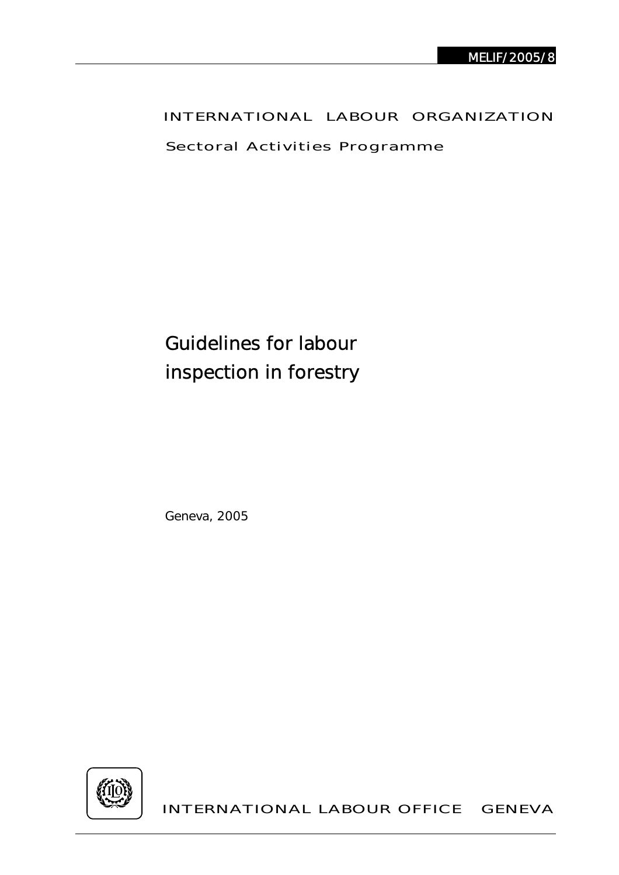## INTERNATIONAL LABOUR ORGANIZATION

Sectoral Activities Programme

Guidelines for labour inspection in forestry

Geneva, 2005



INTERNATIONAL LABOUR OFFICE GENEVA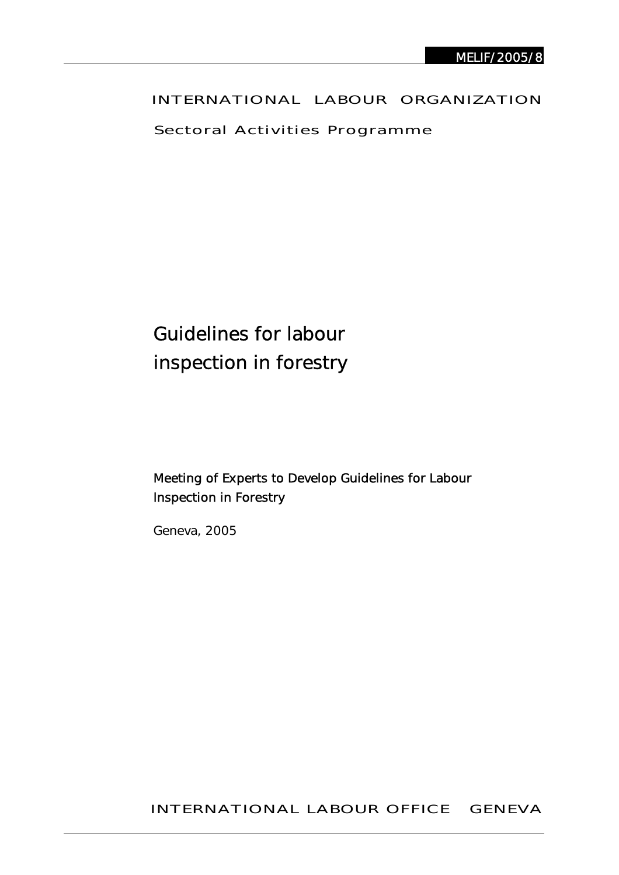## INTERNATIONAL LABOUR ORGANIZATION

Sectoral Activities Programme

# Guidelines for labour inspection in forestry

## Meeting of Experts to Develop Guidelines for Labour Inspection in Forestry

Geneva, 2005

INTERNATIONAL LABOUR OFFICE GENEVA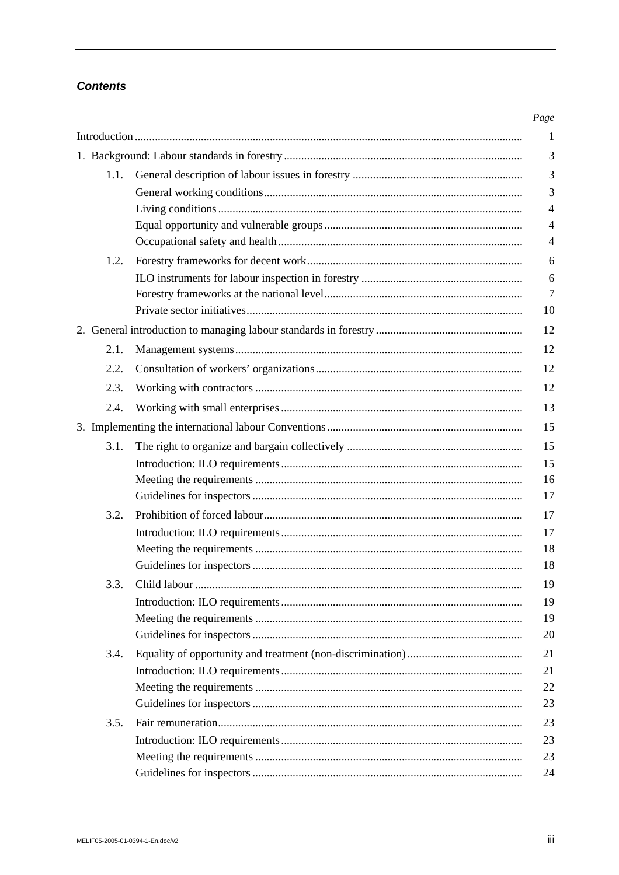## **Contents**

| 1.1. |  |
|------|--|
|      |  |
|      |  |
|      |  |
|      |  |
| 1.2. |  |
|      |  |
|      |  |
|      |  |
|      |  |
| 2.1. |  |
| 2.2. |  |
| 2.3. |  |
| 2.4. |  |
|      |  |
| 3.1. |  |
|      |  |
|      |  |
|      |  |
| 3.2. |  |
|      |  |
|      |  |
|      |  |
| 3.3. |  |
|      |  |
|      |  |
|      |  |
| 3.4. |  |
|      |  |
|      |  |
|      |  |
| 3.5. |  |
|      |  |
|      |  |
|      |  |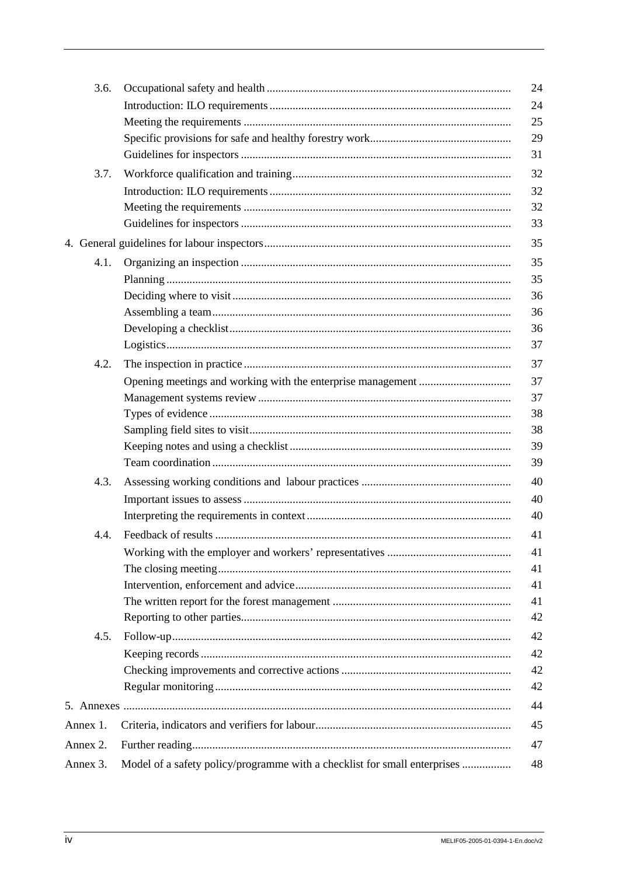| 3.6.     |                                                                           | 24 |
|----------|---------------------------------------------------------------------------|----|
|          |                                                                           | 24 |
|          |                                                                           | 25 |
|          |                                                                           | 29 |
|          |                                                                           | 31 |
| 3.7.     |                                                                           | 32 |
|          |                                                                           | 32 |
|          |                                                                           | 32 |
|          |                                                                           | 33 |
|          |                                                                           | 35 |
| 4.1.     |                                                                           | 35 |
|          |                                                                           | 35 |
|          |                                                                           | 36 |
|          |                                                                           | 36 |
|          |                                                                           | 36 |
|          |                                                                           | 37 |
| 4.2.     |                                                                           | 37 |
|          |                                                                           | 37 |
|          |                                                                           | 37 |
|          |                                                                           | 38 |
|          |                                                                           | 38 |
|          |                                                                           | 39 |
|          |                                                                           | 39 |
| 4.3.     |                                                                           | 40 |
|          |                                                                           | 40 |
|          |                                                                           | 40 |
| 4.4.     |                                                                           | 41 |
|          |                                                                           | 41 |
|          |                                                                           | 41 |
|          |                                                                           | 41 |
|          |                                                                           | 41 |
|          |                                                                           | 42 |
| 4.5.     |                                                                           | 42 |
|          |                                                                           | 42 |
|          |                                                                           | 42 |
|          |                                                                           | 42 |
|          |                                                                           | 44 |
| Annex 1. |                                                                           | 45 |
| Annex 2. |                                                                           | 47 |
| Annex 3. | Model of a safety policy/programme with a checklist for small enterprises | 48 |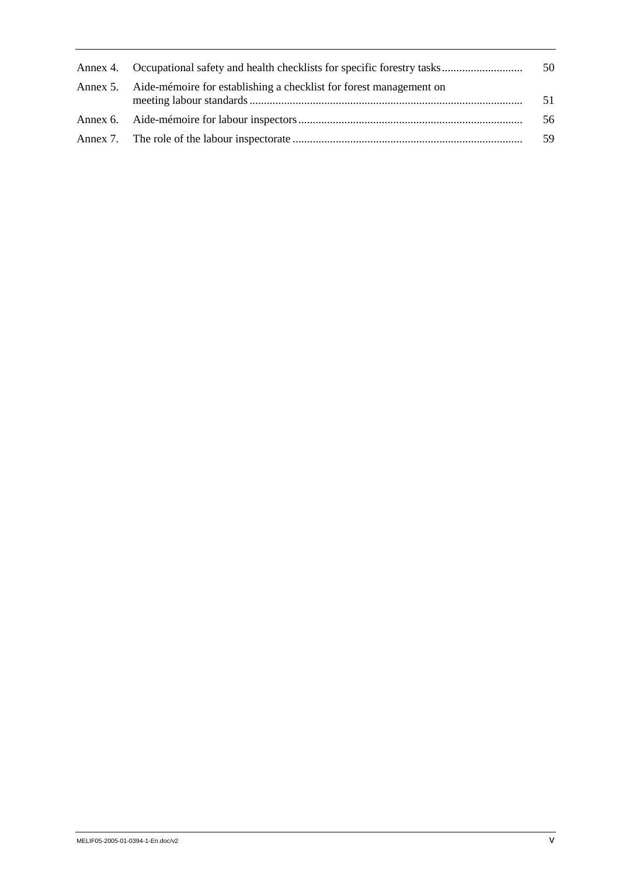| Annex 4. Occupational safety and health checklists for specific forestry tasks | 50 |
|--------------------------------------------------------------------------------|----|
| Annex 5. Aide-mémoire for establishing a checklist for forest management on    | 51 |
|                                                                                | 56 |
|                                                                                | 59 |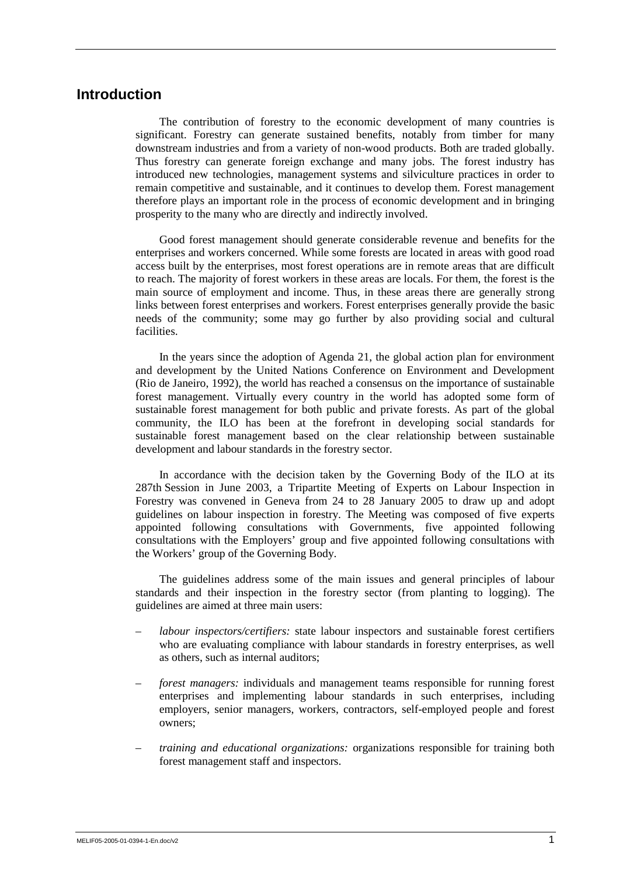## **Introduction**

The contribution of forestry to the economic development of many countries is significant. Forestry can generate sustained benefits, notably from timber for many downstream industries and from a variety of non-wood products. Both are traded globally. Thus forestry can generate foreign exchange and many jobs. The forest industry has introduced new technologies, management systems and silviculture practices in order to remain competitive and sustainable, and it continues to develop them. Forest management therefore plays an important role in the process of economic development and in bringing prosperity to the many who are directly and indirectly involved.

Good forest management should generate considerable revenue and benefits for the enterprises and workers concerned. While some forests are located in areas with good road access built by the enterprises, most forest operations are in remote areas that are difficult to reach. The majority of forest workers in these areas are locals. For them, the forest is the main source of employment and income. Thus, in these areas there are generally strong links between forest enterprises and workers. Forest enterprises generally provide the basic needs of the community; some may go further by also providing social and cultural facilities.

In the years since the adoption of Agenda 21, the global action plan for environment and development by the United Nations Conference on Environment and Development (Rio de Janeiro, 1992), the world has reached a consensus on the importance of sustainable forest management. Virtually every country in the world has adopted some form of sustainable forest management for both public and private forests. As part of the global community, the ILO has been at the forefront in developing social standards for sustainable forest management based on the clear relationship between sustainable development and labour standards in the forestry sector.

In accordance with the decision taken by the Governing Body of the ILO at its 287th Session in June 2003, a Tripartite Meeting of Experts on Labour Inspection in Forestry was convened in Geneva from 24 to 28 January 2005 to draw up and adopt guidelines on labour inspection in forestry. The Meeting was composed of five experts appointed following consultations with Governments, five appointed following consultations with the Employers' group and five appointed following consultations with the Workers' group of the Governing Body.

The guidelines address some of the main issues and general principles of labour standards and their inspection in the forestry sector (from planting to logging). The guidelines are aimed at three main users:

- *labour inspectors/certifiers:* state labour inspectors and sustainable forest certifiers who are evaluating compliance with labour standards in forestry enterprises, as well as others, such as internal auditors;
- *forest managers:* individuals and management teams responsible for running forest enterprises and implementing labour standards in such enterprises, including employers, senior managers, workers, contractors, self-employed people and forest owners;
- *training and educational organizations:* organizations responsible for training both forest management staff and inspectors.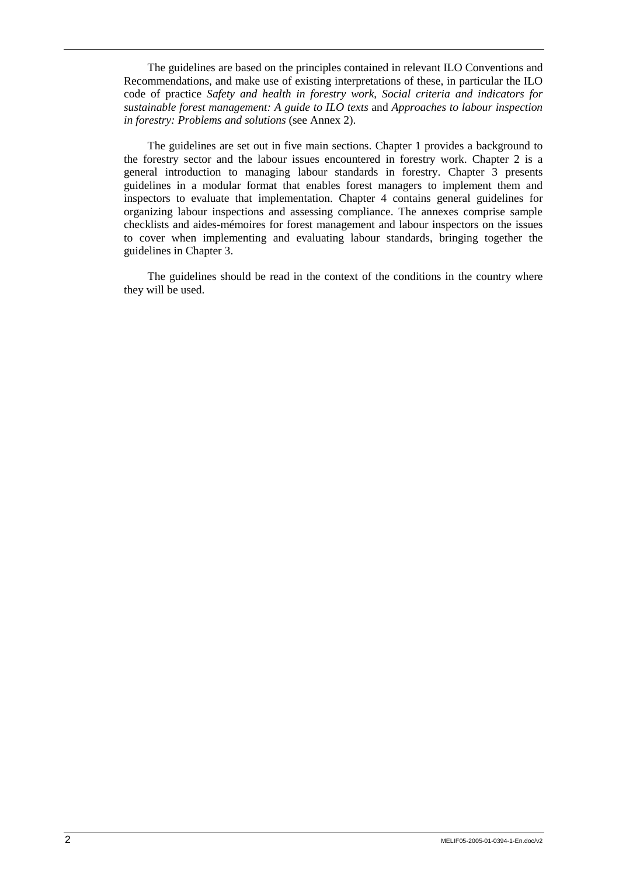The guidelines are based on the principles contained in relevant ILO Conventions and Recommendations, and make use of existing interpretations of these, in particular the ILO code of practice *Safety and health in forestry work*, *Social criteria and indicators for sustainable forest management: A guide to ILO texts* and *Approaches to labour inspection in forestry: Problems and solutions* (see Annex 2).

The guidelines are set out in five main sections. Chapter 1 provides a background to the forestry sector and the labour issues encountered in forestry work. Chapter 2 is a general introduction to managing labour standards in forestry. Chapter 3 presents guidelines in a modular format that enables forest managers to implement them and inspectors to evaluate that implementation. Chapter 4 contains general guidelines for organizing labour inspections and assessing compliance. The annexes comprise sample checklists and aides-mémoires for forest management and labour inspectors on the issues to cover when implementing and evaluating labour standards, bringing together the guidelines in Chapter 3.

The guidelines should be read in the context of the conditions in the country where they will be used.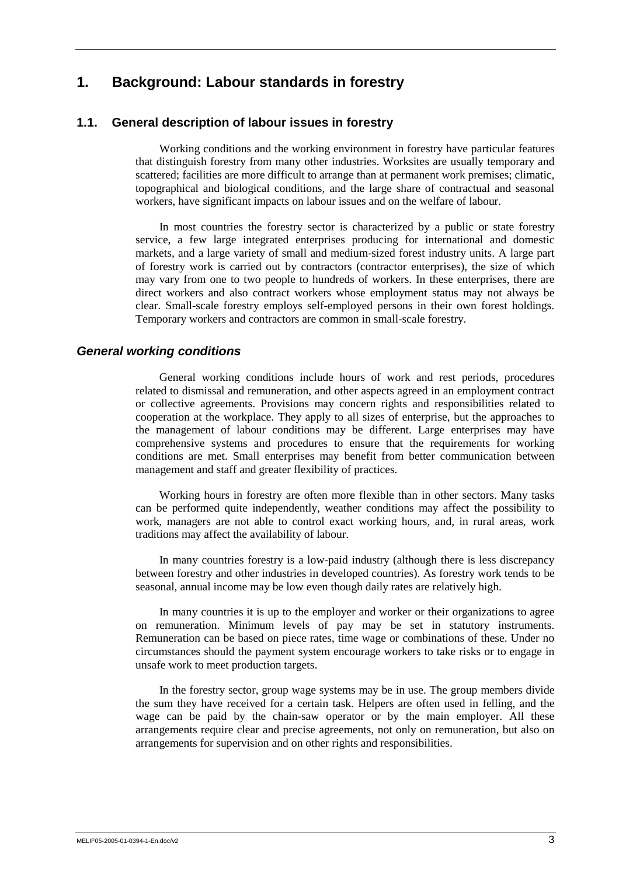## **1. Background: Labour standards in forestry**

## **1.1. General description of labour issues in forestry**

Working conditions and the working environment in forestry have particular features that distinguish forestry from many other industries. Worksites are usually temporary and scattered; facilities are more difficult to arrange than at permanent work premises; climatic, topographical and biological conditions, and the large share of contractual and seasonal workers, have significant impacts on labour issues and on the welfare of labour.

In most countries the forestry sector is characterized by a public or state forestry service, a few large integrated enterprises producing for international and domestic markets, and a large variety of small and medium-sized forest industry units. A large part of forestry work is carried out by contractors (contractor enterprises), the size of which may vary from one to two people to hundreds of workers. In these enterprises, there are direct workers and also contract workers whose employment status may not always be clear. Small-scale forestry employs self-employed persons in their own forest holdings. Temporary workers and contractors are common in small-scale forestry.

## *General working conditions*

General working conditions include hours of work and rest periods, procedures related to dismissal and remuneration, and other aspects agreed in an employment contract or collective agreements. Provisions may concern rights and responsibilities related to cooperation at the workplace. They apply to all sizes of enterprise, but the approaches to the management of labour conditions may be different. Large enterprises may have comprehensive systems and procedures to ensure that the requirements for working conditions are met. Small enterprises may benefit from better communication between management and staff and greater flexibility of practices.

Working hours in forestry are often more flexible than in other sectors. Many tasks can be performed quite independently, weather conditions may affect the possibility to work, managers are not able to control exact working hours, and, in rural areas, work traditions may affect the availability of labour.

In many countries forestry is a low-paid industry (although there is less discrepancy between forestry and other industries in developed countries). As forestry work tends to be seasonal, annual income may be low even though daily rates are relatively high.

In many countries it is up to the employer and worker or their organizations to agree on remuneration. Minimum levels of pay may be set in statutory instruments. Remuneration can be based on piece rates, time wage or combinations of these. Under no circumstances should the payment system encourage workers to take risks or to engage in unsafe work to meet production targets.

In the forestry sector, group wage systems may be in use. The group members divide the sum they have received for a certain task. Helpers are often used in felling, and the wage can be paid by the chain-saw operator or by the main employer. All these arrangements require clear and precise agreements, not only on remuneration, but also on arrangements for supervision and on other rights and responsibilities.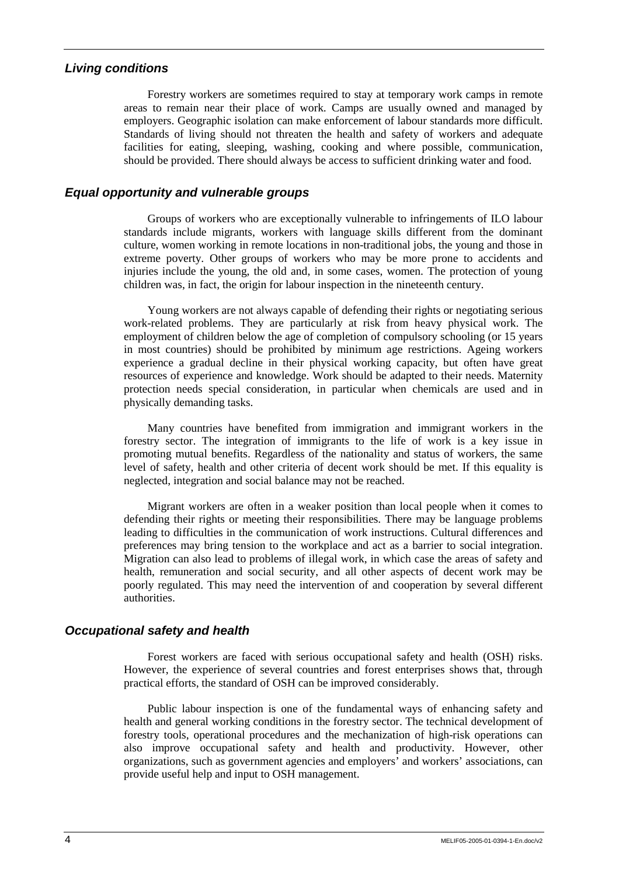## *Living conditions*

Forestry workers are sometimes required to stay at temporary work camps in remote areas to remain near their place of work. Camps are usually owned and managed by employers. Geographic isolation can make enforcement of labour standards more difficult. Standards of living should not threaten the health and safety of workers and adequate facilities for eating, sleeping, washing, cooking and where possible, communication, should be provided. There should always be access to sufficient drinking water and food.

## *Equal opportunity and vulnerable groups*

Groups of workers who are exceptionally vulnerable to infringements of ILO labour standards include migrants, workers with language skills different from the dominant culture, women working in remote locations in non-traditional jobs, the young and those in extreme poverty. Other groups of workers who may be more prone to accidents and injuries include the young, the old and, in some cases, women. The protection of young children was, in fact, the origin for labour inspection in the nineteenth century.

Young workers are not always capable of defending their rights or negotiating serious work-related problems. They are particularly at risk from heavy physical work. The employment of children below the age of completion of compulsory schooling (or 15 years in most countries) should be prohibited by minimum age restrictions. Ageing workers experience a gradual decline in their physical working capacity, but often have great resources of experience and knowledge. Work should be adapted to their needs. Maternity protection needs special consideration, in particular when chemicals are used and in physically demanding tasks.

Many countries have benefited from immigration and immigrant workers in the forestry sector. The integration of immigrants to the life of work is a key issue in promoting mutual benefits. Regardless of the nationality and status of workers, the same level of safety, health and other criteria of decent work should be met. If this equality is neglected, integration and social balance may not be reached.

Migrant workers are often in a weaker position than local people when it comes to defending their rights or meeting their responsibilities. There may be language problems leading to difficulties in the communication of work instructions. Cultural differences and preferences may bring tension to the workplace and act as a barrier to social integration. Migration can also lead to problems of illegal work, in which case the areas of safety and health, remuneration and social security, and all other aspects of decent work may be poorly regulated. This may need the intervention of and cooperation by several different authorities.

## *Occupational safety and health*

Forest workers are faced with serious occupational safety and health (OSH) risks. However, the experience of several countries and forest enterprises shows that, through practical efforts, the standard of OSH can be improved considerably.

Public labour inspection is one of the fundamental ways of enhancing safety and health and general working conditions in the forestry sector. The technical development of forestry tools, operational procedures and the mechanization of high-risk operations can also improve occupational safety and health and productivity. However, other organizations, such as government agencies and employers' and workers' associations, can provide useful help and input to OSH management.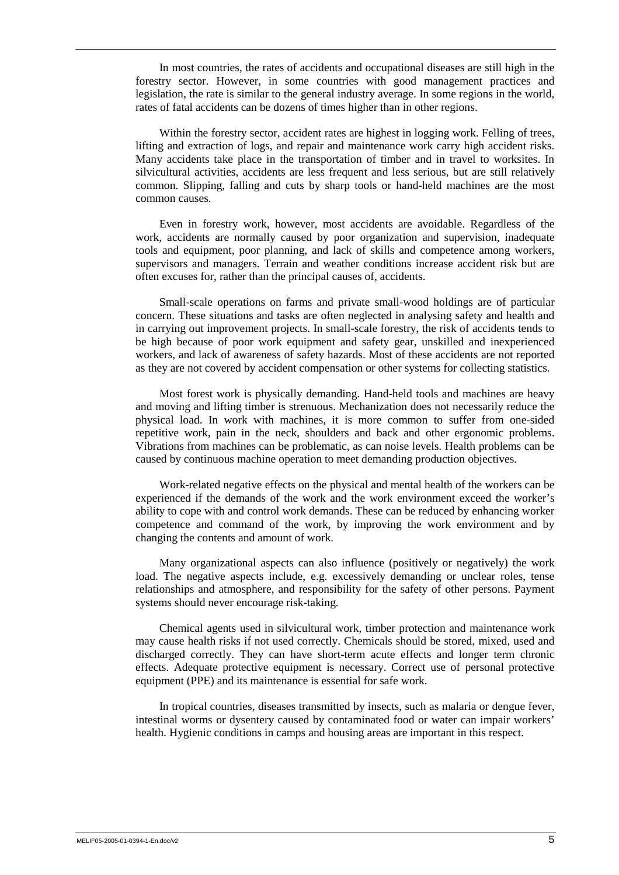In most countries, the rates of accidents and occupational diseases are still high in the forestry sector. However, in some countries with good management practices and legislation, the rate is similar to the general industry average. In some regions in the world, rates of fatal accidents can be dozens of times higher than in other regions.

Within the forestry sector, accident rates are highest in logging work. Felling of trees, lifting and extraction of logs, and repair and maintenance work carry high accident risks. Many accidents take place in the transportation of timber and in travel to worksites. In silvicultural activities, accidents are less frequent and less serious, but are still relatively common. Slipping, falling and cuts by sharp tools or hand-held machines are the most common causes.

Even in forestry work, however, most accidents are avoidable. Regardless of the work, accidents are normally caused by poor organization and supervision, inadequate tools and equipment, poor planning, and lack of skills and competence among workers, supervisors and managers. Terrain and weather conditions increase accident risk but are often excuses for, rather than the principal causes of, accidents.

Small-scale operations on farms and private small-wood holdings are of particular concern. These situations and tasks are often neglected in analysing safety and health and in carrying out improvement projects. In small-scale forestry, the risk of accidents tends to be high because of poor work equipment and safety gear, unskilled and inexperienced workers, and lack of awareness of safety hazards. Most of these accidents are not reported as they are not covered by accident compensation or other systems for collecting statistics.

Most forest work is physically demanding. Hand-held tools and machines are heavy and moving and lifting timber is strenuous. Mechanization does not necessarily reduce the physical load. In work with machines, it is more common to suffer from one-sided repetitive work, pain in the neck, shoulders and back and other ergonomic problems. Vibrations from machines can be problematic, as can noise levels. Health problems can be caused by continuous machine operation to meet demanding production objectives.

Work-related negative effects on the physical and mental health of the workers can be experienced if the demands of the work and the work environment exceed the worker's ability to cope with and control work demands. These can be reduced by enhancing worker competence and command of the work, by improving the work environment and by changing the contents and amount of work.

Many organizational aspects can also influence (positively or negatively) the work load. The negative aspects include, e.g. excessively demanding or unclear roles, tense relationships and atmosphere, and responsibility for the safety of other persons. Payment systems should never encourage risk-taking.

Chemical agents used in silvicultural work, timber protection and maintenance work may cause health risks if not used correctly. Chemicals should be stored, mixed, used and discharged correctly. They can have short-term acute effects and longer term chronic effects. Adequate protective equipment is necessary. Correct use of personal protective equipment (PPE) and its maintenance is essential for safe work.

In tropical countries, diseases transmitted by insects, such as malaria or dengue fever, intestinal worms or dysentery caused by contaminated food or water can impair workers' health. Hygienic conditions in camps and housing areas are important in this respect.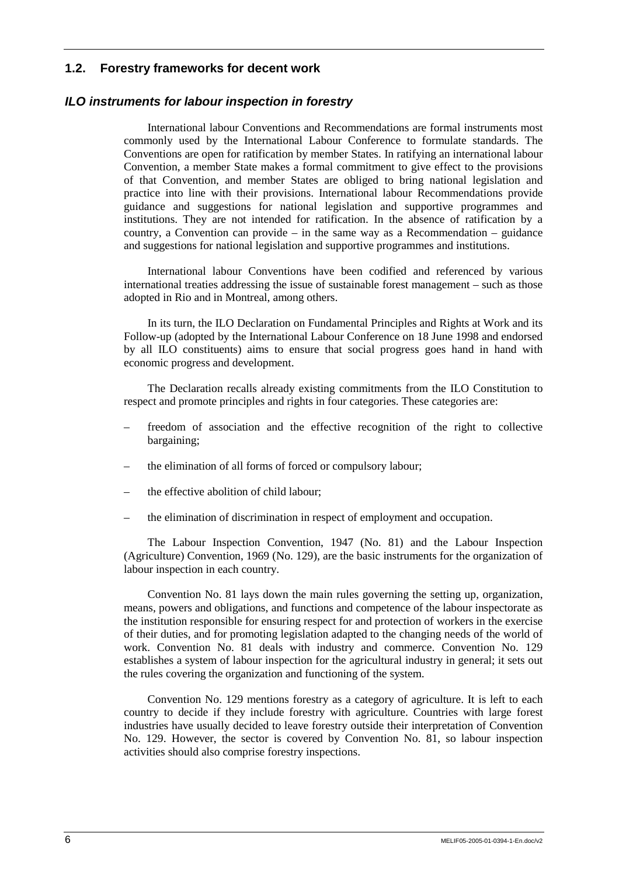## **1.2. Forestry frameworks for decent work**

### *ILO instruments for labour inspection in forestry*

International labour Conventions and Recommendations are formal instruments most commonly used by the International Labour Conference to formulate standards. The Conventions are open for ratification by member States. In ratifying an international labour Convention, a member State makes a formal commitment to give effect to the provisions of that Convention, and member States are obliged to bring national legislation and practice into line with their provisions. International labour Recommendations provide guidance and suggestions for national legislation and supportive programmes and institutions. They are not intended for ratification. In the absence of ratification by a country, a Convention can provide – in the same way as a Recommendation – guidance and suggestions for national legislation and supportive programmes and institutions.

International labour Conventions have been codified and referenced by various international treaties addressing the issue of sustainable forest management – such as those adopted in Rio and in Montreal, among others.

In its turn, the ILO Declaration on Fundamental Principles and Rights at Work and its Follow-up (adopted by the International Labour Conference on 18 June 1998 and endorsed by all ILO constituents) aims to ensure that social progress goes hand in hand with economic progress and development.

The Declaration recalls already existing commitments from the ILO Constitution to respect and promote principles and rights in four categories. These categories are:

- freedom of association and the effective recognition of the right to collective bargaining;
- the elimination of all forms of forced or compulsory labour;
- the effective abolition of child labour;
- the elimination of discrimination in respect of employment and occupation.

The Labour Inspection Convention, 1947 (No. 81) and the Labour Inspection (Agriculture) Convention, 1969 (No. 129), are the basic instruments for the organization of labour inspection in each country.

Convention No. 81 lays down the main rules governing the setting up, organization, means, powers and obligations, and functions and competence of the labour inspectorate as the institution responsible for ensuring respect for and protection of workers in the exercise of their duties, and for promoting legislation adapted to the changing needs of the world of work. Convention No. 81 deals with industry and commerce. Convention No. 129 establishes a system of labour inspection for the agricultural industry in general; it sets out the rules covering the organization and functioning of the system.

Convention No. 129 mentions forestry as a category of agriculture. It is left to each country to decide if they include forestry with agriculture. Countries with large forest industries have usually decided to leave forestry outside their interpretation of Convention No. 129. However, the sector is covered by Convention No. 81, so labour inspection activities should also comprise forestry inspections.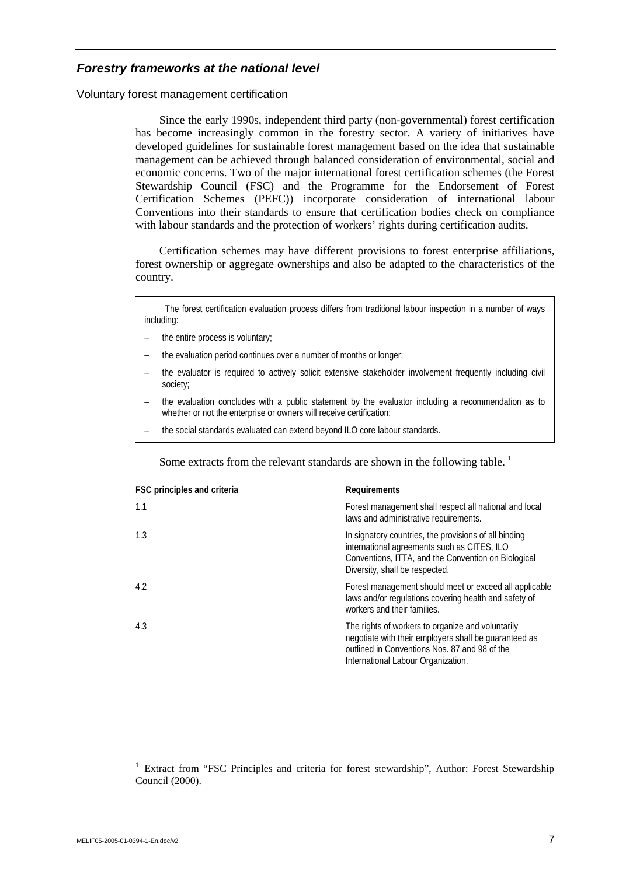## *Forestry frameworks at the national level*

Voluntary forest management certification

Since the early 1990s, independent third party (non-governmental) forest certification has become increasingly common in the forestry sector. A variety of initiatives have developed guidelines for sustainable forest management based on the idea that sustainable management can be achieved through balanced consideration of environmental, social and economic concerns. Two of the major international forest certification schemes (the Forest Stewardship Council (FSC) and the Programme for the Endorsement of Forest Certification Schemes (PEFC)) incorporate consideration of international labour Conventions into their standards to ensure that certification bodies check on compliance with labour standards and the protection of workers' rights during certification audits.

Certification schemes may have different provisions to forest enterprise affiliations, forest ownership or aggregate ownerships and also be adapted to the characteristics of the country.

The forest certification evaluation process differs from traditional labour inspection in a number of ways including:

- the entire process is voluntary;
- the evaluation period continues over a number of months or longer;
- the evaluator is required to actively solicit extensive stakeholder involvement frequently including civil society;
- the evaluation concludes with a public statement by the evaluator including a recommendation as to whether or not the enterprise or owners will receive certification;
- the social standards evaluated can extend beyond ILO core labour standards.

Some extracts from the relevant standards are shown in the following table.<sup>1</sup>

| FSC principles and criteria | Requirements                                                                                                                                                                                      |
|-----------------------------|---------------------------------------------------------------------------------------------------------------------------------------------------------------------------------------------------|
| 1.1                         | Forest management shall respect all national and local<br>laws and administrative requirements.                                                                                                   |
| 1.3                         | In signatory countries, the provisions of all binding<br>international agreements such as CITES, ILO<br>Conventions, ITTA, and the Convention on Biological<br>Diversity, shall be respected.     |
| 4.2                         | Forest management should meet or exceed all applicable<br>laws and/or regulations covering health and safety of<br>workers and their families.                                                    |
| 4.3                         | The rights of workers to organize and voluntarily<br>negotiate with their employers shall be guaranteed as<br>outlined in Conventions Nos. 87 and 98 of the<br>International Labour Organization. |

<sup>1</sup> Extract from "FSC Principles and criteria for forest stewardship", Author: Forest Stewardship Council (2000).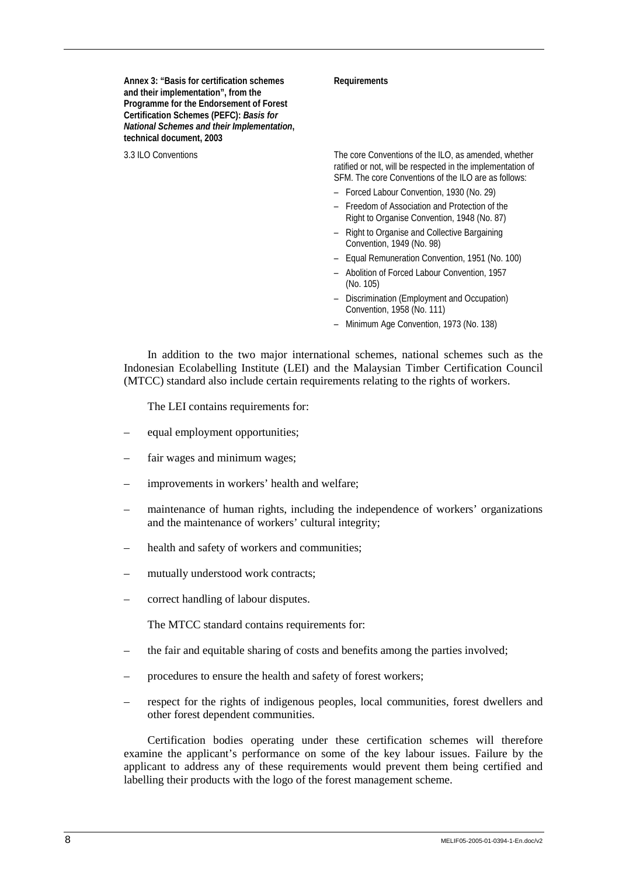**Annex 3: "Basis for certification schemes and their implementation", from the Programme for the Endorsement of Forest Certification Schemes (PEFC):** *Basis for National Schemes and their Implementation***, technical document, 2003** 

#### **Requirements**

3.3 ILO Conventions The core Conventions of the ILO, as amended, whether ratified or not, will be respected in the implementation of SFM. The core Conventions of the ILO are as follows:

- Forced Labour Convention, 1930 (No. 29)
- Freedom of Association and Protection of the Right to Organise Convention, 1948 (No. 87)
- Right to Organise and Collective Bargaining Convention, 1949 (No. 98)
- Equal Remuneration Convention, 1951 (No. 100)
- Abolition of Forced Labour Convention, 1957 (No. 105)
- Discrimination (Employment and Occupation) Convention, 1958 (No. 111)
- Minimum Age Convention, 1973 (No. 138)

In addition to the two major international schemes, national schemes such as the Indonesian Ecolabelling Institute (LEI) and the Malaysian Timber Certification Council (MTCC) standard also include certain requirements relating to the rights of workers.

The LEI contains requirements for:

- equal employment opportunities;
- fair wages and minimum wages;
- improvements in workers' health and welfare;
- maintenance of human rights, including the independence of workers' organizations and the maintenance of workers' cultural integrity;
- health and safety of workers and communities;
- mutually understood work contracts;
- correct handling of labour disputes.

The MTCC standard contains requirements for:

- the fair and equitable sharing of costs and benefits among the parties involved;
- procedures to ensure the health and safety of forest workers;
- respect for the rights of indigenous peoples, local communities, forest dwellers and other forest dependent communities.

Certification bodies operating under these certification schemes will therefore examine the applicant's performance on some of the key labour issues. Failure by the applicant to address any of these requirements would prevent them being certified and labelling their products with the logo of the forest management scheme.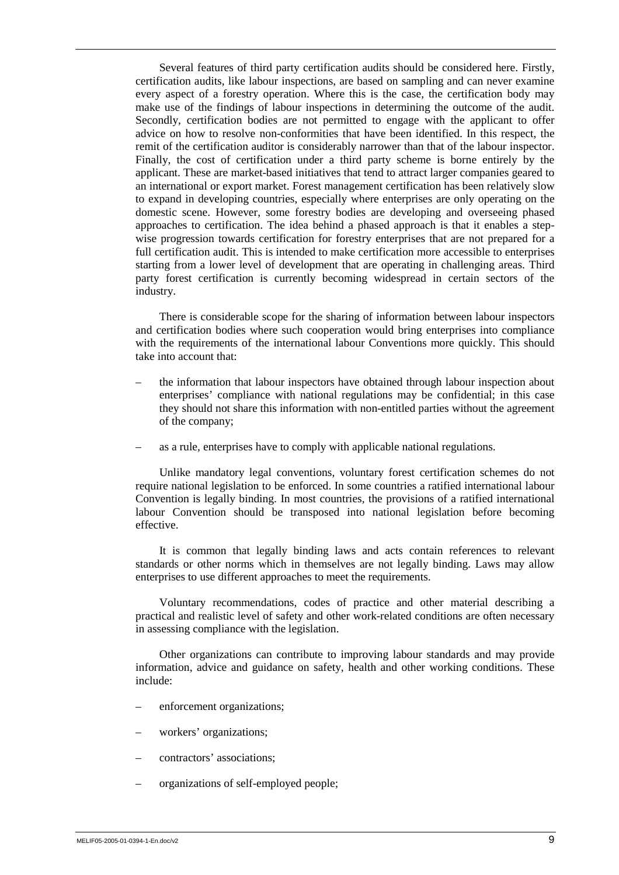Several features of third party certification audits should be considered here. Firstly, certification audits, like labour inspections, are based on sampling and can never examine every aspect of a forestry operation. Where this is the case, the certification body may make use of the findings of labour inspections in determining the outcome of the audit. Secondly, certification bodies are not permitted to engage with the applicant to offer advice on how to resolve non-conformities that have been identified. In this respect, the remit of the certification auditor is considerably narrower than that of the labour inspector. Finally, the cost of certification under a third party scheme is borne entirely by the applicant. These are market-based initiatives that tend to attract larger companies geared to an international or export market. Forest management certification has been relatively slow to expand in developing countries, especially where enterprises are only operating on the domestic scene. However, some forestry bodies are developing and overseeing phased approaches to certification. The idea behind a phased approach is that it enables a stepwise progression towards certification for forestry enterprises that are not prepared for a full certification audit. This is intended to make certification more accessible to enterprises starting from a lower level of development that are operating in challenging areas. Third party forest certification is currently becoming widespread in certain sectors of the industry.

There is considerable scope for the sharing of information between labour inspectors and certification bodies where such cooperation would bring enterprises into compliance with the requirements of the international labour Conventions more quickly. This should take into account that:

- the information that labour inspectors have obtained through labour inspection about enterprises' compliance with national regulations may be confidential; in this case they should not share this information with non-entitled parties without the agreement of the company;
- as a rule, enterprises have to comply with applicable national regulations.

Unlike mandatory legal conventions, voluntary forest certification schemes do not require national legislation to be enforced. In some countries a ratified international labour Convention is legally binding. In most countries, the provisions of a ratified international labour Convention should be transposed into national legislation before becoming effective.

It is common that legally binding laws and acts contain references to relevant standards or other norms which in themselves are not legally binding. Laws may allow enterprises to use different approaches to meet the requirements.

Voluntary recommendations, codes of practice and other material describing a practical and realistic level of safety and other work-related conditions are often necessary in assessing compliance with the legislation.

Other organizations can contribute to improving labour standards and may provide information, advice and guidance on safety, health and other working conditions. These include:

- enforcement organizations;
- workers' organizations;
- contractors' associations;
- organizations of self-employed people;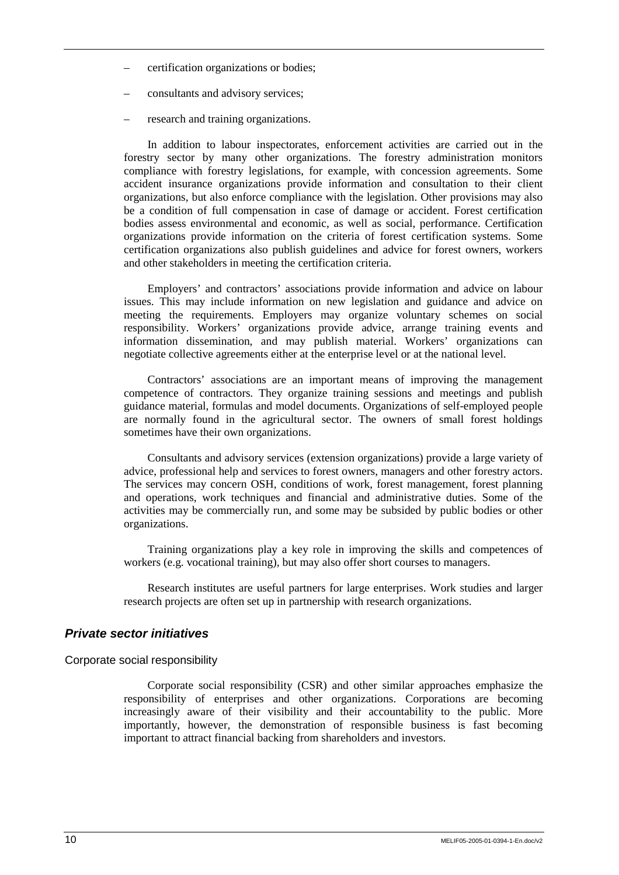- certification organizations or bodies;
- consultants and advisory services;
- research and training organizations.

In addition to labour inspectorates, enforcement activities are carried out in the forestry sector by many other organizations. The forestry administration monitors compliance with forestry legislations, for example, with concession agreements. Some accident insurance organizations provide information and consultation to their client organizations, but also enforce compliance with the legislation. Other provisions may also be a condition of full compensation in case of damage or accident. Forest certification bodies assess environmental and economic, as well as social, performance. Certification organizations provide information on the criteria of forest certification systems. Some certification organizations also publish guidelines and advice for forest owners, workers and other stakeholders in meeting the certification criteria.

Employers' and contractors' associations provide information and advice on labour issues. This may include information on new legislation and guidance and advice on meeting the requirements. Employers may organize voluntary schemes on social responsibility. Workers' organizations provide advice, arrange training events and information dissemination, and may publish material. Workers' organizations can negotiate collective agreements either at the enterprise level or at the national level.

Contractors' associations are an important means of improving the management competence of contractors. They organize training sessions and meetings and publish guidance material, formulas and model documents. Organizations of self-employed people are normally found in the agricultural sector. The owners of small forest holdings sometimes have their own organizations.

Consultants and advisory services (extension organizations) provide a large variety of advice, professional help and services to forest owners, managers and other forestry actors. The services may concern OSH, conditions of work, forest management, forest planning and operations, work techniques and financial and administrative duties. Some of the activities may be commercially run, and some may be subsided by public bodies or other organizations.

Training organizations play a key role in improving the skills and competences of workers (e.g. vocational training), but may also offer short courses to managers.

Research institutes are useful partners for large enterprises. Work studies and larger research projects are often set up in partnership with research organizations.

### *Private sector initiatives*

Corporate social responsibility

Corporate social responsibility (CSR) and other similar approaches emphasize the responsibility of enterprises and other organizations. Corporations are becoming increasingly aware of their visibility and their accountability to the public. More importantly, however, the demonstration of responsible business is fast becoming important to attract financial backing from shareholders and investors.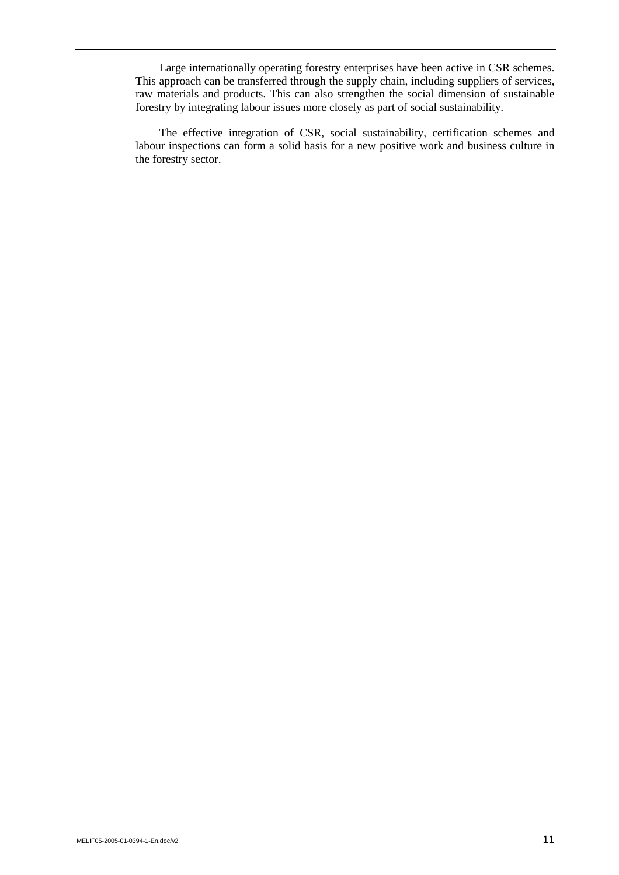Large internationally operating forestry enterprises have been active in CSR schemes. This approach can be transferred through the supply chain, including suppliers of services, raw materials and products. This can also strengthen the social dimension of sustainable forestry by integrating labour issues more closely as part of social sustainability.

The effective integration of CSR, social sustainability, certification schemes and labour inspections can form a solid basis for a new positive work and business culture in the forestry sector.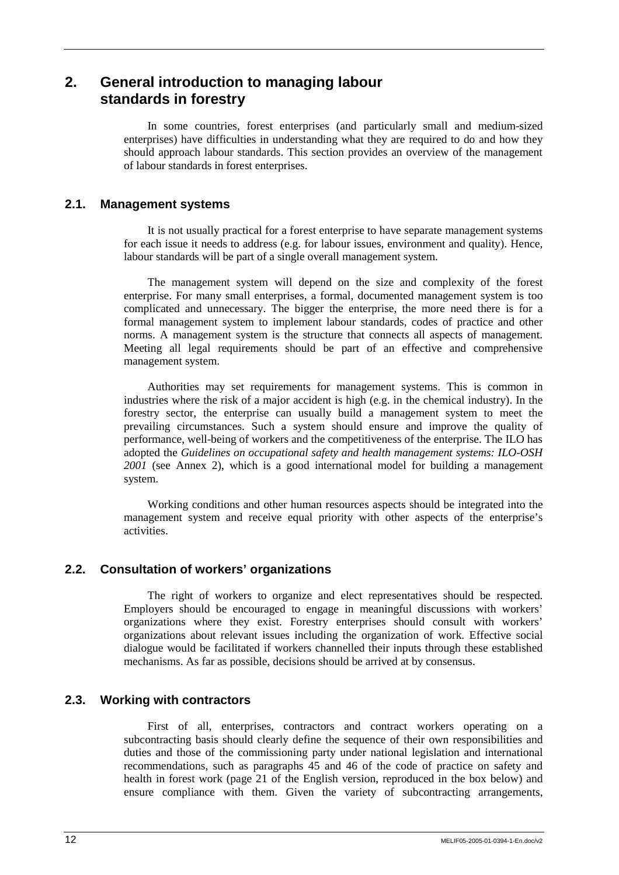## **2. General introduction to managing labour standards in forestry**

In some countries, forest enterprises (and particularly small and medium-sized enterprises) have difficulties in understanding what they are required to do and how they should approach labour standards. This section provides an overview of the management of labour standards in forest enterprises.

## **2.1. Management systems**

It is not usually practical for a forest enterprise to have separate management systems for each issue it needs to address (e.g. for labour issues, environment and quality). Hence, labour standards will be part of a single overall management system.

The management system will depend on the size and complexity of the forest enterprise. For many small enterprises, a formal, documented management system is too complicated and unnecessary. The bigger the enterprise, the more need there is for a formal management system to implement labour standards, codes of practice and other norms. A management system is the structure that connects all aspects of management. Meeting all legal requirements should be part of an effective and comprehensive management system.

Authorities may set requirements for management systems. This is common in industries where the risk of a major accident is high (e.g. in the chemical industry). In the forestry sector, the enterprise can usually build a management system to meet the prevailing circumstances. Such a system should ensure and improve the quality of performance, well-being of workers and the competitiveness of the enterprise. The ILO has adopted the *Guidelines on occupational safety and health management systems: ILO-OSH 2001* (see Annex 2), which is a good international model for building a management system.

Working conditions and other human resources aspects should be integrated into the management system and receive equal priority with other aspects of the enterprise's activities.

## **2.2. Consultation of workers' organizations**

The right of workers to organize and elect representatives should be respected. Employers should be encouraged to engage in meaningful discussions with workers' organizations where they exist. Forestry enterprises should consult with workers' organizations about relevant issues including the organization of work. Effective social dialogue would be facilitated if workers channelled their inputs through these established mechanisms. As far as possible, decisions should be arrived at by consensus.

## **2.3. Working with contractors**

First of all, enterprises, contractors and contract workers operating on a subcontracting basis should clearly define the sequence of their own responsibilities and duties and those of the commissioning party under national legislation and international recommendations, such as paragraphs 45 and 46 of the code of practice on safety and health in forest work (page 21 of the English version, reproduced in the box below) and ensure compliance with them. Given the variety of subcontracting arrangements,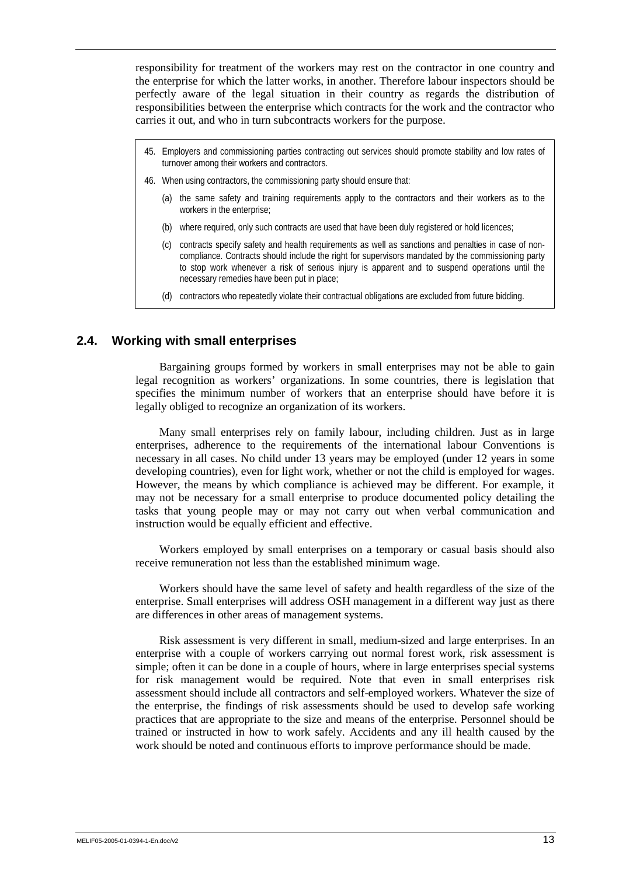responsibility for treatment of the workers may rest on the contractor in one country and the enterprise for which the latter works, in another. Therefore labour inspectors should be perfectly aware of the legal situation in their country as regards the distribution of responsibilities between the enterprise which contracts for the work and the contractor who carries it out, and who in turn subcontracts workers for the purpose.

- 45. Employers and commissioning parties contracting out services should promote stability and low rates of turnover among their workers and contractors.
- 46. When using contractors, the commissioning party should ensure that:
	- (a) the same safety and training requirements apply to the contractors and their workers as to the workers in the enterprise;
	- (b) where required, only such contracts are used that have been duly registered or hold licences;
	- (c) contracts specify safety and health requirements as well as sanctions and penalties in case of noncompliance. Contracts should include the right for supervisors mandated by the commissioning party to stop work whenever a risk of serious injury is apparent and to suspend operations until the necessary remedies have been put in place;
	- (d) contractors who repeatedly violate their contractual obligations are excluded from future bidding.

## **2.4. Working with small enterprises**

Bargaining groups formed by workers in small enterprises may not be able to gain legal recognition as workers' organizations. In some countries, there is legislation that specifies the minimum number of workers that an enterprise should have before it is legally obliged to recognize an organization of its workers.

Many small enterprises rely on family labour, including children. Just as in large enterprises, adherence to the requirements of the international labour Conventions is necessary in all cases. No child under 13 years may be employed (under 12 years in some developing countries), even for light work, whether or not the child is employed for wages. However, the means by which compliance is achieved may be different. For example, it may not be necessary for a small enterprise to produce documented policy detailing the tasks that young people may or may not carry out when verbal communication and instruction would be equally efficient and effective.

Workers employed by small enterprises on a temporary or casual basis should also receive remuneration not less than the established minimum wage.

Workers should have the same level of safety and health regardless of the size of the enterprise. Small enterprises will address OSH management in a different way just as there are differences in other areas of management systems.

Risk assessment is very different in small, medium-sized and large enterprises. In an enterprise with a couple of workers carrying out normal forest work, risk assessment is simple; often it can be done in a couple of hours, where in large enterprises special systems for risk management would be required. Note that even in small enterprises risk assessment should include all contractors and self-employed workers. Whatever the size of the enterprise, the findings of risk assessments should be used to develop safe working practices that are appropriate to the size and means of the enterprise. Personnel should be trained or instructed in how to work safely. Accidents and any ill health caused by the work should be noted and continuous efforts to improve performance should be made.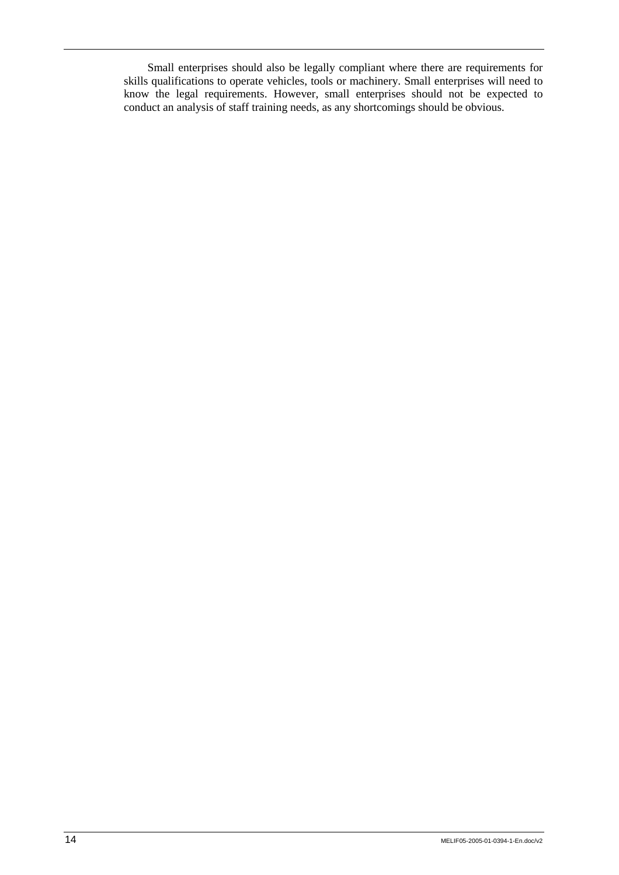Small enterprises should also be legally compliant where there are requirements for skills qualifications to operate vehicles, tools or machinery. Small enterprises will need to know the legal requirements. However, small enterprises should not be expected to conduct an analysis of staff training needs, as any shortcomings should be obvious.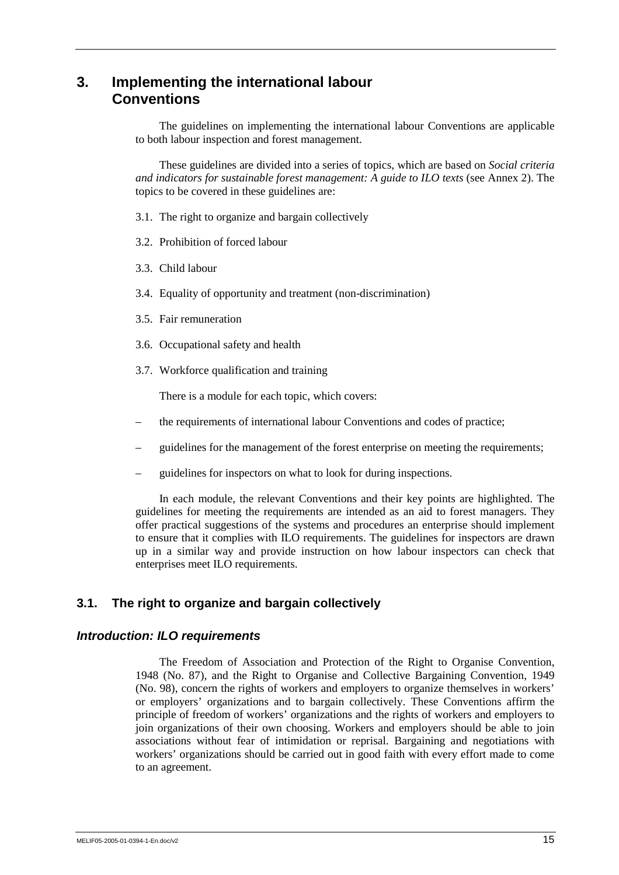## **3. Implementing the international labour Conventions**

The guidelines on implementing the international labour Conventions are applicable to both labour inspection and forest management.

These guidelines are divided into a series of topics, which are based on *Social criteria and indicators for sustainable forest management: A guide to ILO texts* (see Annex 2). The topics to be covered in these guidelines are:

- 3.1. The right to organize and bargain collectively
- 3.2. Prohibition of forced labour
- 3.3. Child labour
- 3.4. Equality of opportunity and treatment (non-discrimination)
- 3.5. Fair remuneration
- 3.6. Occupational safety and health
- 3.7. Workforce qualification and training

There is a module for each topic, which covers:

- the requirements of international labour Conventions and codes of practice;
- guidelines for the management of the forest enterprise on meeting the requirements;
- guidelines for inspectors on what to look for during inspections.

In each module, the relevant Conventions and their key points are highlighted. The guidelines for meeting the requirements are intended as an aid to forest managers. They offer practical suggestions of the systems and procedures an enterprise should implement to ensure that it complies with ILO requirements. The guidelines for inspectors are drawn up in a similar way and provide instruction on how labour inspectors can check that enterprises meet ILO requirements.

## **3.1. The right to organize and bargain collectively**

#### *Introduction: ILO requirements*

The Freedom of Association and Protection of the Right to Organise Convention, 1948 (No. 87), and the Right to Organise and Collective Bargaining Convention, 1949 (No. 98), concern the rights of workers and employers to organize themselves in workers' or employers' organizations and to bargain collectively. These Conventions affirm the principle of freedom of workers' organizations and the rights of workers and employers to join organizations of their own choosing. Workers and employers should be able to join associations without fear of intimidation or reprisal. Bargaining and negotiations with workers' organizations should be carried out in good faith with every effort made to come to an agreement.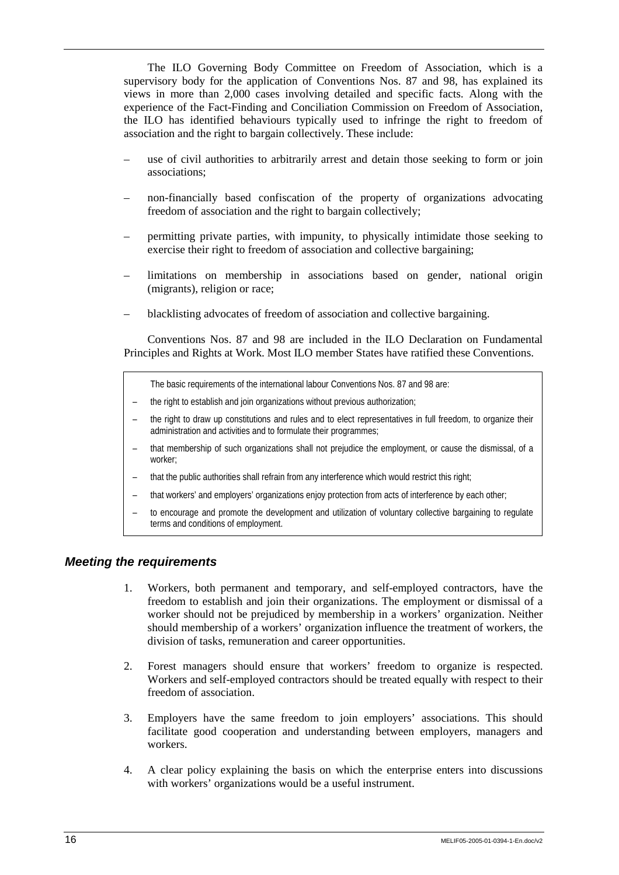The ILO Governing Body Committee on Freedom of Association, which is a supervisory body for the application of Conventions Nos. 87 and 98, has explained its views in more than 2,000 cases involving detailed and specific facts. Along with the experience of the Fact-Finding and Conciliation Commission on Freedom of Association, the ILO has identified behaviours typically used to infringe the right to freedom of association and the right to bargain collectively. These include:

- use of civil authorities to arbitrarily arrest and detain those seeking to form or join associations;
- non-financially based confiscation of the property of organizations advocating freedom of association and the right to bargain collectively;
- permitting private parties, with impunity, to physically intimidate those seeking to exercise their right to freedom of association and collective bargaining;
- limitations on membership in associations based on gender, national origin (migrants), religion or race;
- blacklisting advocates of freedom of association and collective bargaining.

Conventions Nos. 87 and 98 are included in the ILO Declaration on Fundamental Principles and Rights at Work. Most ILO member States have ratified these Conventions.

The basic requirements of the international labour Conventions Nos. 87 and 98 are:

- the right to establish and join organizations without previous authorization;
- the right to draw up constitutions and rules and to elect representatives in full freedom, to organize their administration and activities and to formulate their programmes;
- that membership of such organizations shall not prejudice the employment, or cause the dismissal, of a worker;
- that the public authorities shall refrain from any interference which would restrict this right;
- that workers' and employers' organizations enjoy protection from acts of interference by each other;
- to encourage and promote the development and utilization of voluntary collective bargaining to regulate terms and conditions of employment.

#### *Meeting the requirements*

- 1. Workers, both permanent and temporary, and self-employed contractors, have the freedom to establish and join their organizations. The employment or dismissal of a worker should not be prejudiced by membership in a workers' organization. Neither should membership of a workers' organization influence the treatment of workers, the division of tasks, remuneration and career opportunities.
- 2. Forest managers should ensure that workers' freedom to organize is respected. Workers and self-employed contractors should be treated equally with respect to their freedom of association.
- 3. Employers have the same freedom to join employers' associations. This should facilitate good cooperation and understanding between employers, managers and workers.
- 4. A clear policy explaining the basis on which the enterprise enters into discussions with workers' organizations would be a useful instrument.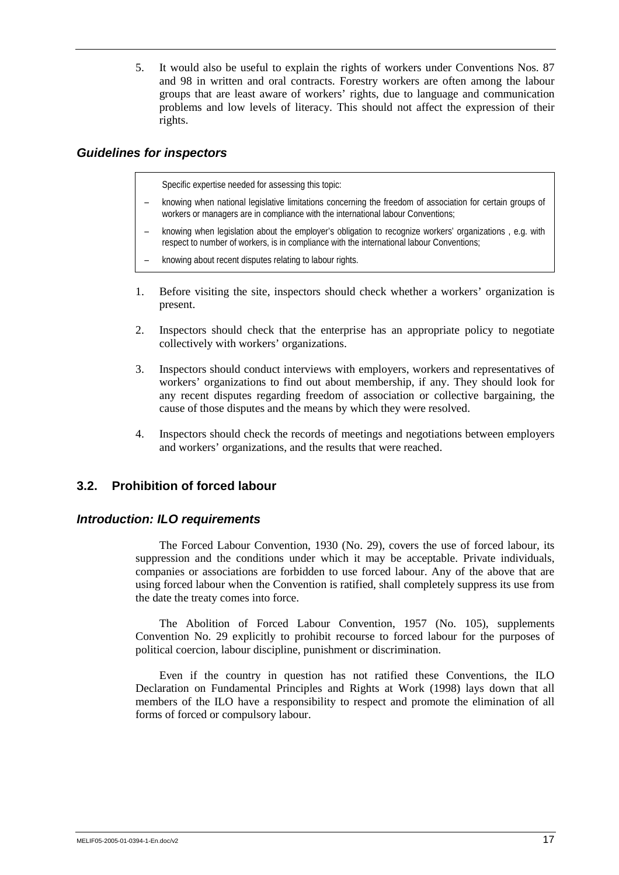5. It would also be useful to explain the rights of workers under Conventions Nos. 87 and 98 in written and oral contracts. Forestry workers are often among the labour groups that are least aware of workers' rights, due to language and communication problems and low levels of literacy. This should not affect the expression of their rights.

## *Guidelines for inspectors*

Specific expertise needed for assessing this topic:

- knowing when national legislative limitations concerning the freedom of association for certain groups of workers or managers are in compliance with the international labour Conventions;
- knowing when legislation about the employer's obligation to recognize workers' organizations , e.g. with respect to number of workers, is in compliance with the international labour Conventions;
- knowing about recent disputes relating to labour rights.
- 1. Before visiting the site, inspectors should check whether a workers' organization is present.
- 2. Inspectors should check that the enterprise has an appropriate policy to negotiate collectively with workers' organizations.
- 3. Inspectors should conduct interviews with employers, workers and representatives of workers' organizations to find out about membership, if any. They should look for any recent disputes regarding freedom of association or collective bargaining, the cause of those disputes and the means by which they were resolved.
- 4. Inspectors should check the records of meetings and negotiations between employers and workers' organizations, and the results that were reached.

## **3.2. Prohibition of forced labour**

### *Introduction: ILO requirements*

The Forced Labour Convention, 1930 (No. 29), covers the use of forced labour, its suppression and the conditions under which it may be acceptable. Private individuals, companies or associations are forbidden to use forced labour. Any of the above that are using forced labour when the Convention is ratified, shall completely suppress its use from the date the treaty comes into force.

The Abolition of Forced Labour Convention, 1957 (No. 105), supplements Convention No. 29 explicitly to prohibit recourse to forced labour for the purposes of political coercion, labour discipline, punishment or discrimination.

Even if the country in question has not ratified these Conventions, the ILO Declaration on Fundamental Principles and Rights at Work (1998) lays down that all members of the ILO have a responsibility to respect and promote the elimination of all forms of forced or compulsory labour.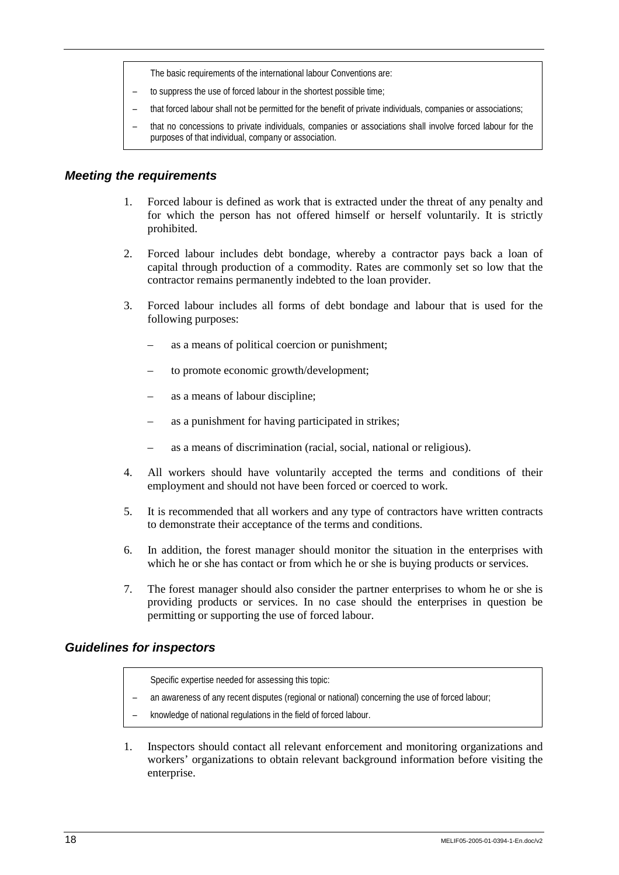The basic requirements of the international labour Conventions are:

- to suppress the use of forced labour in the shortest possible time;
- that forced labour shall not be permitted for the benefit of private individuals, companies or associations;
- that no concessions to private individuals, companies or associations shall involve forced labour for the purposes of that individual, company or association.

### *Meeting the requirements*

- 1. Forced labour is defined as work that is extracted under the threat of any penalty and for which the person has not offered himself or herself voluntarily. It is strictly prohibited.
- 2. Forced labour includes debt bondage, whereby a contractor pays back a loan of capital through production of a commodity. Rates are commonly set so low that the contractor remains permanently indebted to the loan provider.
- 3. Forced labour includes all forms of debt bondage and labour that is used for the following purposes:
	- as a means of political coercion or punishment;
	- to promote economic growth/development;
	- as a means of labour discipline;
	- as a punishment for having participated in strikes;
	- as a means of discrimination (racial, social, national or religious).
- 4. All workers should have voluntarily accepted the terms and conditions of their employment and should not have been forced or coerced to work.
- 5. It is recommended that all workers and any type of contractors have written contracts to demonstrate their acceptance of the terms and conditions.
- 6. In addition, the forest manager should monitor the situation in the enterprises with which he or she has contact or from which he or she is buying products or services.
- 7. The forest manager should also consider the partner enterprises to whom he or she is providing products or services. In no case should the enterprises in question be permitting or supporting the use of forced labour.

#### *Guidelines for inspectors*

Specific expertise needed for assessing this topic:

- an awareness of any recent disputes (regional or national) concerning the use of forced labour;
- knowledge of national regulations in the field of forced labour.
- 1. Inspectors should contact all relevant enforcement and monitoring organizations and workers' organizations to obtain relevant background information before visiting the enterprise.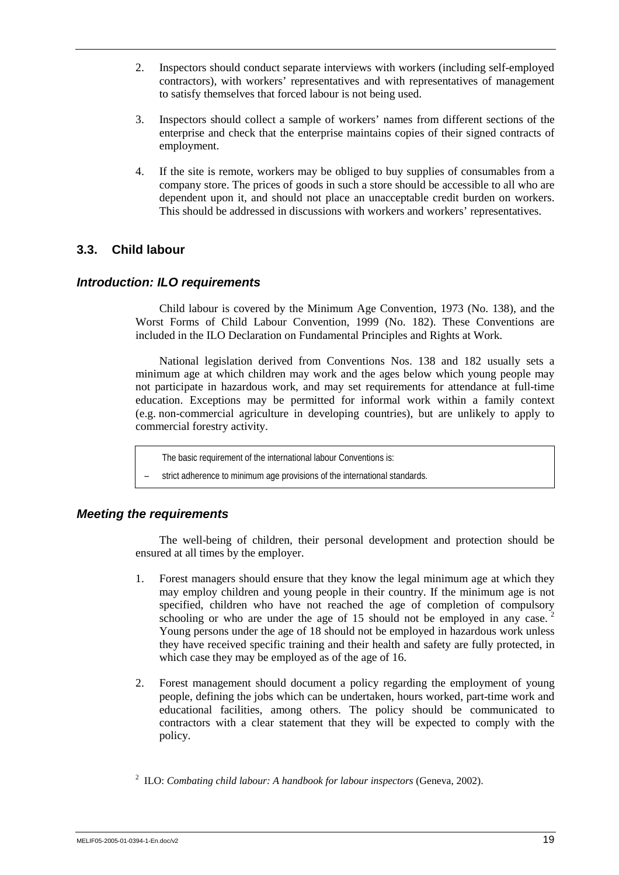- 2. Inspectors should conduct separate interviews with workers (including self-employed contractors), with workers' representatives and with representatives of management to satisfy themselves that forced labour is not being used.
- 3. Inspectors should collect a sample of workers' names from different sections of the enterprise and check that the enterprise maintains copies of their signed contracts of employment.
- 4. If the site is remote, workers may be obliged to buy supplies of consumables from a company store. The prices of goods in such a store should be accessible to all who are dependent upon it, and should not place an unacceptable credit burden on workers. This should be addressed in discussions with workers and workers' representatives.

## **3.3. Child labour**

## *Introduction: ILO requirements*

Child labour is covered by the Minimum Age Convention, 1973 (No. 138), and the Worst Forms of Child Labour Convention, 1999 (No. 182). These Conventions are included in the ILO Declaration on Fundamental Principles and Rights at Work.

National legislation derived from Conventions Nos. 138 and 182 usually sets a minimum age at which children may work and the ages below which young people may not participate in hazardous work, and may set requirements for attendance at full-time education. Exceptions may be permitted for informal work within a family context (e.g. non-commercial agriculture in developing countries), but are unlikely to apply to commercial forestry activity.

The basic requirement of the international labour Conventions is:

– strict adherence to minimum age provisions of the international standards.

#### *Meeting the requirements*

The well-being of children, their personal development and protection should be ensured at all times by the employer.

- 1. Forest managers should ensure that they know the legal minimum age at which they may employ children and young people in their country. If the minimum age is not specified, children who have not reached the age of completion of compulsory schooling or who are under the age of 15 should not be employed in any case. Young persons under the age of 18 should not be employed in hazardous work unless they have received specific training and their health and safety are fully protected, in which case they may be employed as of the age of 16.
- 2. Forest management should document a policy regarding the employment of young people, defining the jobs which can be undertaken, hours worked, part-time work and educational facilities, among others. The policy should be communicated to contractors with a clear statement that they will be expected to comply with the policy.

<sup>2</sup> ILO: *Combating child labour: A handbook for labour inspectors* (Geneva, 2002).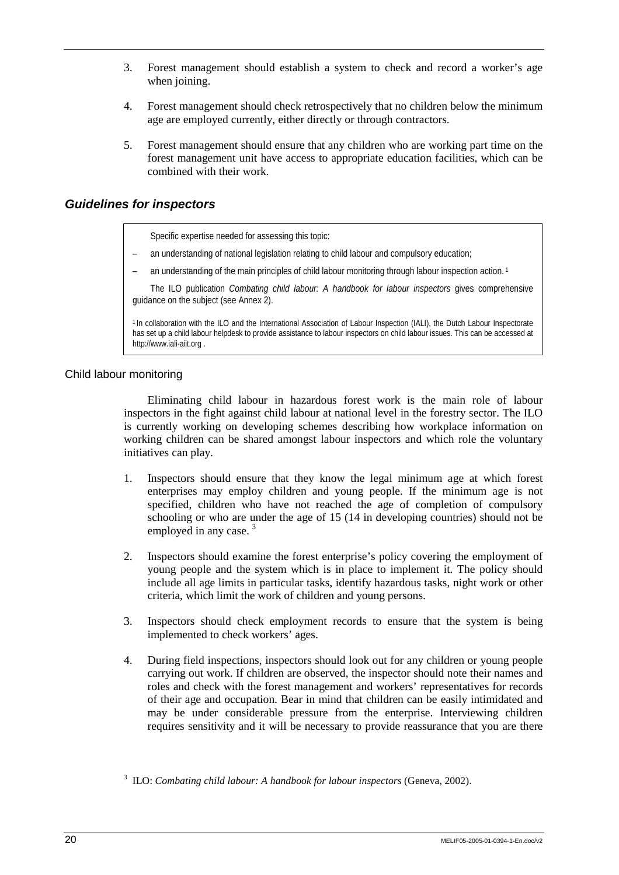- 3. Forest management should establish a system to check and record a worker's age when joining.
- 4. Forest management should check retrospectively that no children below the minimum age are employed currently, either directly or through contractors.
- 5. Forest management should ensure that any children who are working part time on the forest management unit have access to appropriate education facilities, which can be combined with their work.

## *Guidelines for inspectors*

Specific expertise needed for assessing this topic:

- an understanding of national legislation relating to child labour and compulsory education;
- an understanding of the main principles of child labour monitoring through labour inspection action.<sup>1</sup>

The ILO publication *Combating child labour: A handbook for labour inspectors* gives comprehensive guidance on the subject (see Annex 2).

1 In collaboration with the ILO and the International Association of Labour Inspection (IALI), the Dutch Labour Inspectorate has set up a child labour helpdesk to provide assistance to labour inspectors on child labour issues. This can be accessed at http://www.iali-aiit.org.

#### Child labour monitoring

Eliminating child labour in hazardous forest work is the main role of labour inspectors in the fight against child labour at national level in the forestry sector. The ILO is currently working on developing schemes describing how workplace information on working children can be shared amongst labour inspectors and which role the voluntary initiatives can play.

- 1. Inspectors should ensure that they know the legal minimum age at which forest enterprises may employ children and young people. If the minimum age is not specified, children who have not reached the age of completion of compulsory schooling or who are under the age of 15 (14 in developing countries) should not be employed in any case.<sup>3</sup>
- 2. Inspectors should examine the forest enterprise's policy covering the employment of young people and the system which is in place to implement it. The policy should include all age limits in particular tasks, identify hazardous tasks, night work or other criteria, which limit the work of children and young persons.
- 3. Inspectors should check employment records to ensure that the system is being implemented to check workers' ages.
- 4. During field inspections, inspectors should look out for any children or young people carrying out work. If children are observed, the inspector should note their names and roles and check with the forest management and workers' representatives for records of their age and occupation. Bear in mind that children can be easily intimidated and may be under considerable pressure from the enterprise. Interviewing children requires sensitivity and it will be necessary to provide reassurance that you are there

<sup>3</sup> ILO: *Combating child labour: A handbook for labour inspectors* (Geneva, 2002).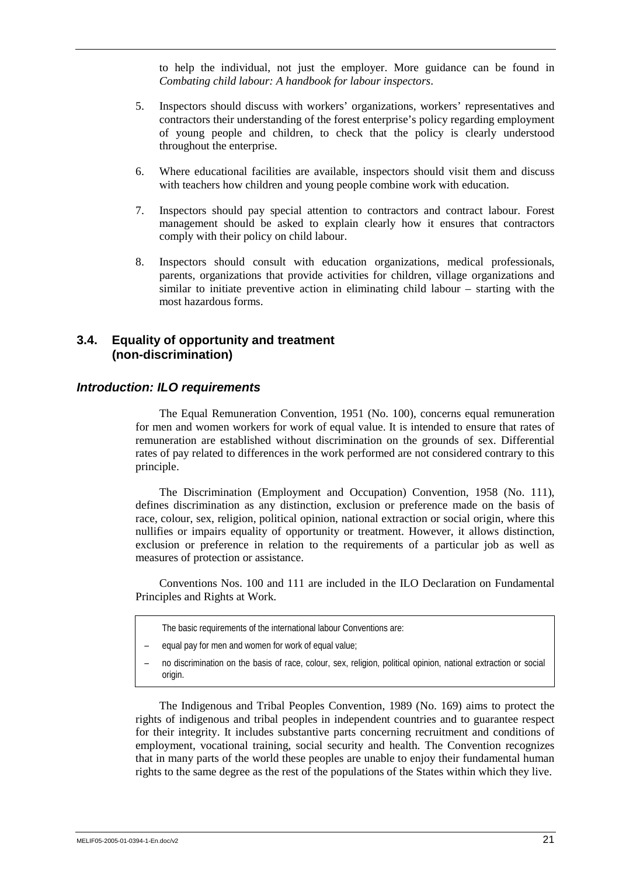to help the individual, not just the employer. More guidance can be found in *Combating child labour: A handbook for labour inspectors*.

- 5. Inspectors should discuss with workers' organizations, workers' representatives and contractors their understanding of the forest enterprise's policy regarding employment of young people and children, to check that the policy is clearly understood throughout the enterprise.
- 6. Where educational facilities are available, inspectors should visit them and discuss with teachers how children and young people combine work with education.
- 7. Inspectors should pay special attention to contractors and contract labour. Forest management should be asked to explain clearly how it ensures that contractors comply with their policy on child labour.
- 8. Inspectors should consult with education organizations, medical professionals, parents, organizations that provide activities for children, village organizations and similar to initiate preventive action in eliminating child labour – starting with the most hazardous forms.

## **3.4. Equality of opportunity and treatment (non-discrimination)**

#### *Introduction: ILO requirements*

The Equal Remuneration Convention, 1951 (No. 100), concerns equal remuneration for men and women workers for work of equal value. It is intended to ensure that rates of remuneration are established without discrimination on the grounds of sex. Differential rates of pay related to differences in the work performed are not considered contrary to this principle.

The Discrimination (Employment and Occupation) Convention, 1958 (No. 111), defines discrimination as any distinction, exclusion or preference made on the basis of race, colour, sex, religion, political opinion, national extraction or social origin, where this nullifies or impairs equality of opportunity or treatment. However, it allows distinction, exclusion or preference in relation to the requirements of a particular job as well as measures of protection or assistance.

Conventions Nos. 100 and 111 are included in the ILO Declaration on Fundamental Principles and Rights at Work.

- The basic requirements of the international labour Conventions are:
- equal pay for men and women for work of equal value;
- no discrimination on the basis of race, colour, sex, religion, political opinion, national extraction or social origin.

The Indigenous and Tribal Peoples Convention, 1989 (No. 169) aims to protect the rights of indigenous and tribal peoples in independent countries and to guarantee respect for their integrity. It includes substantive parts concerning recruitment and conditions of employment, vocational training, social security and health. The Convention recognizes that in many parts of the world these peoples are unable to enjoy their fundamental human rights to the same degree as the rest of the populations of the States within which they live.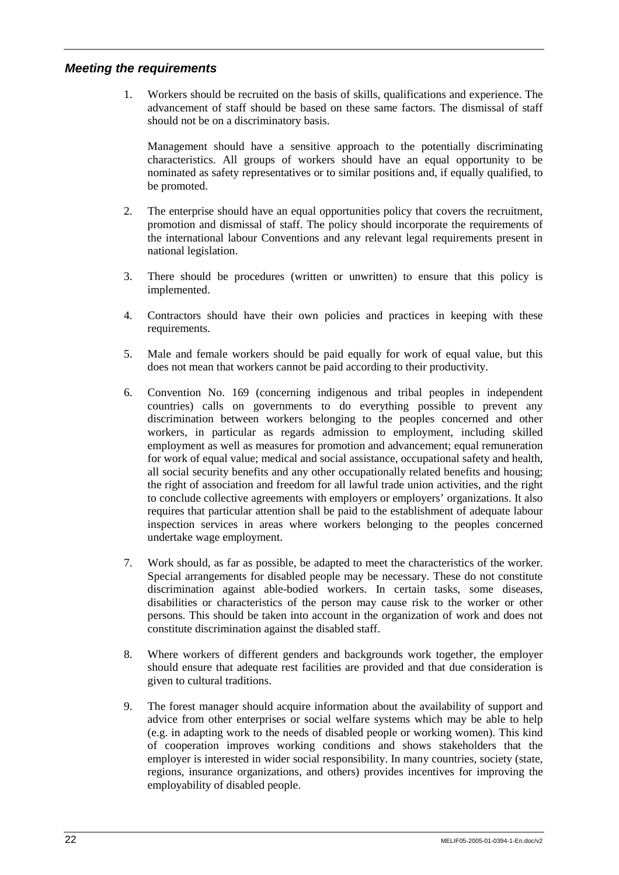## *Meeting the requirements*

1. Workers should be recruited on the basis of skills, qualifications and experience. The advancement of staff should be based on these same factors. The dismissal of staff should not be on a discriminatory basis.

 Management should have a sensitive approach to the potentially discriminating characteristics. All groups of workers should have an equal opportunity to be nominated as safety representatives or to similar positions and, if equally qualified, to be promoted.

- 2. The enterprise should have an equal opportunities policy that covers the recruitment, promotion and dismissal of staff. The policy should incorporate the requirements of the international labour Conventions and any relevant legal requirements present in national legislation.
- 3. There should be procedures (written or unwritten) to ensure that this policy is implemented.
- 4. Contractors should have their own policies and practices in keeping with these requirements.
- 5. Male and female workers should be paid equally for work of equal value, but this does not mean that workers cannot be paid according to their productivity.
- 6. Convention No. 169 (concerning indigenous and tribal peoples in independent countries) calls on governments to do everything possible to prevent any discrimination between workers belonging to the peoples concerned and other workers, in particular as regards admission to employment, including skilled employment as well as measures for promotion and advancement; equal remuneration for work of equal value; medical and social assistance, occupational safety and health, all social security benefits and any other occupationally related benefits and housing; the right of association and freedom for all lawful trade union activities, and the right to conclude collective agreements with employers or employers' organizations. It also requires that particular attention shall be paid to the establishment of adequate labour inspection services in areas where workers belonging to the peoples concerned undertake wage employment.
- 7. Work should, as far as possible, be adapted to meet the characteristics of the worker. Special arrangements for disabled people may be necessary. These do not constitute discrimination against able-bodied workers. In certain tasks, some diseases, disabilities or characteristics of the person may cause risk to the worker or other persons. This should be taken into account in the organization of work and does not constitute discrimination against the disabled staff.
- 8. Where workers of different genders and backgrounds work together, the employer should ensure that adequate rest facilities are provided and that due consideration is given to cultural traditions.
- 9. The forest manager should acquire information about the availability of support and advice from other enterprises or social welfare systems which may be able to help (e.g. in adapting work to the needs of disabled people or working women). This kind of cooperation improves working conditions and shows stakeholders that the employer is interested in wider social responsibility. In many countries, society (state, regions, insurance organizations, and others) provides incentives for improving the employability of disabled people.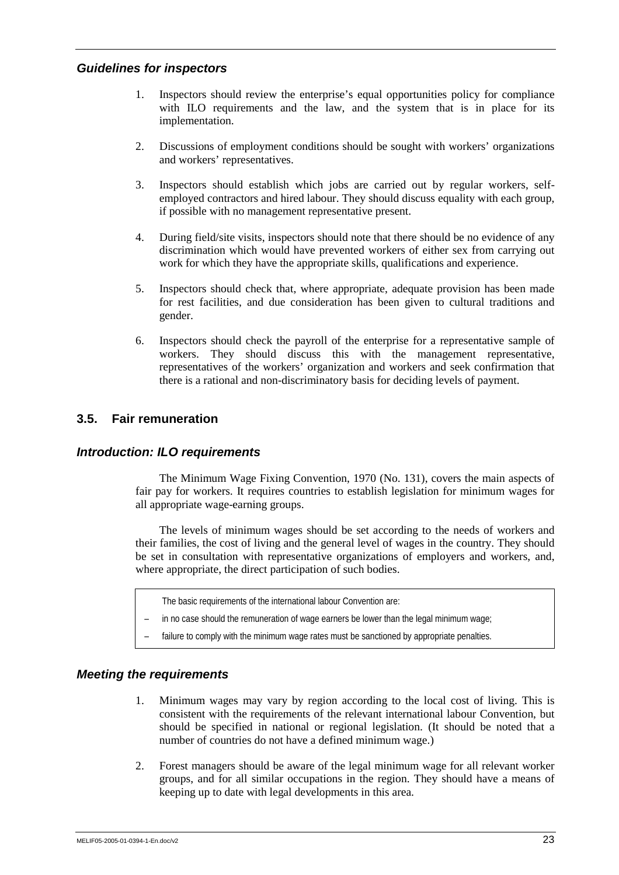## *Guidelines for inspectors*

- 1. Inspectors should review the enterprise's equal opportunities policy for compliance with ILO requirements and the law, and the system that is in place for its implementation.
- 2. Discussions of employment conditions should be sought with workers' organizations and workers' representatives.
- 3. Inspectors should establish which jobs are carried out by regular workers, selfemployed contractors and hired labour. They should discuss equality with each group, if possible with no management representative present.
- 4. During field/site visits, inspectors should note that there should be no evidence of any discrimination which would have prevented workers of either sex from carrying out work for which they have the appropriate skills, qualifications and experience.
- 5. Inspectors should check that, where appropriate, adequate provision has been made for rest facilities, and due consideration has been given to cultural traditions and gender.
- 6. Inspectors should check the payroll of the enterprise for a representative sample of workers. They should discuss this with the management representative, representatives of the workers' organization and workers and seek confirmation that there is a rational and non-discriminatory basis for deciding levels of payment.

## **3.5. Fair remuneration**

## *Introduction: ILO requirements*

The Minimum Wage Fixing Convention, 1970 (No. 131), covers the main aspects of fair pay for workers. It requires countries to establish legislation for minimum wages for all appropriate wage-earning groups.

The levels of minimum wages should be set according to the needs of workers and their families, the cost of living and the general level of wages in the country. They should be set in consultation with representative organizations of employers and workers, and, where appropriate, the direct participation of such bodies.

- The basic requirements of the international labour Convention are:
- in no case should the remuneration of wage earners be lower than the legal minimum wage;
- failure to comply with the minimum wage rates must be sanctioned by appropriate penalties.

## *Meeting the requirements*

- 1. Minimum wages may vary by region according to the local cost of living. This is consistent with the requirements of the relevant international labour Convention, but should be specified in national or regional legislation. (It should be noted that a number of countries do not have a defined minimum wage.)
- 2. Forest managers should be aware of the legal minimum wage for all relevant worker groups, and for all similar occupations in the region. They should have a means of keeping up to date with legal developments in this area.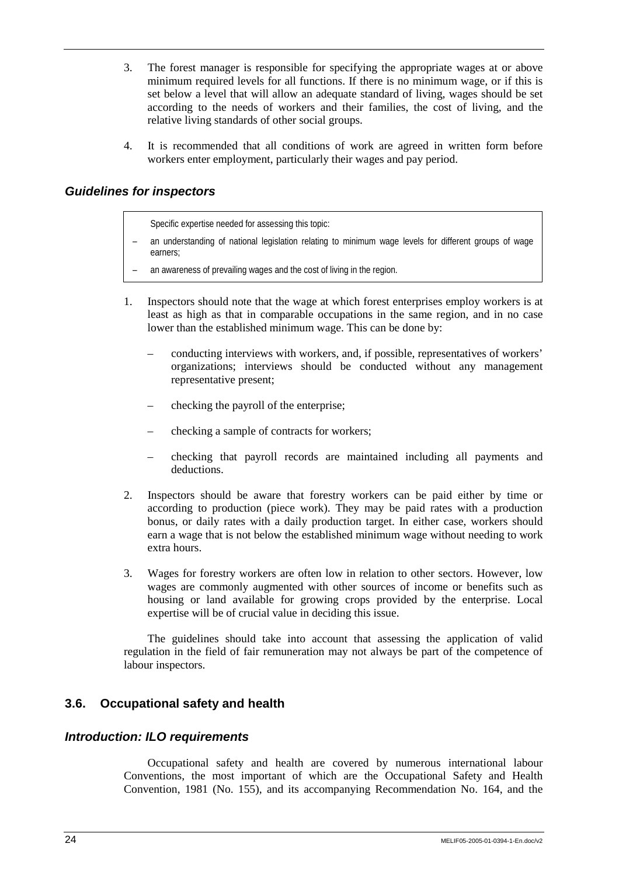- 3. The forest manager is responsible for specifying the appropriate wages at or above minimum required levels for all functions. If there is no minimum wage, or if this is set below a level that will allow an adequate standard of living, wages should be set according to the needs of workers and their families, the cost of living, and the relative living standards of other social groups.
- 4. It is recommended that all conditions of work are agreed in written form before workers enter employment, particularly their wages and pay period.

## *Guidelines for inspectors*

Specific expertise needed for assessing this topic:

- an understanding of national legislation relating to minimum wage levels for different groups of wage earners;
- an awareness of prevailing wages and the cost of living in the region.
- 1. Inspectors should note that the wage at which forest enterprises employ workers is at least as high as that in comparable occupations in the same region, and in no case lower than the established minimum wage. This can be done by:
	- conducting interviews with workers, and, if possible, representatives of workers' organizations; interviews should be conducted without any management representative present;
	- checking the payroll of the enterprise;
	- checking a sample of contracts for workers;
	- checking that payroll records are maintained including all payments and deductions.
- 2. Inspectors should be aware that forestry workers can be paid either by time or according to production (piece work). They may be paid rates with a production bonus, or daily rates with a daily production target. In either case, workers should earn a wage that is not below the established minimum wage without needing to work extra hours.
- 3. Wages for forestry workers are often low in relation to other sectors. However, low wages are commonly augmented with other sources of income or benefits such as housing or land available for growing crops provided by the enterprise. Local expertise will be of crucial value in deciding this issue.

The guidelines should take into account that assessing the application of valid regulation in the field of fair remuneration may not always be part of the competence of labour inspectors.

## **3.6. Occupational safety and health**

### *Introduction: ILO requirements*

Occupational safety and health are covered by numerous international labour Conventions, the most important of which are the Occupational Safety and Health Convention, 1981 (No. 155), and its accompanying Recommendation No. 164, and the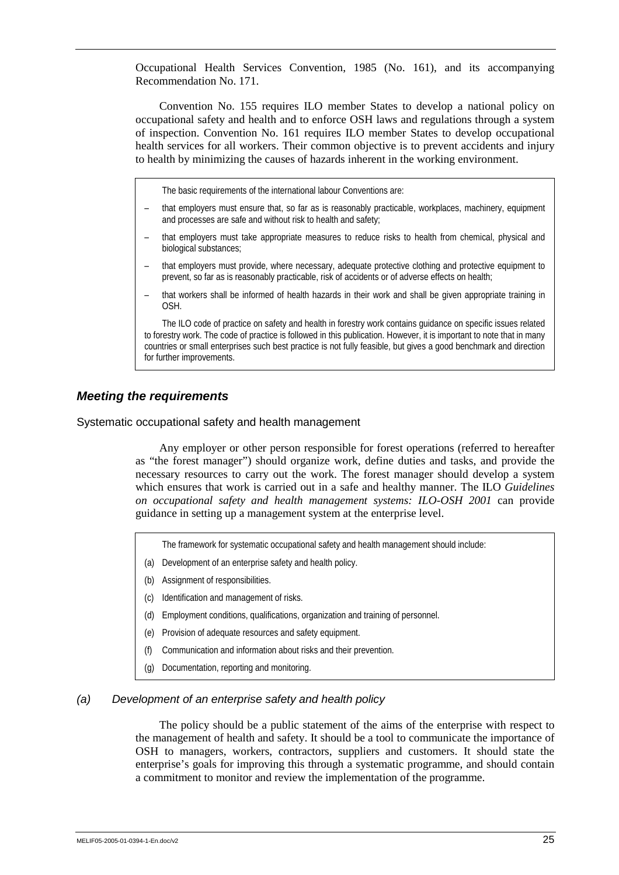Occupational Health Services Convention, 1985 (No. 161), and its accompanying Recommendation No. 171.

Convention No. 155 requires ILO member States to develop a national policy on occupational safety and health and to enforce OSH laws and regulations through a system of inspection. Convention No. 161 requires ILO member States to develop occupational health services for all workers. Their common objective is to prevent accidents and injury to health by minimizing the causes of hazards inherent in the working environment.

The basic requirements of the international labour Conventions are:

- that employers must ensure that, so far as is reasonably practicable, workplaces, machinery, equipment and processes are safe and without risk to health and safety;
- that employers must take appropriate measures to reduce risks to health from chemical, physical and biological substances;
- that employers must provide, where necessary, adequate protective clothing and protective equipment to prevent, so far as is reasonably practicable, risk of accidents or of adverse effects on health;
- that workers shall be informed of health hazards in their work and shall be given appropriate training in OSH.

The ILO code of practice on safety and health in forestry work contains guidance on specific issues related to forestry work. The code of practice is followed in this publication. However, it is important to note that in many countries or small enterprises such best practice is not fully feasible, but gives a good benchmark and direction for further improvements.

### *Meeting the requirements*

Systematic occupational safety and health management

Any employer or other person responsible for forest operations (referred to hereafter as "the forest manager") should organize work, define duties and tasks, and provide the necessary resources to carry out the work. The forest manager should develop a system which ensures that work is carried out in a safe and healthy manner. The ILO *Guidelines on occupational safety and health management systems: ILO-OSH 2001* can provide guidance in setting up a management system at the enterprise level.

- The framework for systematic occupational safety and health management should include:
- (a) Development of an enterprise safety and health policy.
- (b) Assignment of responsibilities.
- (c) Identification and management of risks.
- (d) Employment conditions, qualifications, organization and training of personnel.
- (e) Provision of adequate resources and safety equipment.
- (f) Communication and information about risks and their prevention.
- (g) Documentation, reporting and monitoring.

#### *(a) Development of an enterprise safety and health policy*

The policy should be a public statement of the aims of the enterprise with respect to the management of health and safety. It should be a tool to communicate the importance of OSH to managers, workers, contractors, suppliers and customers. It should state the enterprise's goals for improving this through a systematic programme, and should contain a commitment to monitor and review the implementation of the programme.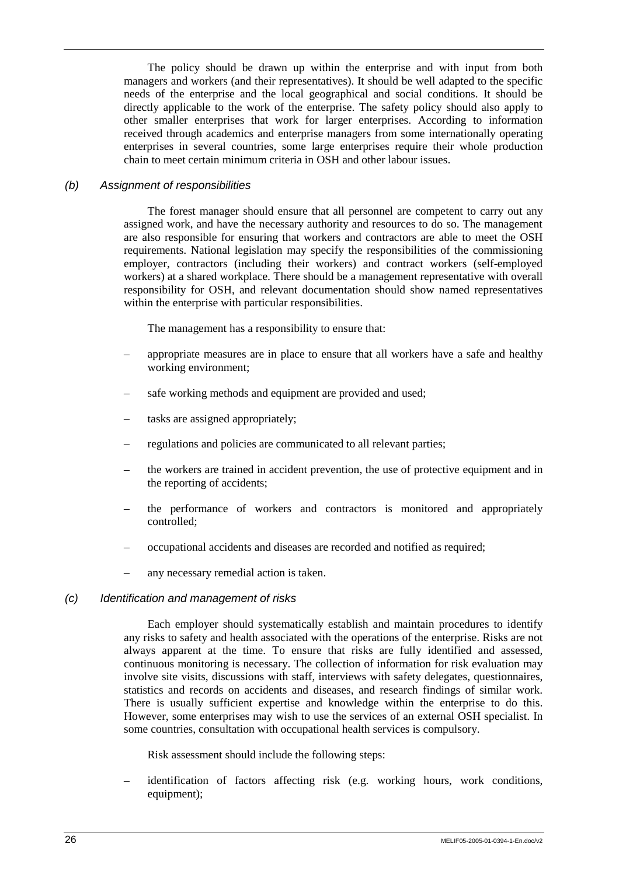The policy should be drawn up within the enterprise and with input from both managers and workers (and their representatives). It should be well adapted to the specific needs of the enterprise and the local geographical and social conditions. It should be directly applicable to the work of the enterprise. The safety policy should also apply to other smaller enterprises that work for larger enterprises. According to information received through academics and enterprise managers from some internationally operating enterprises in several countries, some large enterprises require their whole production chain to meet certain minimum criteria in OSH and other labour issues.

#### *(b) Assignment of responsibilities*

The forest manager should ensure that all personnel are competent to carry out any assigned work, and have the necessary authority and resources to do so. The management are also responsible for ensuring that workers and contractors are able to meet the OSH requirements. National legislation may specify the responsibilities of the commissioning employer, contractors (including their workers) and contract workers (self-employed workers) at a shared workplace. There should be a management representative with overall responsibility for OSH, and relevant documentation should show named representatives within the enterprise with particular responsibilities.

The management has a responsibility to ensure that:

- appropriate measures are in place to ensure that all workers have a safe and healthy working environment;
- safe working methods and equipment are provided and used:
- tasks are assigned appropriately;
- regulations and policies are communicated to all relevant parties;
- the workers are trained in accident prevention, the use of protective equipment and in the reporting of accidents;
- the performance of workers and contractors is monitored and appropriately controlled;
- occupational accidents and diseases are recorded and notified as required;
- any necessary remedial action is taken.

## *(c) Identification and management of risks*

Each employer should systematically establish and maintain procedures to identify any risks to safety and health associated with the operations of the enterprise. Risks are not always apparent at the time. To ensure that risks are fully identified and assessed, continuous monitoring is necessary. The collection of information for risk evaluation may involve site visits, discussions with staff, interviews with safety delegates, questionnaires, statistics and records on accidents and diseases, and research findings of similar work. There is usually sufficient expertise and knowledge within the enterprise to do this. However, some enterprises may wish to use the services of an external OSH specialist. In some countries, consultation with occupational health services is compulsory.

Risk assessment should include the following steps:

– identification of factors affecting risk (e.g. working hours, work conditions, equipment);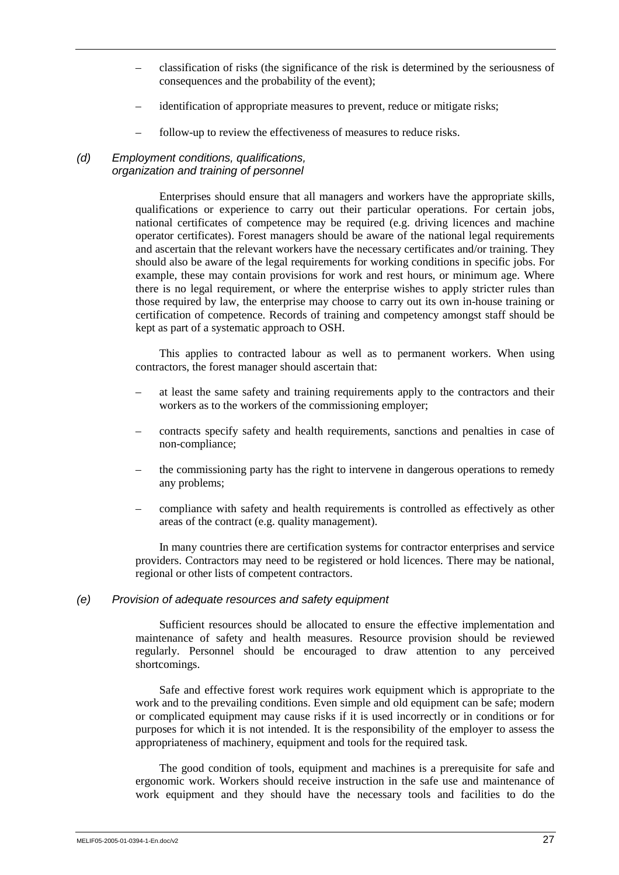- classification of risks (the significance of the risk is determined by the seriousness of consequences and the probability of the event);
- identification of appropriate measures to prevent, reduce or mitigate risks;
- follow-up to review the effectiveness of measures to reduce risks.

#### *(d) Employment conditions, qualifications, organization and training of personnel*

Enterprises should ensure that all managers and workers have the appropriate skills, qualifications or experience to carry out their particular operations. For certain jobs, national certificates of competence may be required (e.g. driving licences and machine operator certificates). Forest managers should be aware of the national legal requirements and ascertain that the relevant workers have the necessary certificates and/or training. They should also be aware of the legal requirements for working conditions in specific jobs. For example, these may contain provisions for work and rest hours, or minimum age. Where there is no legal requirement, or where the enterprise wishes to apply stricter rules than those required by law, the enterprise may choose to carry out its own in-house training or certification of competence. Records of training and competency amongst staff should be kept as part of a systematic approach to OSH.

This applies to contracted labour as well as to permanent workers. When using contractors, the forest manager should ascertain that:

- at least the same safety and training requirements apply to the contractors and their workers as to the workers of the commissioning employer;
- contracts specify safety and health requirements, sanctions and penalties in case of non-compliance;
- the commissioning party has the right to intervene in dangerous operations to remedy any problems;
- compliance with safety and health requirements is controlled as effectively as other areas of the contract (e.g. quality management).

In many countries there are certification systems for contractor enterprises and service providers. Contractors may need to be registered or hold licences. There may be national, regional or other lists of competent contractors.

#### *(e) Provision of adequate resources and safety equipment*

Sufficient resources should be allocated to ensure the effective implementation and maintenance of safety and health measures. Resource provision should be reviewed regularly. Personnel should be encouraged to draw attention to any perceived shortcomings.

Safe and effective forest work requires work equipment which is appropriate to the work and to the prevailing conditions. Even simple and old equipment can be safe; modern or complicated equipment may cause risks if it is used incorrectly or in conditions or for purposes for which it is not intended. It is the responsibility of the employer to assess the appropriateness of machinery, equipment and tools for the required task.

The good condition of tools, equipment and machines is a prerequisite for safe and ergonomic work. Workers should receive instruction in the safe use and maintenance of work equipment and they should have the necessary tools and facilities to do the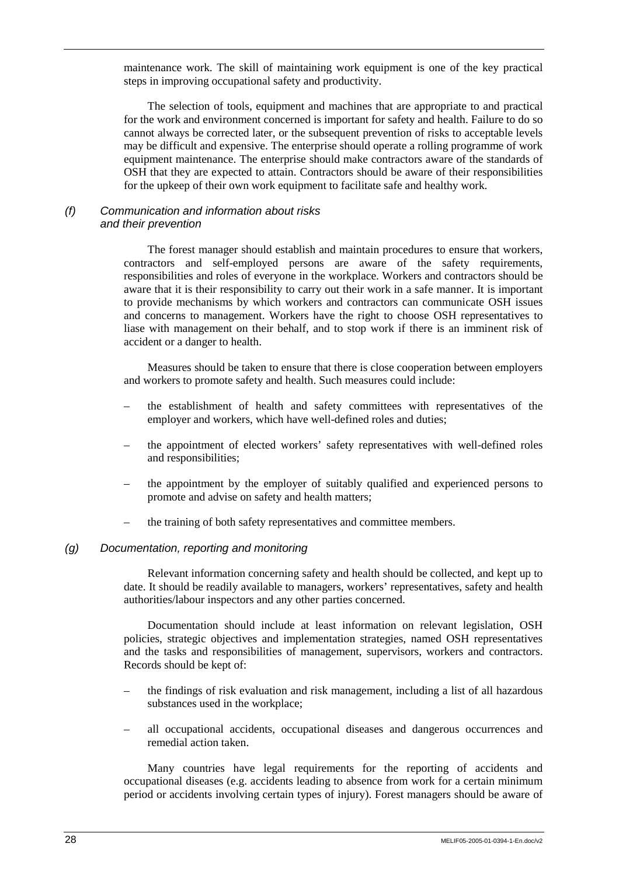maintenance work. The skill of maintaining work equipment is one of the key practical steps in improving occupational safety and productivity.

The selection of tools, equipment and machines that are appropriate to and practical for the work and environment concerned is important for safety and health. Failure to do so cannot always be corrected later, or the subsequent prevention of risks to acceptable levels may be difficult and expensive. The enterprise should operate a rolling programme of work equipment maintenance. The enterprise should make contractors aware of the standards of OSH that they are expected to attain. Contractors should be aware of their responsibilities for the upkeep of their own work equipment to facilitate safe and healthy work.

## *(f) Communication and information about risks and their prevention*

The forest manager should establish and maintain procedures to ensure that workers, contractors and self-employed persons are aware of the safety requirements, responsibilities and roles of everyone in the workplace. Workers and contractors should be aware that it is their responsibility to carry out their work in a safe manner. It is important to provide mechanisms by which workers and contractors can communicate OSH issues and concerns to management. Workers have the right to choose OSH representatives to liase with management on their behalf, and to stop work if there is an imminent risk of accident or a danger to health.

Measures should be taken to ensure that there is close cooperation between employers and workers to promote safety and health. Such measures could include:

- the establishment of health and safety committees with representatives of the employer and workers, which have well-defined roles and duties;
- the appointment of elected workers' safety representatives with well-defined roles and responsibilities;
- the appointment by the employer of suitably qualified and experienced persons to promote and advise on safety and health matters;
- the training of both safety representatives and committee members.

#### *(g) Documentation, reporting and monitoring*

Relevant information concerning safety and health should be collected, and kept up to date. It should be readily available to managers, workers' representatives, safety and health authorities/labour inspectors and any other parties concerned.

Documentation should include at least information on relevant legislation, OSH policies, strategic objectives and implementation strategies, named OSH representatives and the tasks and responsibilities of management, supervisors, workers and contractors. Records should be kept of:

- the findings of risk evaluation and risk management, including a list of all hazardous substances used in the workplace;
- all occupational accidents, occupational diseases and dangerous occurrences and remedial action taken.

Many countries have legal requirements for the reporting of accidents and occupational diseases (e.g. accidents leading to absence from work for a certain minimum period or accidents involving certain types of injury). Forest managers should be aware of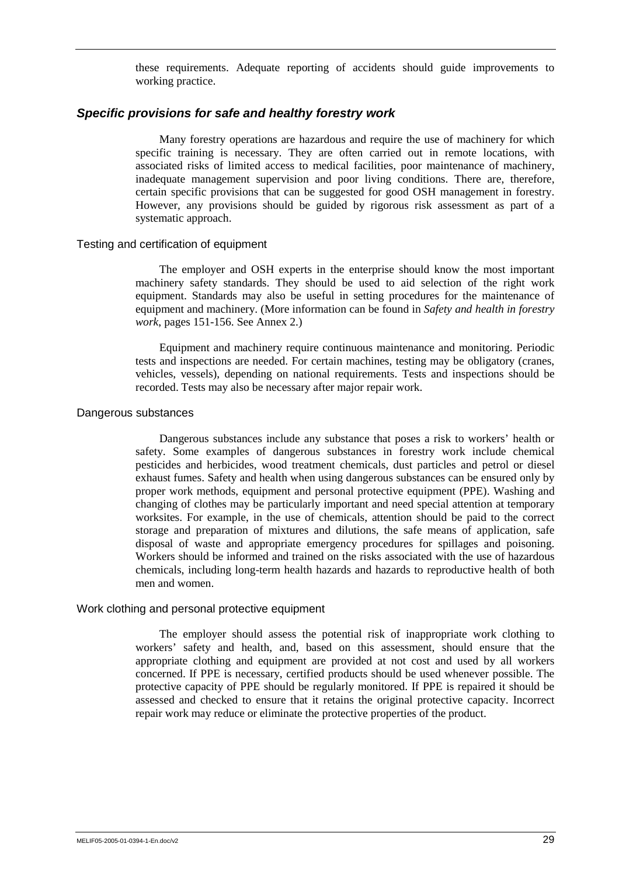these requirements. Adequate reporting of accidents should guide improvements to working practice.

#### *Specific provisions for safe and healthy forestry work*

Many forestry operations are hazardous and require the use of machinery for which specific training is necessary. They are often carried out in remote locations, with associated risks of limited access to medical facilities, poor maintenance of machinery, inadequate management supervision and poor living conditions. There are, therefore, certain specific provisions that can be suggested for good OSH management in forestry. However, any provisions should be guided by rigorous risk assessment as part of a systematic approach.

#### Testing and certification of equipment

The employer and OSH experts in the enterprise should know the most important machinery safety standards. They should be used to aid selection of the right work equipment. Standards may also be useful in setting procedures for the maintenance of equipment and machinery. (More information can be found in *Safety and health in forestry work*, pages 151-156. See Annex 2.)

Equipment and machinery require continuous maintenance and monitoring. Periodic tests and inspections are needed. For certain machines, testing may be obligatory (cranes, vehicles, vessels), depending on national requirements. Tests and inspections should be recorded. Tests may also be necessary after major repair work.

#### Dangerous substances

Dangerous substances include any substance that poses a risk to workers' health or safety. Some examples of dangerous substances in forestry work include chemical pesticides and herbicides, wood treatment chemicals, dust particles and petrol or diesel exhaust fumes. Safety and health when using dangerous substances can be ensured only by proper work methods, equipment and personal protective equipment (PPE). Washing and changing of clothes may be particularly important and need special attention at temporary worksites. For example, in the use of chemicals, attention should be paid to the correct storage and preparation of mixtures and dilutions, the safe means of application, safe disposal of waste and appropriate emergency procedures for spillages and poisoning. Workers should be informed and trained on the risks associated with the use of hazardous chemicals, including long-term health hazards and hazards to reproductive health of both men and women.

#### Work clothing and personal protective equipment

The employer should assess the potential risk of inappropriate work clothing to workers' safety and health, and, based on this assessment, should ensure that the appropriate clothing and equipment are provided at not cost and used by all workers concerned. If PPE is necessary, certified products should be used whenever possible. The protective capacity of PPE should be regularly monitored. If PPE is repaired it should be assessed and checked to ensure that it retains the original protective capacity. Incorrect repair work may reduce or eliminate the protective properties of the product.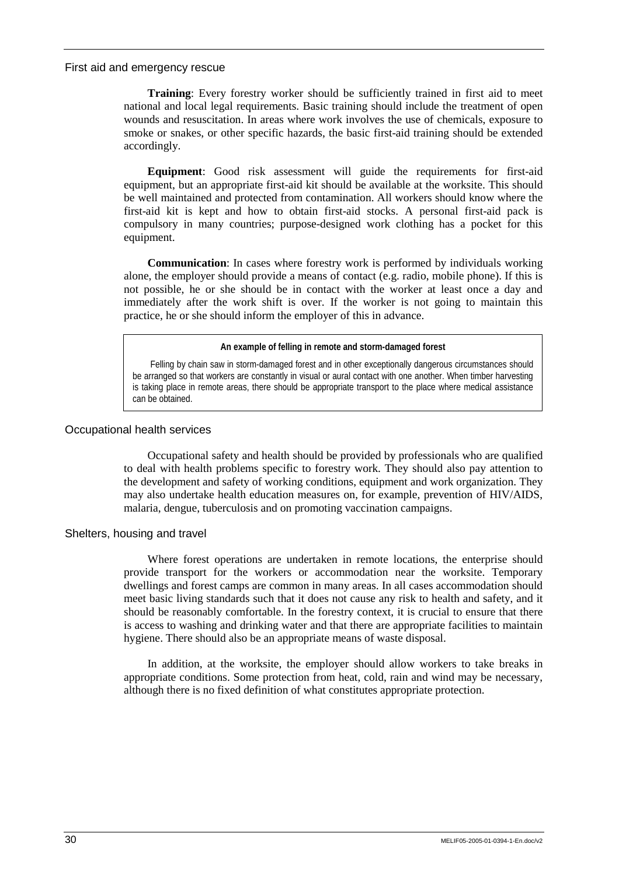#### First aid and emergency rescue

**Training**: Every forestry worker should be sufficiently trained in first aid to meet national and local legal requirements. Basic training should include the treatment of open wounds and resuscitation. In areas where work involves the use of chemicals, exposure to smoke or snakes, or other specific hazards, the basic first-aid training should be extended accordingly.

**Equipment**: Good risk assessment will guide the requirements for first-aid equipment, but an appropriate first-aid kit should be available at the worksite. This should be well maintained and protected from contamination. All workers should know where the first-aid kit is kept and how to obtain first-aid stocks. A personal first-aid pack is compulsory in many countries; purpose-designed work clothing has a pocket for this equipment.

**Communication**: In cases where forestry work is performed by individuals working alone, the employer should provide a means of contact (e.g. radio, mobile phone). If this is not possible, he or she should be in contact with the worker at least once a day and immediately after the work shift is over. If the worker is not going to maintain this practice, he or she should inform the employer of this in advance.

#### **An example of felling in remote and storm-damaged forest**

Felling by chain saw in storm-damaged forest and in other exceptionally dangerous circumstances should be arranged so that workers are constantly in visual or aural contact with one another. When timber harvesting is taking place in remote areas, there should be appropriate transport to the place where medical assistance can be obtained.

#### Occupational health services

Occupational safety and health should be provided by professionals who are qualified to deal with health problems specific to forestry work. They should also pay attention to the development and safety of working conditions, equipment and work organization. They may also undertake health education measures on, for example, prevention of HIV/AIDS, malaria, dengue, tuberculosis and on promoting vaccination campaigns.

#### Shelters, housing and travel

Where forest operations are undertaken in remote locations, the enterprise should provide transport for the workers or accommodation near the worksite. Temporary dwellings and forest camps are common in many areas. In all cases accommodation should meet basic living standards such that it does not cause any risk to health and safety, and it should be reasonably comfortable. In the forestry context, it is crucial to ensure that there is access to washing and drinking water and that there are appropriate facilities to maintain hygiene. There should also be an appropriate means of waste disposal.

In addition, at the worksite, the employer should allow workers to take breaks in appropriate conditions. Some protection from heat, cold, rain and wind may be necessary, although there is no fixed definition of what constitutes appropriate protection.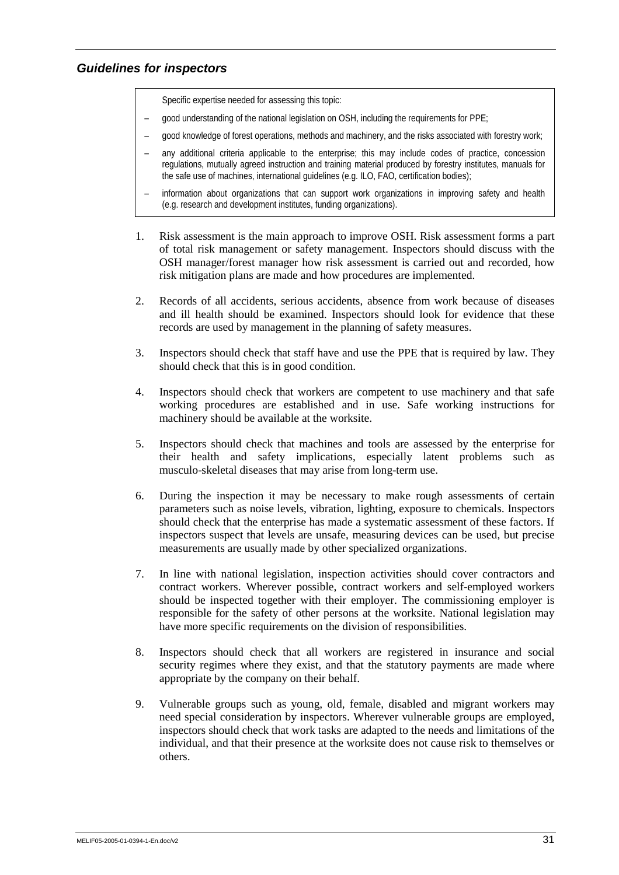## *Guidelines for inspectors*

Specific expertise needed for assessing this topic:

- good understanding of the national legislation on OSH, including the requirements for PPE;
- good knowledge of forest operations, methods and machinery, and the risks associated with forestry work;
- any additional criteria applicable to the enterprise; this may include codes of practice, concession regulations, mutually agreed instruction and training material produced by forestry institutes, manuals for the safe use of machines, international guidelines (e.g. ILO, FAO, certification bodies);
- information about organizations that can support work organizations in improving safety and health (e.g. research and development institutes, funding organizations).
- 1. Risk assessment is the main approach to improve OSH. Risk assessment forms a part of total risk management or safety management. Inspectors should discuss with the OSH manager/forest manager how risk assessment is carried out and recorded, how risk mitigation plans are made and how procedures are implemented.
- 2. Records of all accidents, serious accidents, absence from work because of diseases and ill health should be examined. Inspectors should look for evidence that these records are used by management in the planning of safety measures.
- 3. Inspectors should check that staff have and use the PPE that is required by law. They should check that this is in good condition.
- 4. Inspectors should check that workers are competent to use machinery and that safe working procedures are established and in use. Safe working instructions for machinery should be available at the worksite.
- 5. Inspectors should check that machines and tools are assessed by the enterprise for their health and safety implications, especially latent problems such as musculo-skeletal diseases that may arise from long-term use.
- 6. During the inspection it may be necessary to make rough assessments of certain parameters such as noise levels, vibration, lighting, exposure to chemicals. Inspectors should check that the enterprise has made a systematic assessment of these factors. If inspectors suspect that levels are unsafe, measuring devices can be used, but precise measurements are usually made by other specialized organizations.
- 7. In line with national legislation, inspection activities should cover contractors and contract workers. Wherever possible, contract workers and self-employed workers should be inspected together with their employer. The commissioning employer is responsible for the safety of other persons at the worksite. National legislation may have more specific requirements on the division of responsibilities.
- 8. Inspectors should check that all workers are registered in insurance and social security regimes where they exist, and that the statutory payments are made where appropriate by the company on their behalf.
- 9. Vulnerable groups such as young, old, female, disabled and migrant workers may need special consideration by inspectors. Wherever vulnerable groups are employed, inspectors should check that work tasks are adapted to the needs and limitations of the individual, and that their presence at the worksite does not cause risk to themselves or others.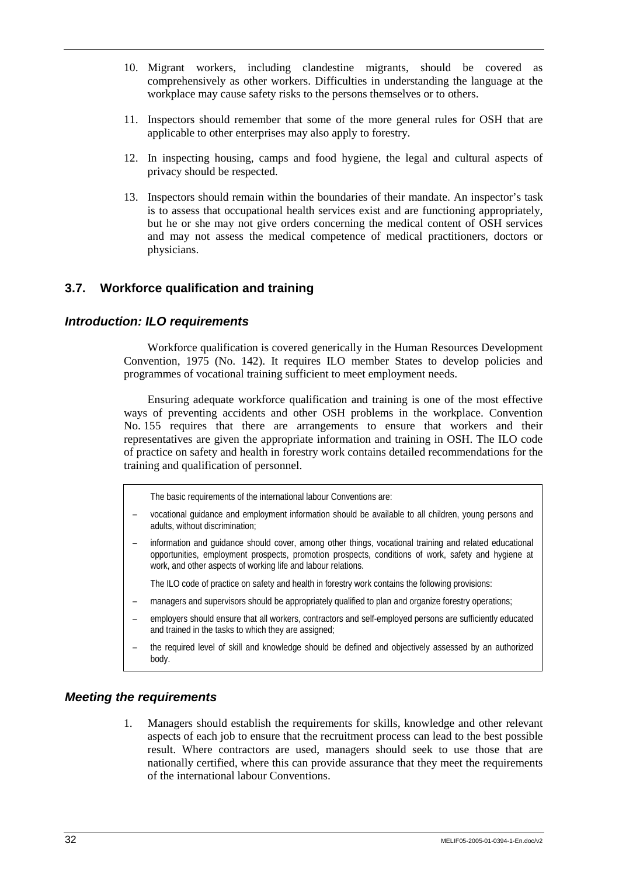- 10. Migrant workers, including clandestine migrants, should be covered as comprehensively as other workers. Difficulties in understanding the language at the workplace may cause safety risks to the persons themselves or to others.
- 11. Inspectors should remember that some of the more general rules for OSH that are applicable to other enterprises may also apply to forestry.
- 12. In inspecting housing, camps and food hygiene, the legal and cultural aspects of privacy should be respected.
- 13. Inspectors should remain within the boundaries of their mandate. An inspector's task is to assess that occupational health services exist and are functioning appropriately, but he or she may not give orders concerning the medical content of OSH services and may not assess the medical competence of medical practitioners, doctors or physicians.

## **3.7. Workforce qualification and training**

### *Introduction: ILO requirements*

Workforce qualification is covered generically in the Human Resources Development Convention, 1975 (No. 142). It requires ILO member States to develop policies and programmes of vocational training sufficient to meet employment needs.

Ensuring adequate workforce qualification and training is one of the most effective ways of preventing accidents and other OSH problems in the workplace. Convention No. 155 requires that there are arrangements to ensure that workers and their representatives are given the appropriate information and training in OSH. The ILO code of practice on safety and health in forestry work contains detailed recommendations for the training and qualification of personnel.

The basic requirements of the international labour Conventions are:

- vocational guidance and employment information should be available to all children, young persons and adults, without discrimination;
- information and guidance should cover, among other things, vocational training and related educational opportunities, employment prospects, promotion prospects, conditions of work, safety and hygiene at work, and other aspects of working life and labour relations.

The ILO code of practice on safety and health in forestry work contains the following provisions:

- managers and supervisors should be appropriately qualified to plan and organize forestry operations;
- employers should ensure that all workers, contractors and self-employed persons are sufficiently educated and trained in the tasks to which they are assigned;
- the required level of skill and knowledge should be defined and objectively assessed by an authorized body.

#### *Meeting the requirements*

1. Managers should establish the requirements for skills, knowledge and other relevant aspects of each job to ensure that the recruitment process can lead to the best possible result. Where contractors are used, managers should seek to use those that are nationally certified, where this can provide assurance that they meet the requirements of the international labour Conventions.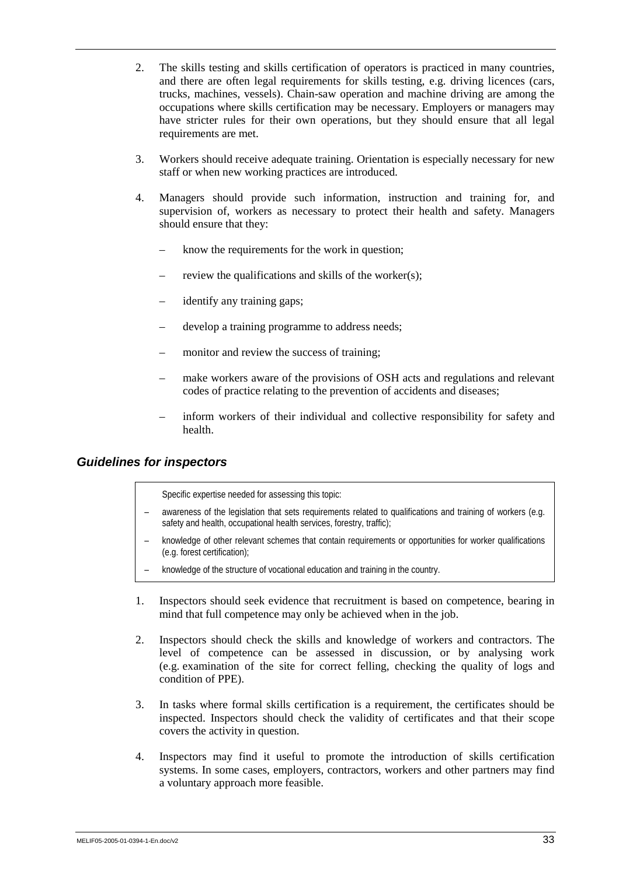- 2. The skills testing and skills certification of operators is practiced in many countries, and there are often legal requirements for skills testing, e.g. driving licences (cars, trucks, machines, vessels). Chain-saw operation and machine driving are among the occupations where skills certification may be necessary. Employers or managers may have stricter rules for their own operations, but they should ensure that all legal requirements are met.
- 3. Workers should receive adequate training. Orientation is especially necessary for new staff or when new working practices are introduced.
- 4. Managers should provide such information, instruction and training for, and supervision of, workers as necessary to protect their health and safety. Managers should ensure that they:
	- know the requirements for the work in question;
	- review the qualifications and skills of the worker $(s)$ ;
	- identify any training gaps;
	- develop a training programme to address needs;
	- monitor and review the success of training;
	- make workers aware of the provisions of OSH acts and regulations and relevant codes of practice relating to the prevention of accidents and diseases;
	- inform workers of their individual and collective responsibility for safety and health.

## *Guidelines for inspectors*

Specific expertise needed for assessing this topic:

- awareness of the legislation that sets requirements related to qualifications and training of workers (e.g. safety and health, occupational health services, forestry, traffic);
- knowledge of other relevant schemes that contain requirements or opportunities for worker qualifications (e.g. forest certification);
- knowledge of the structure of vocational education and training in the country.
- 1. Inspectors should seek evidence that recruitment is based on competence, bearing in mind that full competence may only be achieved when in the job.
- 2. Inspectors should check the skills and knowledge of workers and contractors. The level of competence can be assessed in discussion, or by analysing work (e.g. examination of the site for correct felling, checking the quality of logs and condition of PPE).
- 3. In tasks where formal skills certification is a requirement, the certificates should be inspected. Inspectors should check the validity of certificates and that their scope covers the activity in question.
- 4. Inspectors may find it useful to promote the introduction of skills certification systems. In some cases, employers, contractors, workers and other partners may find a voluntary approach more feasible.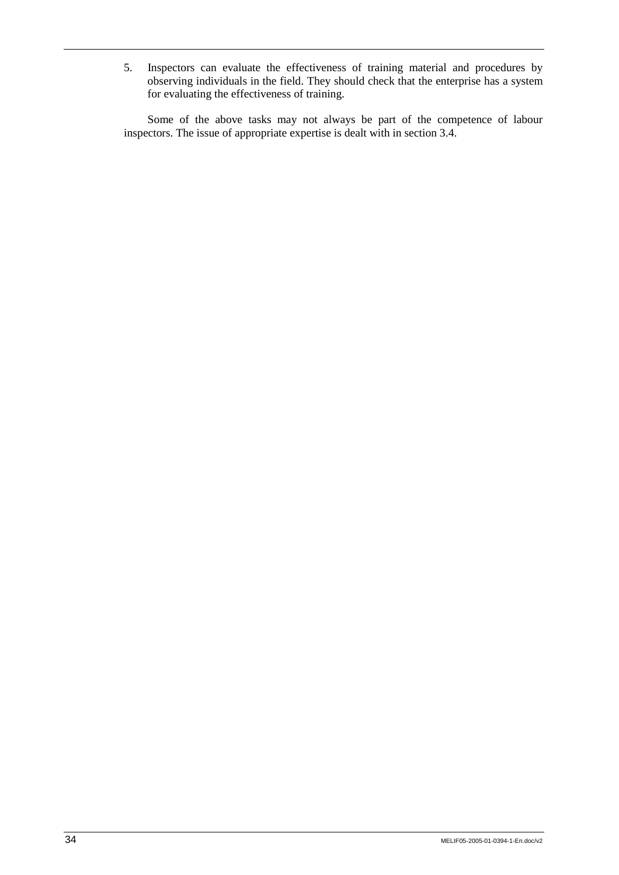5. Inspectors can evaluate the effectiveness of training material and procedures by observing individuals in the field. They should check that the enterprise has a system for evaluating the effectiveness of training.

Some of the above tasks may not always be part of the competence of labour inspectors. The issue of appropriate expertise is dealt with in section 3.4.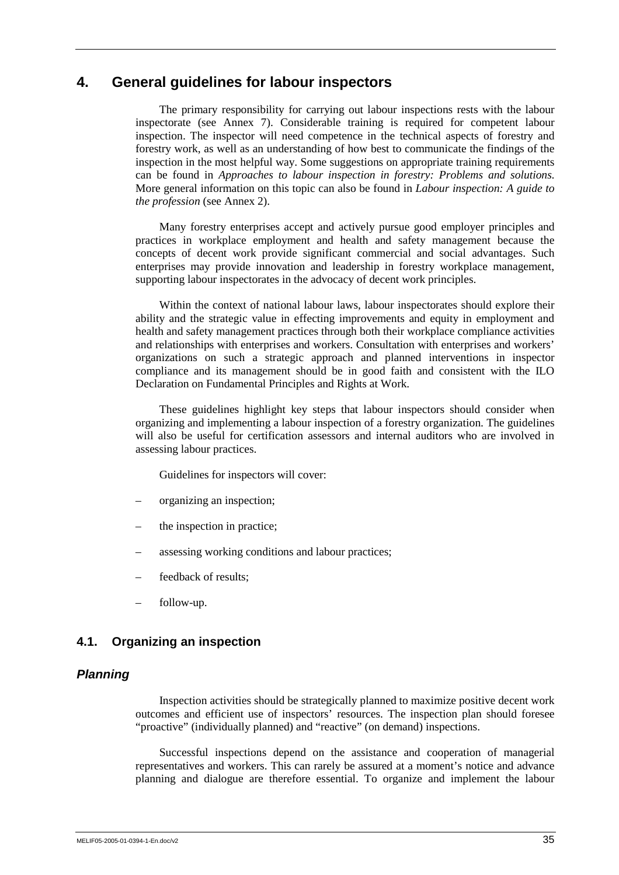## **4. General guidelines for labour inspectors**

The primary responsibility for carrying out labour inspections rests with the labour inspectorate (see Annex 7). Considerable training is required for competent labour inspection. The inspector will need competence in the technical aspects of forestry and forestry work, as well as an understanding of how best to communicate the findings of the inspection in the most helpful way. Some suggestions on appropriate training requirements can be found in *Approaches to labour inspection in forestry: Problems and solutions*. More general information on this topic can also be found in *Labour inspection: A guide to the profession* (see Annex 2).

Many forestry enterprises accept and actively pursue good employer principles and practices in workplace employment and health and safety management because the concepts of decent work provide significant commercial and social advantages. Such enterprises may provide innovation and leadership in forestry workplace management, supporting labour inspectorates in the advocacy of decent work principles.

Within the context of national labour laws, labour inspectorates should explore their ability and the strategic value in effecting improvements and equity in employment and health and safety management practices through both their workplace compliance activities and relationships with enterprises and workers. Consultation with enterprises and workers' organizations on such a strategic approach and planned interventions in inspector compliance and its management should be in good faith and consistent with the ILO Declaration on Fundamental Principles and Rights at Work.

These guidelines highlight key steps that labour inspectors should consider when organizing and implementing a labour inspection of a forestry organization. The guidelines will also be useful for certification assessors and internal auditors who are involved in assessing labour practices.

Guidelines for inspectors will cover:

- organizing an inspection;
- the inspection in practice;
- assessing working conditions and labour practices;
- feedback of results:
- follow-up.

## **4.1. Organizing an inspection**

#### *Planning*

Inspection activities should be strategically planned to maximize positive decent work outcomes and efficient use of inspectors' resources. The inspection plan should foresee "proactive" (individually planned) and "reactive" (on demand) inspections.

Successful inspections depend on the assistance and cooperation of managerial representatives and workers. This can rarely be assured at a moment's notice and advance planning and dialogue are therefore essential. To organize and implement the labour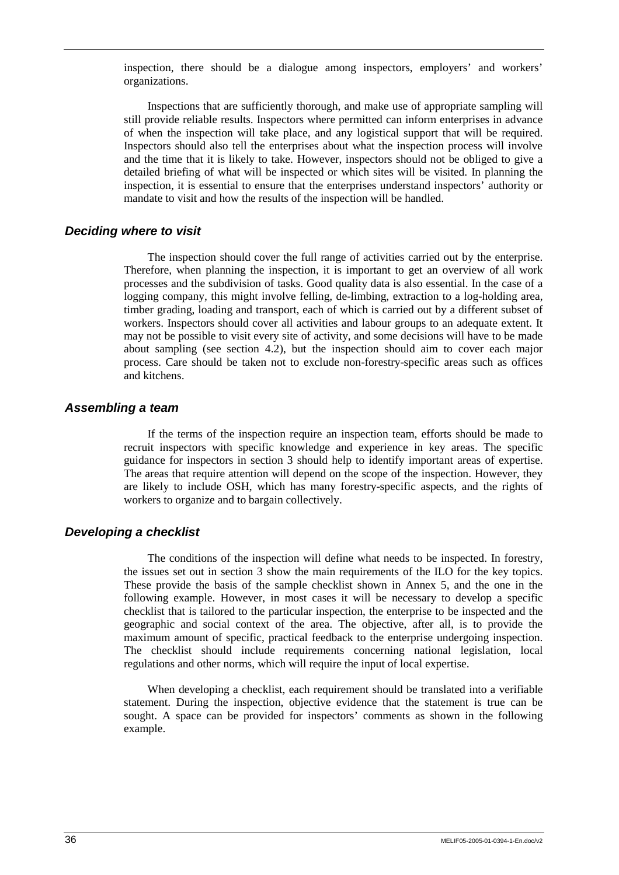inspection, there should be a dialogue among inspectors, employers' and workers' organizations.

Inspections that are sufficiently thorough, and make use of appropriate sampling will still provide reliable results. Inspectors where permitted can inform enterprises in advance of when the inspection will take place, and any logistical support that will be required. Inspectors should also tell the enterprises about what the inspection process will involve and the time that it is likely to take. However, inspectors should not be obliged to give a detailed briefing of what will be inspected or which sites will be visited. In planning the inspection, it is essential to ensure that the enterprises understand inspectors' authority or mandate to visit and how the results of the inspection will be handled.

#### *Deciding where to visit*

The inspection should cover the full range of activities carried out by the enterprise. Therefore, when planning the inspection, it is important to get an overview of all work processes and the subdivision of tasks. Good quality data is also essential. In the case of a logging company, this might involve felling, de-limbing, extraction to a log-holding area, timber grading, loading and transport, each of which is carried out by a different subset of workers. Inspectors should cover all activities and labour groups to an adequate extent. It may not be possible to visit every site of activity, and some decisions will have to be made about sampling (see section 4.2), but the inspection should aim to cover each major process. Care should be taken not to exclude non-forestry-specific areas such as offices and kitchens.

#### *Assembling a team*

If the terms of the inspection require an inspection team, efforts should be made to recruit inspectors with specific knowledge and experience in key areas. The specific guidance for inspectors in section 3 should help to identify important areas of expertise. The areas that require attention will depend on the scope of the inspection. However, they are likely to include OSH, which has many forestry-specific aspects, and the rights of workers to organize and to bargain collectively.

## *Developing a checklist*

The conditions of the inspection will define what needs to be inspected. In forestry, the issues set out in section 3 show the main requirements of the ILO for the key topics. These provide the basis of the sample checklist shown in Annex 5, and the one in the following example. However, in most cases it will be necessary to develop a specific checklist that is tailored to the particular inspection, the enterprise to be inspected and the geographic and social context of the area. The objective, after all, is to provide the maximum amount of specific, practical feedback to the enterprise undergoing inspection. The checklist should include requirements concerning national legislation, local regulations and other norms, which will require the input of local expertise.

When developing a checklist, each requirement should be translated into a verifiable statement. During the inspection, objective evidence that the statement is true can be sought. A space can be provided for inspectors' comments as shown in the following example.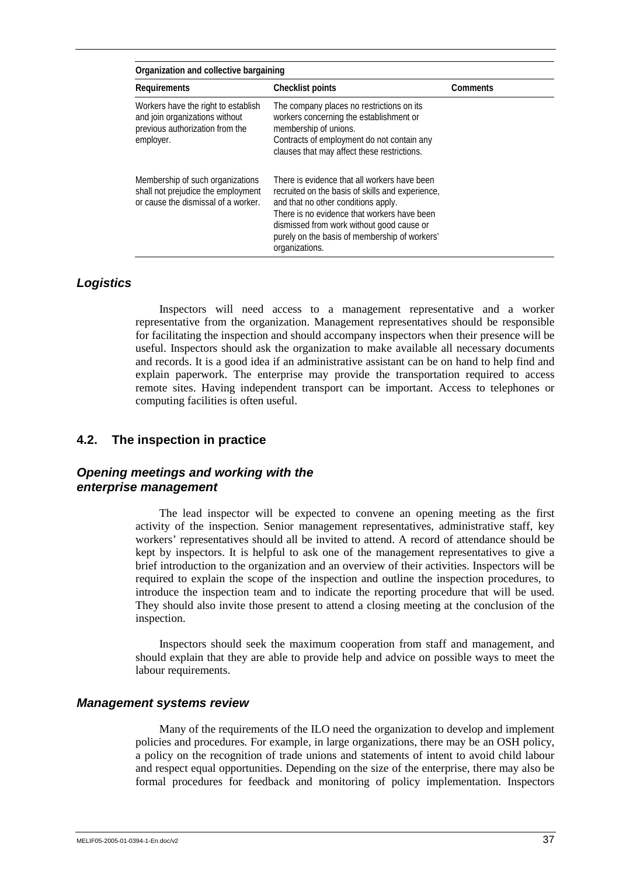| Organization and collective bargaining                                                                                |                                                                                                                                                                                                                                                                                                        |  |  |  |
|-----------------------------------------------------------------------------------------------------------------------|--------------------------------------------------------------------------------------------------------------------------------------------------------------------------------------------------------------------------------------------------------------------------------------------------------|--|--|--|
| Requirements                                                                                                          | <b>Checklist points</b><br>Comments                                                                                                                                                                                                                                                                    |  |  |  |
| Workers have the right to establish<br>and join organizations without<br>previous authorization from the<br>employer. | The company places no restrictions on its<br>workers concerning the establishment or<br>membership of unions.<br>Contracts of employment do not contain any<br>clauses that may affect these restrictions.                                                                                             |  |  |  |
| Membership of such organizations<br>shall not prejudice the employment<br>or cause the dismissal of a worker.         | There is evidence that all workers have been<br>recruited on the basis of skills and experience,<br>and that no other conditions apply.<br>There is no evidence that workers have been<br>dismissed from work without good cause or<br>purely on the basis of membership of workers'<br>organizations. |  |  |  |

## *Logistics*

Inspectors will need access to a management representative and a worker representative from the organization. Management representatives should be responsible for facilitating the inspection and should accompany inspectors when their presence will be useful. Inspectors should ask the organization to make available all necessary documents and records. It is a good idea if an administrative assistant can be on hand to help find and explain paperwork. The enterprise may provide the transportation required to access remote sites. Having independent transport can be important. Access to telephones or computing facilities is often useful.

## **4.2. The inspection in practice**

## *Opening meetings and working with the enterprise management*

The lead inspector will be expected to convene an opening meeting as the first activity of the inspection. Senior management representatives, administrative staff, key workers' representatives should all be invited to attend. A record of attendance should be kept by inspectors. It is helpful to ask one of the management representatives to give a brief introduction to the organization and an overview of their activities. Inspectors will be required to explain the scope of the inspection and outline the inspection procedures, to introduce the inspection team and to indicate the reporting procedure that will be used. They should also invite those present to attend a closing meeting at the conclusion of the inspection.

Inspectors should seek the maximum cooperation from staff and management, and should explain that they are able to provide help and advice on possible ways to meet the labour requirements.

#### *Management systems review*

Many of the requirements of the ILO need the organization to develop and implement policies and procedures. For example, in large organizations, there may be an OSH policy, a policy on the recognition of trade unions and statements of intent to avoid child labour and respect equal opportunities. Depending on the size of the enterprise, there may also be formal procedures for feedback and monitoring of policy implementation. Inspectors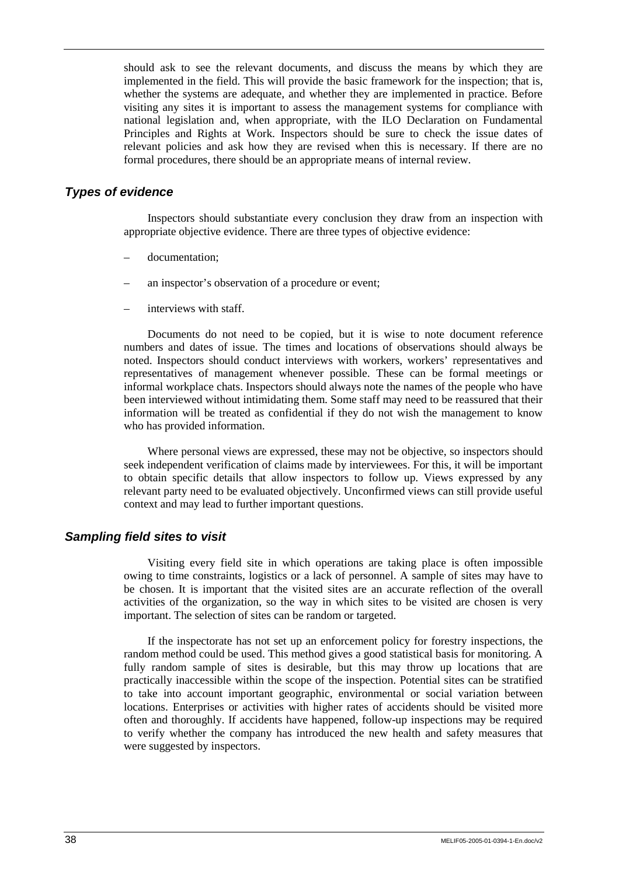should ask to see the relevant documents, and discuss the means by which they are implemented in the field. This will provide the basic framework for the inspection; that is, whether the systems are adequate, and whether they are implemented in practice. Before visiting any sites it is important to assess the management systems for compliance with national legislation and, when appropriate, with the ILO Declaration on Fundamental Principles and Rights at Work. Inspectors should be sure to check the issue dates of relevant policies and ask how they are revised when this is necessary. If there are no formal procedures, there should be an appropriate means of internal review.

#### *Types of evidence*

Inspectors should substantiate every conclusion they draw from an inspection with appropriate objective evidence. There are three types of objective evidence:

- documentation:
- an inspector's observation of a procedure or event;
- interviews with staff.

Documents do not need to be copied, but it is wise to note document reference numbers and dates of issue. The times and locations of observations should always be noted. Inspectors should conduct interviews with workers, workers' representatives and representatives of management whenever possible. These can be formal meetings or informal workplace chats. Inspectors should always note the names of the people who have been interviewed without intimidating them. Some staff may need to be reassured that their information will be treated as confidential if they do not wish the management to know who has provided information.

Where personal views are expressed, these may not be objective, so inspectors should seek independent verification of claims made by interviewees. For this, it will be important to obtain specific details that allow inspectors to follow up. Views expressed by any relevant party need to be evaluated objectively. Unconfirmed views can still provide useful context and may lead to further important questions.

#### *Sampling field sites to visit*

Visiting every field site in which operations are taking place is often impossible owing to time constraints, logistics or a lack of personnel. A sample of sites may have to be chosen. It is important that the visited sites are an accurate reflection of the overall activities of the organization, so the way in which sites to be visited are chosen is very important. The selection of sites can be random or targeted.

If the inspectorate has not set up an enforcement policy for forestry inspections, the random method could be used. This method gives a good statistical basis for monitoring. A fully random sample of sites is desirable, but this may throw up locations that are practically inaccessible within the scope of the inspection. Potential sites can be stratified to take into account important geographic, environmental or social variation between locations. Enterprises or activities with higher rates of accidents should be visited more often and thoroughly. If accidents have happened, follow-up inspections may be required to verify whether the company has introduced the new health and safety measures that were suggested by inspectors.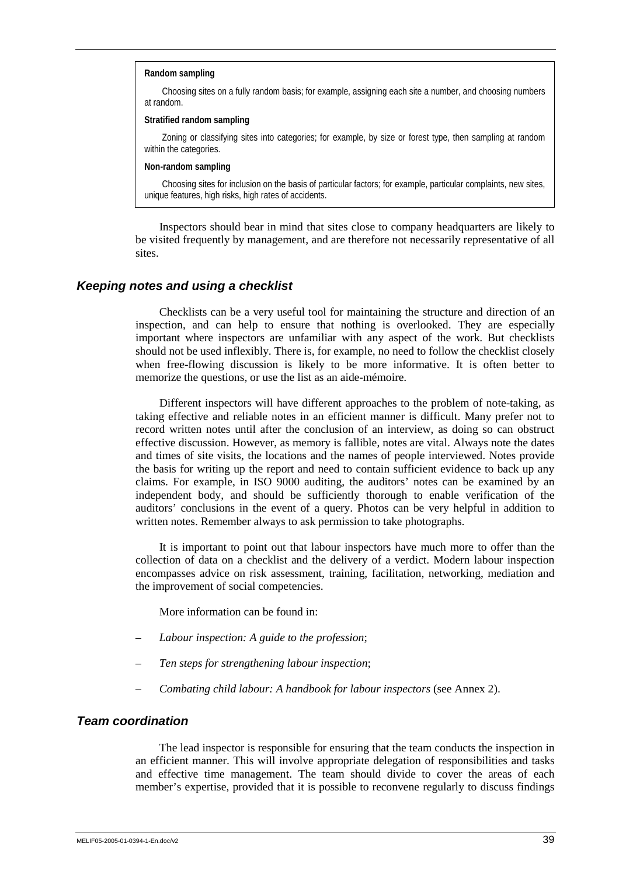#### **Random sampling**

Choosing sites on a fully random basis; for example, assigning each site a number, and choosing numbers at random.

#### **Stratified random sampling**

Zoning or classifying sites into categories; for example, by size or forest type, then sampling at random within the categories.

#### **Non-random sampling**

Choosing sites for inclusion on the basis of particular factors; for example, particular complaints, new sites, unique features, high risks, high rates of accidents.

Inspectors should bear in mind that sites close to company headquarters are likely to be visited frequently by management, and are therefore not necessarily representative of all sites.

#### *Keeping notes and using a checklist*

Checklists can be a very useful tool for maintaining the structure and direction of an inspection, and can help to ensure that nothing is overlooked. They are especially important where inspectors are unfamiliar with any aspect of the work. But checklists should not be used inflexibly. There is, for example, no need to follow the checklist closely when free-flowing discussion is likely to be more informative. It is often better to memorize the questions, or use the list as an aide-mémoire.

Different inspectors will have different approaches to the problem of note-taking, as taking effective and reliable notes in an efficient manner is difficult. Many prefer not to record written notes until after the conclusion of an interview, as doing so can obstruct effective discussion. However, as memory is fallible, notes are vital. Always note the dates and times of site visits, the locations and the names of people interviewed. Notes provide the basis for writing up the report and need to contain sufficient evidence to back up any claims. For example, in ISO 9000 auditing, the auditors' notes can be examined by an independent body, and should be sufficiently thorough to enable verification of the auditors' conclusions in the event of a query. Photos can be very helpful in addition to written notes. Remember always to ask permission to take photographs.

It is important to point out that labour inspectors have much more to offer than the collection of data on a checklist and the delivery of a verdict. Modern labour inspection encompasses advice on risk assessment, training, facilitation, networking, mediation and the improvement of social competencies.

More information can be found in:

- *Labour inspection: A guide to the profession*;
- *Ten steps for strengthening labour inspection*;
- *Combating child labour: A handbook for labour inspectors* (see Annex 2).

### *Team coordination*

The lead inspector is responsible for ensuring that the team conducts the inspection in an efficient manner. This will involve appropriate delegation of responsibilities and tasks and effective time management. The team should divide to cover the areas of each member's expertise, provided that it is possible to reconvene regularly to discuss findings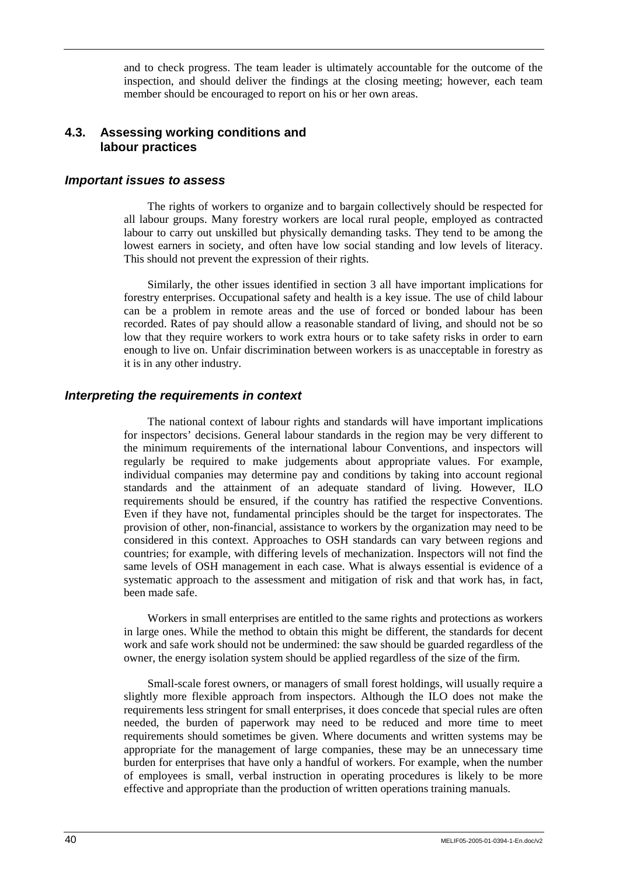and to check progress. The team leader is ultimately accountable for the outcome of the inspection, and should deliver the findings at the closing meeting; however, each team member should be encouraged to report on his or her own areas.

## **4.3. Assessing working conditions and labour practices**

#### *Important issues to assess*

The rights of workers to organize and to bargain collectively should be respected for all labour groups. Many forestry workers are local rural people, employed as contracted labour to carry out unskilled but physically demanding tasks. They tend to be among the lowest earners in society, and often have low social standing and low levels of literacy. This should not prevent the expression of their rights.

Similarly, the other issues identified in section 3 all have important implications for forestry enterprises. Occupational safety and health is a key issue. The use of child labour can be a problem in remote areas and the use of forced or bonded labour has been recorded. Rates of pay should allow a reasonable standard of living, and should not be so low that they require workers to work extra hours or to take safety risks in order to earn enough to live on. Unfair discrimination between workers is as unacceptable in forestry as it is in any other industry.

### *Interpreting the requirements in context*

The national context of labour rights and standards will have important implications for inspectors' decisions. General labour standards in the region may be very different to the minimum requirements of the international labour Conventions, and inspectors will regularly be required to make judgements about appropriate values. For example, individual companies may determine pay and conditions by taking into account regional standards and the attainment of an adequate standard of living. However, ILO requirements should be ensured, if the country has ratified the respective Conventions. Even if they have not, fundamental principles should be the target for inspectorates. The provision of other, non-financial, assistance to workers by the organization may need to be considered in this context. Approaches to OSH standards can vary between regions and countries; for example, with differing levels of mechanization. Inspectors will not find the same levels of OSH management in each case. What is always essential is evidence of a systematic approach to the assessment and mitigation of risk and that work has, in fact, been made safe.

Workers in small enterprises are entitled to the same rights and protections as workers in large ones. While the method to obtain this might be different, the standards for decent work and safe work should not be undermined: the saw should be guarded regardless of the owner, the energy isolation system should be applied regardless of the size of the firm.

Small-scale forest owners, or managers of small forest holdings, will usually require a slightly more flexible approach from inspectors. Although the ILO does not make the requirements less stringent for small enterprises, it does concede that special rules are often needed, the burden of paperwork may need to be reduced and more time to meet requirements should sometimes be given. Where documents and written systems may be appropriate for the management of large companies, these may be an unnecessary time burden for enterprises that have only a handful of workers. For example, when the number of employees is small, verbal instruction in operating procedures is likely to be more effective and appropriate than the production of written operations training manuals.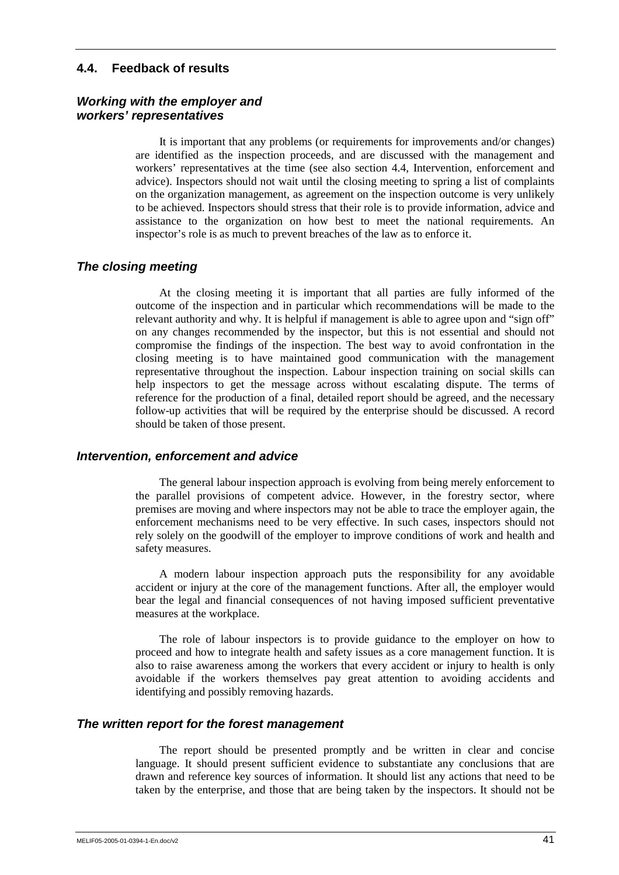## **4.4. Feedback of results**

## *Working with the employer and workers' representatives*

It is important that any problems (or requirements for improvements and/or changes) are identified as the inspection proceeds, and are discussed with the management and workers' representatives at the time (see also section 4.4, Intervention, enforcement and advice). Inspectors should not wait until the closing meeting to spring a list of complaints on the organization management, as agreement on the inspection outcome is very unlikely to be achieved. Inspectors should stress that their role is to provide information, advice and assistance to the organization on how best to meet the national requirements. An inspector's role is as much to prevent breaches of the law as to enforce it.

## *The closing meeting*

At the closing meeting it is important that all parties are fully informed of the outcome of the inspection and in particular which recommendations will be made to the relevant authority and why. It is helpful if management is able to agree upon and "sign off" on any changes recommended by the inspector, but this is not essential and should not compromise the findings of the inspection. The best way to avoid confrontation in the closing meeting is to have maintained good communication with the management representative throughout the inspection. Labour inspection training on social skills can help inspectors to get the message across without escalating dispute. The terms of reference for the production of a final, detailed report should be agreed, and the necessary follow-up activities that will be required by the enterprise should be discussed. A record should be taken of those present.

## *Intervention, enforcement and advice*

The general labour inspection approach is evolving from being merely enforcement to the parallel provisions of competent advice. However, in the forestry sector, where premises are moving and where inspectors may not be able to trace the employer again, the enforcement mechanisms need to be very effective. In such cases, inspectors should not rely solely on the goodwill of the employer to improve conditions of work and health and safety measures.

A modern labour inspection approach puts the responsibility for any avoidable accident or injury at the core of the management functions. After all, the employer would bear the legal and financial consequences of not having imposed sufficient preventative measures at the workplace.

The role of labour inspectors is to provide guidance to the employer on how to proceed and how to integrate health and safety issues as a core management function. It is also to raise awareness among the workers that every accident or injury to health is only avoidable if the workers themselves pay great attention to avoiding accidents and identifying and possibly removing hazards.

## *The written report for the forest management*

The report should be presented promptly and be written in clear and concise language. It should present sufficient evidence to substantiate any conclusions that are drawn and reference key sources of information. It should list any actions that need to be taken by the enterprise, and those that are being taken by the inspectors. It should not be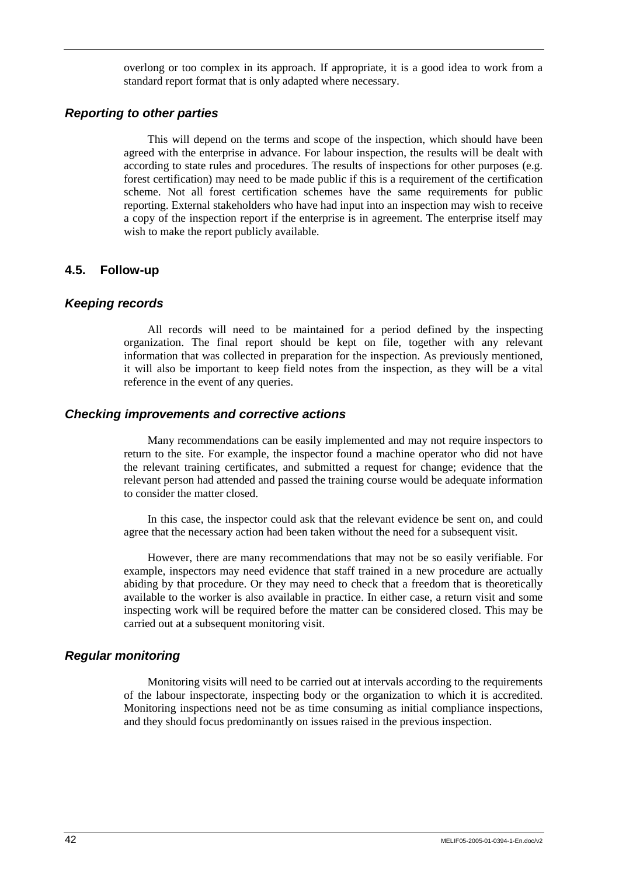overlong or too complex in its approach. If appropriate, it is a good idea to work from a standard report format that is only adapted where necessary.

### *Reporting to other parties*

This will depend on the terms and scope of the inspection, which should have been agreed with the enterprise in advance. For labour inspection, the results will be dealt with according to state rules and procedures. The results of inspections for other purposes (e.g. forest certification) may need to be made public if this is a requirement of the certification scheme. Not all forest certification schemes have the same requirements for public reporting. External stakeholders who have had input into an inspection may wish to receive a copy of the inspection report if the enterprise is in agreement. The enterprise itself may wish to make the report publicly available.

## **4.5. Follow-up**

## *Keeping records*

All records will need to be maintained for a period defined by the inspecting organization. The final report should be kept on file, together with any relevant information that was collected in preparation for the inspection. As previously mentioned, it will also be important to keep field notes from the inspection, as they will be a vital reference in the event of any queries.

### *Checking improvements and corrective actions*

Many recommendations can be easily implemented and may not require inspectors to return to the site. For example, the inspector found a machine operator who did not have the relevant training certificates, and submitted a request for change; evidence that the relevant person had attended and passed the training course would be adequate information to consider the matter closed.

In this case, the inspector could ask that the relevant evidence be sent on, and could agree that the necessary action had been taken without the need for a subsequent visit.

However, there are many recommendations that may not be so easily verifiable. For example, inspectors may need evidence that staff trained in a new procedure are actually abiding by that procedure. Or they may need to check that a freedom that is theoretically available to the worker is also available in practice. In either case, a return visit and some inspecting work will be required before the matter can be considered closed. This may be carried out at a subsequent monitoring visit.

## *Regular monitoring*

Monitoring visits will need to be carried out at intervals according to the requirements of the labour inspectorate, inspecting body or the organization to which it is accredited. Monitoring inspections need not be as time consuming as initial compliance inspections, and they should focus predominantly on issues raised in the previous inspection.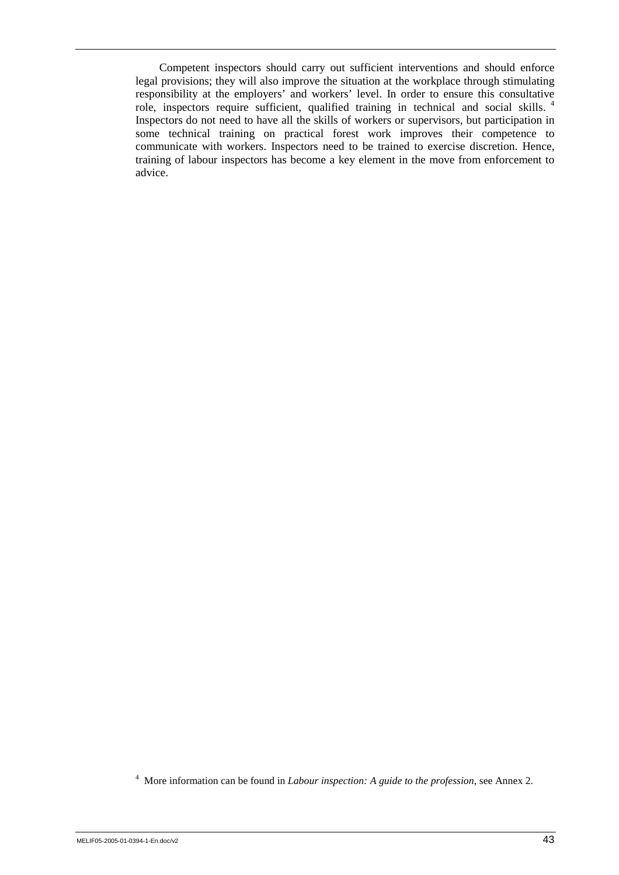Competent inspectors should carry out sufficient interventions and should enforce legal provisions; they will also improve the situation at the workplace through stimulating responsibility at the employers' and workers' level. In order to ensure this consultative role, inspectors require sufficient, qualified training in technical and social skills. <sup>4</sup> Inspectors do not need to have all the skills of workers or supervisors, but participation in some technical training on practical forest work improves their competence to communicate with workers. Inspectors need to be trained to exercise discretion. Hence, training of labour inspectors has become a key element in the move from enforcement to advice.

4 More information can be found in *Labour inspection: A guide to the profession*, see Annex 2.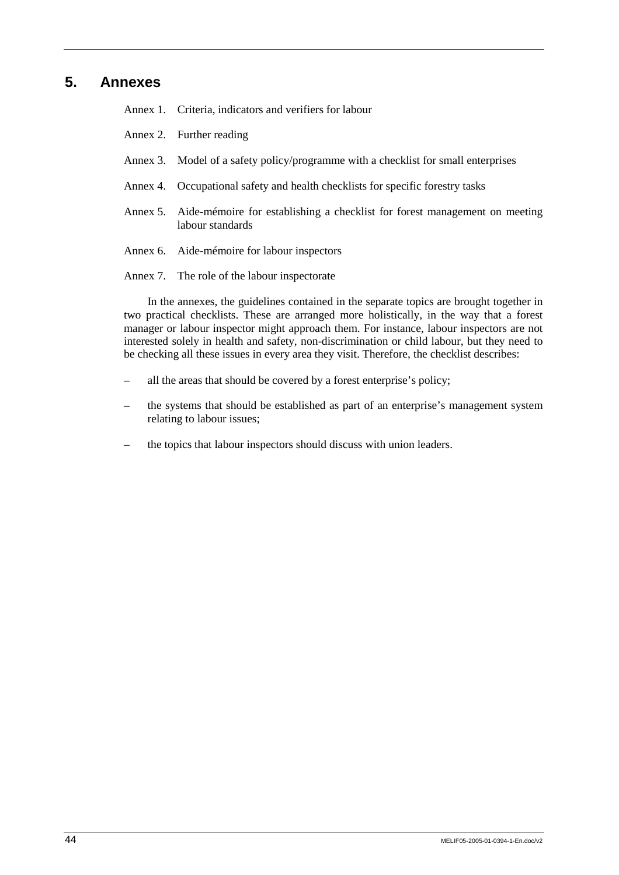## **5. Annexes**

Annex 1. Criteria, indicators and verifiers for labour

- Annex 2. Further reading
- Annex 3. Model of a safety policy/programme with a checklist for small enterprises
- Annex 4. Occupational safety and health checklists for specific forestry tasks
- Annex 5. Aide-mémoire for establishing a checklist for forest management on meeting labour standards
- Annex 6. Aide-mémoire for labour inspectors
- Annex 7. The role of the labour inspectorate

In the annexes, the guidelines contained in the separate topics are brought together in two practical checklists. These are arranged more holistically, in the way that a forest manager or labour inspector might approach them. For instance, labour inspectors are not interested solely in health and safety, non-discrimination or child labour, but they need to be checking all these issues in every area they visit. Therefore, the checklist describes:

- all the areas that should be covered by a forest enterprise's policy;
- the systems that should be established as part of an enterprise's management system relating to labour issues;
- the topics that labour inspectors should discuss with union leaders.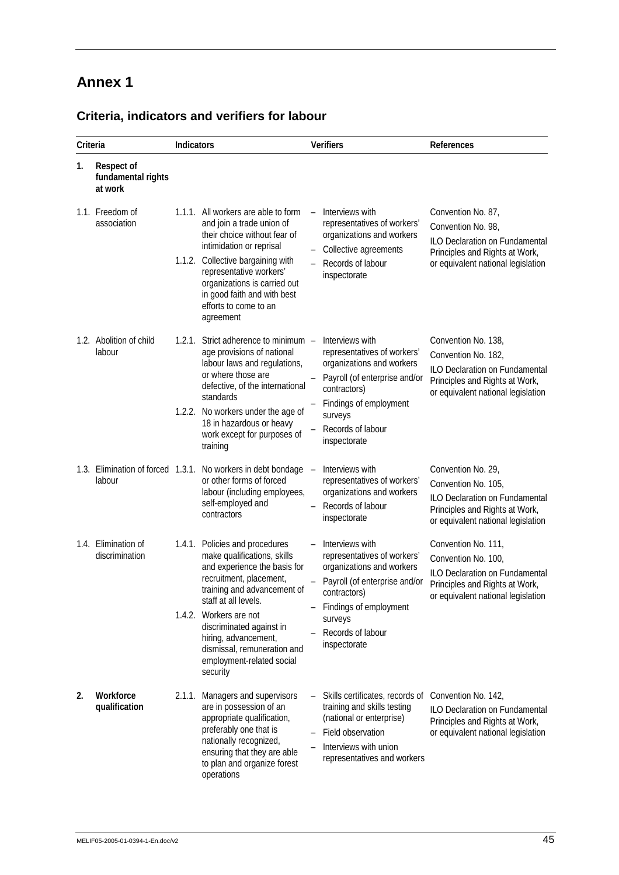| Criteria |                                                    | Indicators |                                                                                                                                                                                                                                                                                                   | <b>Verifiers</b>         |                                                                                                                                                                                                          | References                                                                                                                                           |
|----------|----------------------------------------------------|------------|---------------------------------------------------------------------------------------------------------------------------------------------------------------------------------------------------------------------------------------------------------------------------------------------------|--------------------------|----------------------------------------------------------------------------------------------------------------------------------------------------------------------------------------------------------|------------------------------------------------------------------------------------------------------------------------------------------------------|
| 1.       | <b>Respect of</b><br>fundamental rights<br>at work |            |                                                                                                                                                                                                                                                                                                   |                          |                                                                                                                                                                                                          |                                                                                                                                                      |
|          | 1.1. Freedom of<br>association                     |            | 1.1.1. All workers are able to form<br>and join a trade union of<br>their choice without fear of<br>intimidation or reprisal<br>1.1.2. Collective bargaining with<br>representative workers'<br>organizations is carried out<br>in good faith and with best<br>efforts to come to an<br>agreement |                          | Interviews with<br>representatives of workers'<br>organizations and workers<br>Collective agreements<br>Records of labour<br>inspectorate                                                                | Convention No. 87,<br>Convention No. 98,<br>ILO Declaration on Fundamental<br>Principles and Rights at Work,<br>or equivalent national legislation   |
|          | 1.2. Abolition of child<br>labour                  | 1.2.1.     | Strict adherence to minimum -<br>age provisions of national<br>labour laws and regulations,<br>or where those are<br>defective, of the international<br>standards<br>1.2.2. No workers under the age of<br>18 in hazardous or heavy                                                               |                          | Interviews with<br>representatives of workers'<br>organizations and workers<br>Payroll (of enterprise and/or<br>contractors)<br>Findings of employment<br>surveys<br>Records of labour                   | Convention No. 138,<br>Convention No. 182,<br>ILO Declaration on Fundamental<br>Principles and Rights at Work,<br>or equivalent national legislation |
|          |                                                    |            | work except for purposes of<br>training                                                                                                                                                                                                                                                           |                          | inspectorate                                                                                                                                                                                             |                                                                                                                                                      |
|          | 1.3. Elimination of forced 1.3.1.<br>labour        |            | No workers in debt bondage<br>or other forms of forced<br>labour (including employees,<br>self-employed and<br>contractors                                                                                                                                                                        | $\overline{\phantom{0}}$ | Interviews with<br>representatives of workers'<br>organizations and workers<br>Records of labour<br>inspectorate                                                                                         | Convention No. 29,<br>Convention No. 105,<br>ILO Declaration on Fundamental<br>Principles and Rights at Work,<br>or equivalent national legislation  |
|          | 1.4. Elimination of<br>discrimination              |            | 1.4.1. Policies and procedures<br>make qualifications, skills<br>and experience the basis for<br>recruitment, placement,<br>training and advancement of<br>staff at all levels.<br>1.4.2. Workers are not<br>discriminated against in<br>hiring, advancement,<br>dismissal, remuneration and      |                          | Interviews with<br>representatives of workers'<br>organizations and workers<br>Payroll (of enterprise and/or<br>contractors)<br>- Findings of employment<br>surveys<br>Records of labour<br>inspectorate | Convention No. 111,<br>Convention No. 100,<br>ILO Declaration on Fundamental<br>Principles and Rights at Work,<br>or equivalent national legislation |
|          |                                                    |            | employment-related social<br>security                                                                                                                                                                                                                                                             |                          |                                                                                                                                                                                                          |                                                                                                                                                      |
| 2.       | Workforce<br>qualification                         | 2.1.1.     | Managers and supervisors<br>are in possession of an<br>appropriate qualification,<br>preferably one that is<br>nationally recognized,<br>ensuring that they are able<br>to plan and organize forest<br>operations                                                                                 |                          | Skills certificates, records of<br>training and skills testing<br>(national or enterprise)<br>Field observation<br>Interviews with union<br>representatives and workers                                  | Convention No. 142,<br>ILO Declaration on Fundamental<br>Principles and Rights at Work,<br>or equivalent national legislation                        |

## **Criteria, indicators and verifiers for labour**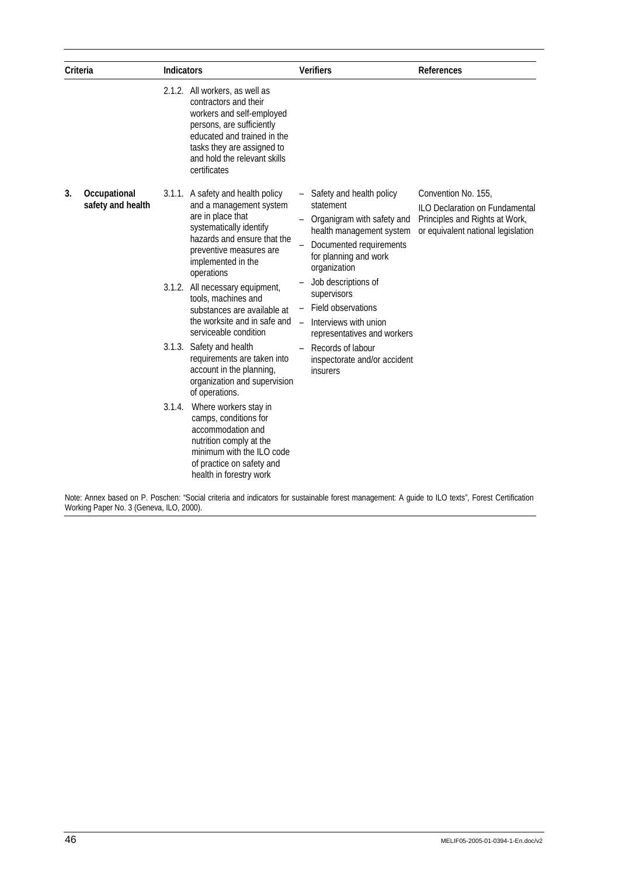| Criteria |                                   | <b>Indicators</b> |                                                                                                                                                                                                                                                                                                                                                                                                                                                                                                                                                         | <b>Verifiers</b> |                                                                                                                                                                                                                                                                                                                                                            | References                                                                                                                           |  |
|----------|-----------------------------------|-------------------|---------------------------------------------------------------------------------------------------------------------------------------------------------------------------------------------------------------------------------------------------------------------------------------------------------------------------------------------------------------------------------------------------------------------------------------------------------------------------------------------------------------------------------------------------------|------------------|------------------------------------------------------------------------------------------------------------------------------------------------------------------------------------------------------------------------------------------------------------------------------------------------------------------------------------------------------------|--------------------------------------------------------------------------------------------------------------------------------------|--|
|          |                                   |                   | 2.1.2. All workers, as well as<br>contractors and their<br>workers and self-employed<br>persons, are sufficiently<br>educated and trained in the<br>tasks they are assigned to<br>and hold the relevant skills<br>certificates                                                                                                                                                                                                                                                                                                                          |                  |                                                                                                                                                                                                                                                                                                                                                            |                                                                                                                                      |  |
| 3.       | Occupational<br>safety and health | 3.1.4.            | 3.1.1. A safety and health policy<br>and a management system<br>are in place that<br>systematically identify<br>hazards and ensure that the<br>preventive measures are<br>implemented in the<br>operations<br>3.1.2. All necessary equipment,<br>tools, machines and<br>substances are available at<br>the worksite and in safe and<br>serviceable condition<br>3.1.3. Safety and health<br>requirements are taken into<br>account in the planning,<br>organization and supervision<br>of operations.<br>Where workers stay in<br>camps, conditions for |                  | - Safety and health policy<br>statement<br>Organigram with safety and<br>health management system<br>Documented requirements<br>for planning and work<br>organization<br>Job descriptions of<br>supervisors<br>Field observations<br>Interviews with union<br>representatives and workers<br>Records of labour<br>inspectorate and/or accident<br>insurers | Convention No. 155,<br><b>ILO Declaration on Fundamental</b><br>Principles and Rights at Work,<br>or equivalent national legislation |  |
|          |                                   |                   | accommodation and<br>nutrition comply at the<br>minimum with the ILO code<br>of practice on safety and<br>health in forestry work                                                                                                                                                                                                                                                                                                                                                                                                                       |                  |                                                                                                                                                                                                                                                                                                                                                            |                                                                                                                                      |  |

Note: Annex based on P. Poschen: "Social criteria and indicators for sustainable forest management: A guide to ILO texts", Forest Certification Working Paper No. 3 (Geneva, ILO, 2000).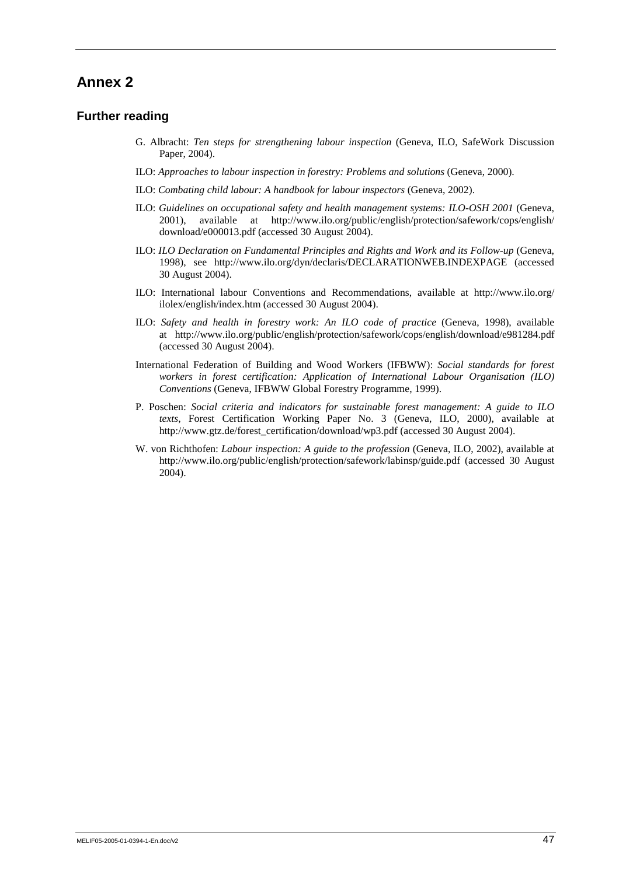### **Further reading**

- G. Albracht: *Ten steps for strengthening labour inspection* (Geneva, ILO, SafeWork Discussion Paper, 2004).
- ILO: *Approaches to labour inspection in forestry: Problems and solutions* (Geneva, 2000).
- ILO: *Combating child labour: A handbook for labour inspectors* (Geneva, 2002).
- ILO: *Guidelines on occupational safety and health management systems: ILO-OSH 2001* (Geneva, 2001), available at http://www.ilo.org/public/english/protection/safework/cops/english/ download/e000013.pdf (accessed 30 August 2004).
- ILO: *ILO Declaration on Fundamental Principles and Rights and Work and its Follow-up* (Geneva, 1998), see http://www.ilo.org/dyn/declaris/DECLARATIONWEB.INDEXPAGE (accessed 30 August 2004).
- ILO: International labour Conventions and Recommendations, available at http://www.ilo.org/ ilolex/english/index.htm (accessed 30 August 2004).
- ILO: *Safety and health in forestry work: An ILO code of practice* (Geneva, 1998), available at http://www.ilo.org/public/english/protection/safework/cops/english/download/e981284.pdf (accessed 30 August 2004).
- International Federation of Building and Wood Workers (IFBWW): *Social standards for forest workers in forest certification: Application of International Labour Organisation (ILO) Conventions* (Geneva, IFBWW Global Forestry Programme, 1999).
- P. Poschen: *Social criteria and indicators for sustainable forest management: A guide to ILO texts*, Forest Certification Working Paper No. 3 (Geneva, ILO, 2000), available at http://www.gtz.de/forest\_certification/download/wp3.pdf (accessed 30 August 2004).
- W. von Richthofen: *Labour inspection: A guide to the profession* (Geneva, ILO, 2002), available at http://www.ilo.org/public/english/protection/safework/labinsp/guide.pdf (accessed 30 August 2004).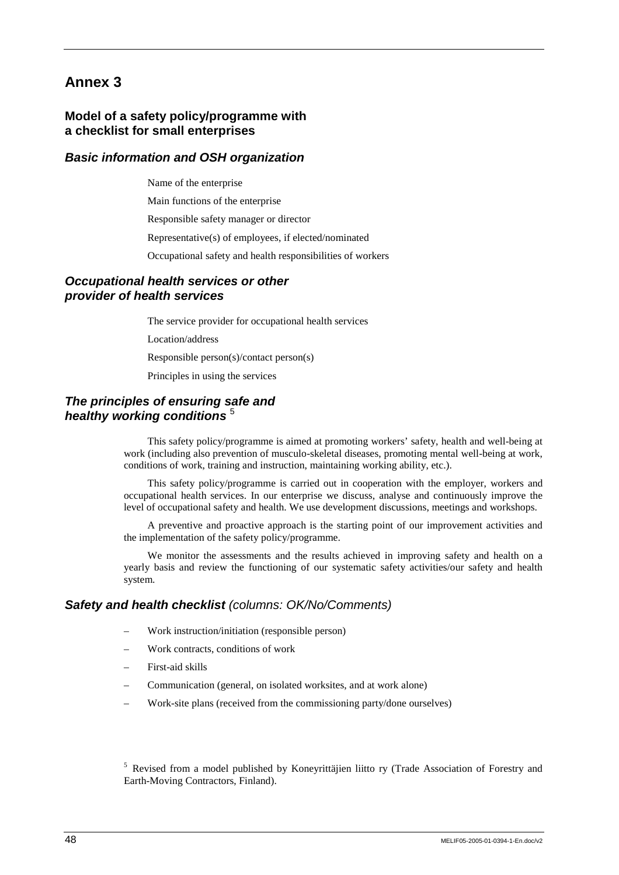## **Model of a safety policy/programme with a checklist for small enterprises**

## *Basic information and OSH organization*

Name of the enterprise

Main functions of the enterprise

Responsible safety manager or director

Representative(s) of employees, if elected/nominated

Occupational safety and health responsibilities of workers

## *Occupational health services or other provider of health services*

The service provider for occupational health services

Location/address

Responsible person(s)/contact person(s)

Principles in using the services

## *The principles of ensuring safe and healthy working conditions* <sup>5</sup>

This safety policy/programme is aimed at promoting workers' safety, health and well-being at work (including also prevention of musculo-skeletal diseases, promoting mental well-being at work, conditions of work, training and instruction, maintaining working ability, etc.).

This safety policy/programme is carried out in cooperation with the employer, workers and occupational health services. In our enterprise we discuss, analyse and continuously improve the level of occupational safety and health. We use development discussions, meetings and workshops.

A preventive and proactive approach is the starting point of our improvement activities and the implementation of the safety policy/programme.

We monitor the assessments and the results achieved in improving safety and health on a yearly basis and review the functioning of our systematic safety activities/our safety and health system.

## *Safety and health checklist (columns: OK/No/Comments)*

- Work instruction/initiation (responsible person)
- Work contracts, conditions of work
- First-aid skills
- Communication (general, on isolated worksites, and at work alone)
- Work-site plans (received from the commissioning party/done ourselves)

<sup>5</sup> Revised from a model published by Koneyrittäjien liitto ry (Trade Association of Forestry and Earth-Moving Contractors, Finland).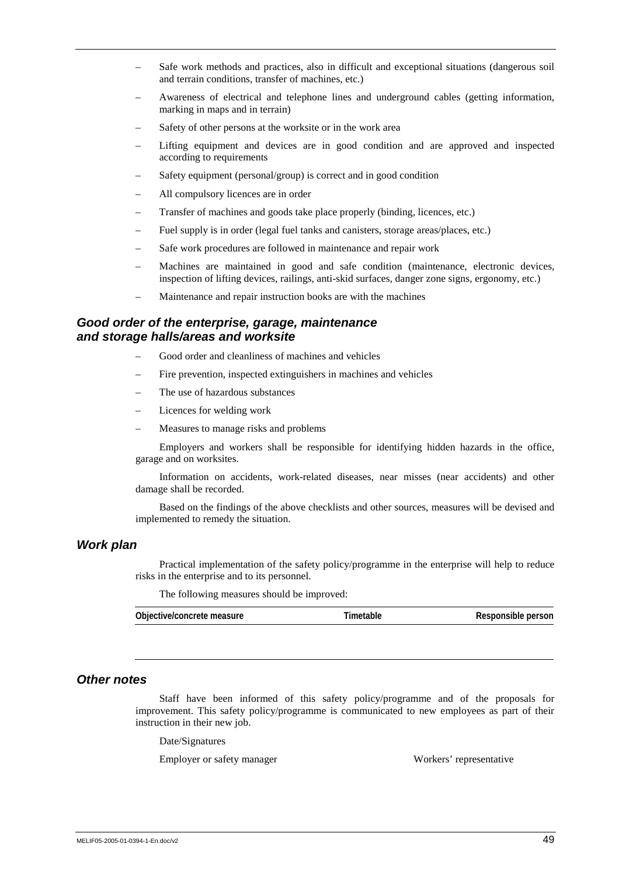- Safe work methods and practices, also in difficult and exceptional situations (dangerous soil and terrain conditions, transfer of machines, etc.)
- Awareness of electrical and telephone lines and underground cables (getting information, marking in maps and in terrain)
- Safety of other persons at the worksite or in the work area
- Lifting equipment and devices are in good condition and are approved and inspected according to requirements
- Safety equipment (personal/group) is correct and in good condition
- All compulsory licences are in order
- Transfer of machines and goods take place properly (binding, licences, etc.)
- Fuel supply is in order (legal fuel tanks and canisters, storage areas/places, etc.)
- Safe work procedures are followed in maintenance and repair work
- Machines are maintained in good and safe condition (maintenance, electronic devices, inspection of lifting devices, railings, anti-skid surfaces, danger zone signs, ergonomy, etc.)
- Maintenance and repair instruction books are with the machines

#### *Good order of the enterprise, garage, maintenance and storage halls/areas and worksite*

- Good order and cleanliness of machines and vehicles
- Fire prevention, inspected extinguishers in machines and vehicles
- The use of hazardous substances
- Licences for welding work
- Measures to manage risks and problems

Employers and workers shall be responsible for identifying hidden hazards in the office, garage and on worksites.

Information on accidents, work-related diseases, near misses (near accidents) and other damage shall be recorded.

Based on the findings of the above checklists and other sources, measures will be devised and implemented to remedy the situation.

#### *Work plan*

Practical implementation of the safety policy/programme in the enterprise will help to reduce risks in the enterprise and to its personnel.

The following measures should be improved:

| Objective/concrete measure | Timetable | Responsible person |
|----------------------------|-----------|--------------------|
|                            |           |                    |

#### *Other notes*

Staff have been informed of this safety policy/programme and of the proposals for improvement. This safety policy/programme is communicated to new employees as part of their instruction in their new job.

Date/Signatures

Employer or safety manager Workers' representative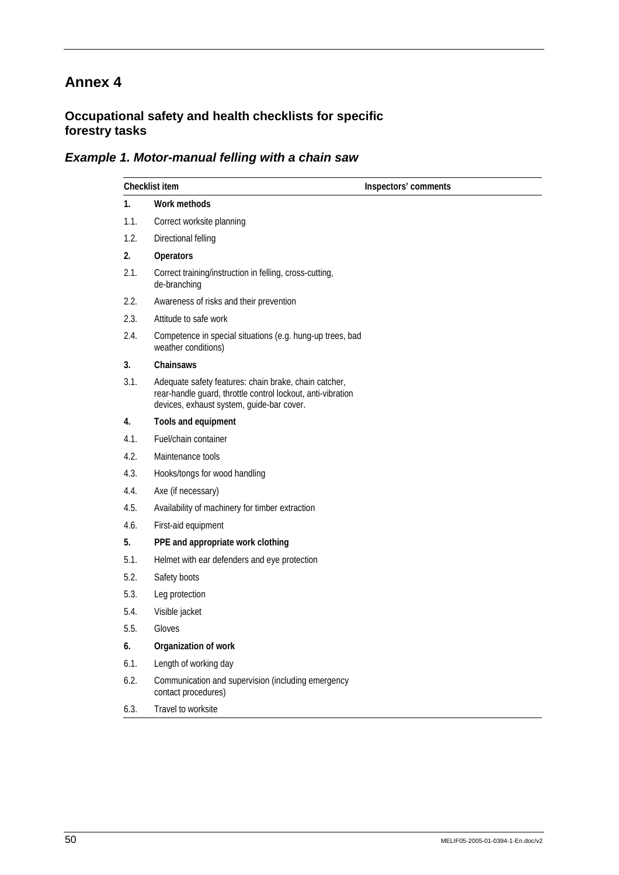## **Occupational safety and health checklists for specific forestry tasks**

## *Example 1. Motor-manual felling with a chain saw*

|      | Checklist item                                                                                                                                                    | Inspectors' comments |
|------|-------------------------------------------------------------------------------------------------------------------------------------------------------------------|----------------------|
| 1.   | Work methods                                                                                                                                                      |                      |
| 1.1. | Correct worksite planning                                                                                                                                         |                      |
| 1.2. | Directional felling                                                                                                                                               |                      |
| 2.   | Operators                                                                                                                                                         |                      |
| 2.1. | Correct training/instruction in felling, cross-cutting,<br>de-branching                                                                                           |                      |
| 2.2. | Awareness of risks and their prevention                                                                                                                           |                      |
| 2.3. | Attitude to safe work                                                                                                                                             |                      |
| 2.4. | Competence in special situations (e.g. hung-up trees, bad<br>weather conditions)                                                                                  |                      |
| 3.   | Chainsaws                                                                                                                                                         |                      |
| 3.1. | Adequate safety features: chain brake, chain catcher,<br>rear-handle guard, throttle control lockout, anti-vibration<br>devices, exhaust system, guide-bar cover. |                      |
| 4.   | Tools and equipment                                                                                                                                               |                      |
| 4.1. | Fuel/chain container                                                                                                                                              |                      |
| 4.2. | Maintenance tools                                                                                                                                                 |                      |
| 4.3. | Hooks/tongs for wood handling                                                                                                                                     |                      |
| 4.4. | Axe (if necessary)                                                                                                                                                |                      |
| 4.5. | Availability of machinery for timber extraction                                                                                                                   |                      |
| 4.6. | First-aid equipment                                                                                                                                               |                      |
| 5.   | PPE and appropriate work clothing                                                                                                                                 |                      |
| 5.1. | Helmet with ear defenders and eye protection                                                                                                                      |                      |
| 5.2. | Safety boots                                                                                                                                                      |                      |
| 5.3. | Leg protection                                                                                                                                                    |                      |
| 5.4. | Visible jacket                                                                                                                                                    |                      |
| 5.5. | Gloves                                                                                                                                                            |                      |
| 6.   | Organization of work                                                                                                                                              |                      |
| 6.1. | Length of working day                                                                                                                                             |                      |
| 6.2. | Communication and supervision (including emergency<br>contact procedures)                                                                                         |                      |
| 6.3. | Travel to worksite                                                                                                                                                |                      |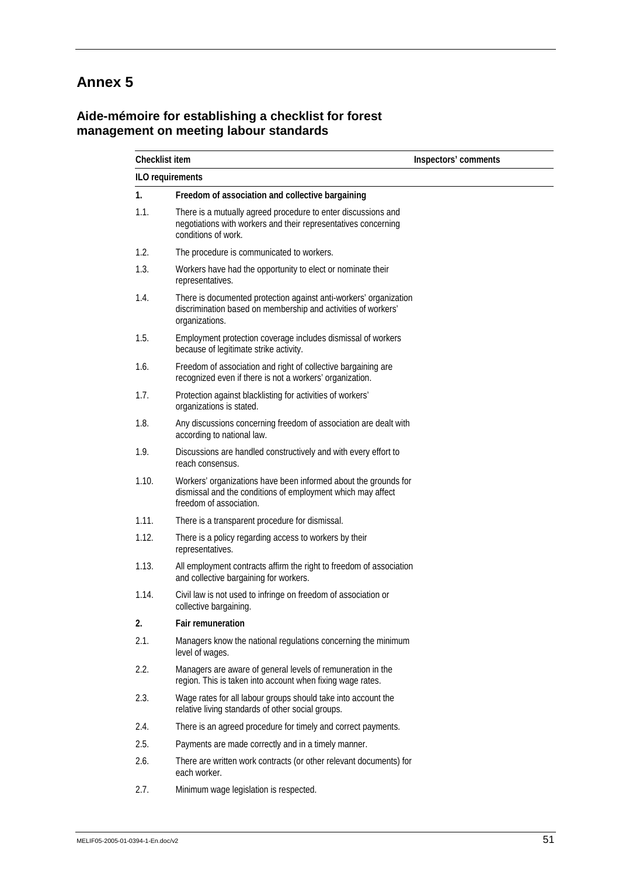## **Aide-mémoire for establishing a checklist for forest management on meeting labour standards**

| <b>Checklist item</b> |                                                                                                                                                           | Inspectors' comments |  |
|-----------------------|-----------------------------------------------------------------------------------------------------------------------------------------------------------|----------------------|--|
|                       | ILO requirements                                                                                                                                          |                      |  |
| 1 <sub>1</sub>        | Freedom of association and collective bargaining                                                                                                          |                      |  |
| 1.1.                  | There is a mutually agreed procedure to enter discussions and<br>negotiations with workers and their representatives concerning<br>conditions of work.    |                      |  |
| 1.2.                  | The procedure is communicated to workers.                                                                                                                 |                      |  |
| 1.3.                  | Workers have had the opportunity to elect or nominate their<br>representatives.                                                                           |                      |  |
| 1.4.                  | There is documented protection against anti-workers' organization<br>discrimination based on membership and activities of workers'<br>organizations.      |                      |  |
| 1.5.                  | Employment protection coverage includes dismissal of workers<br>because of legitimate strike activity.                                                    |                      |  |
| 1.6.                  | Freedom of association and right of collective bargaining are<br>recognized even if there is not a workers' organization.                                 |                      |  |
| 1.7.                  | Protection against blacklisting for activities of workers'<br>organizations is stated.                                                                    |                      |  |
| 1.8.                  | Any discussions concerning freedom of association are dealt with<br>according to national law.                                                            |                      |  |
| 1.9.                  | Discussions are handled constructively and with every effort to<br>reach consensus.                                                                       |                      |  |
| 1.10.                 | Workers' organizations have been informed about the grounds for<br>dismissal and the conditions of employment which may affect<br>freedom of association. |                      |  |
| 1.11.                 | There is a transparent procedure for dismissal.                                                                                                           |                      |  |
| 1.12.                 | There is a policy regarding access to workers by their<br>representatives.                                                                                |                      |  |
| 1.13.                 | All employment contracts affirm the right to freedom of association<br>and collective bargaining for workers.                                             |                      |  |
| 1.14.                 | Civil law is not used to infringe on freedom of association or<br>collective bargaining.                                                                  |                      |  |
| 2.                    | <b>Fair remuneration</b>                                                                                                                                  |                      |  |
| 2.1.                  | Managers know the national regulations concerning the minimum<br>level of wages.                                                                          |                      |  |
| 2.2.                  | Managers are aware of general levels of remuneration in the<br>region. This is taken into account when fixing wage rates.                                 |                      |  |
| 2.3.                  | Wage rates for all labour groups should take into account the<br>relative living standards of other social groups.                                        |                      |  |
| 2.4.                  | There is an agreed procedure for timely and correct payments.                                                                                             |                      |  |
| 2.5.                  | Payments are made correctly and in a timely manner.                                                                                                       |                      |  |
| 2.6.                  | There are written work contracts (or other relevant documents) for<br>each worker.                                                                        |                      |  |
|                       |                                                                                                                                                           |                      |  |

2.7. Minimum wage legislation is respected.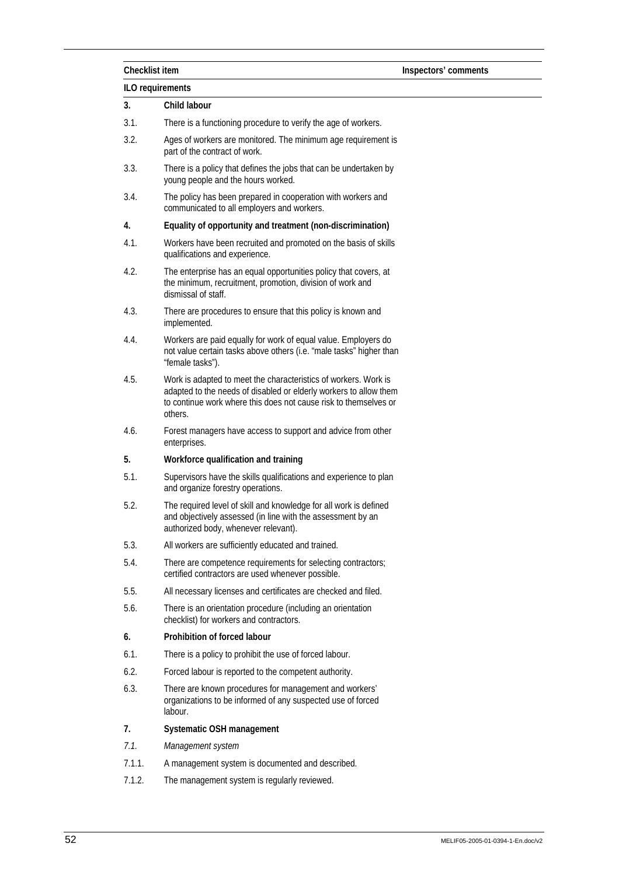|        | Checklist item<br>Inspectors' comments                                                                                                                                                                              |  |  |  |  |
|--------|---------------------------------------------------------------------------------------------------------------------------------------------------------------------------------------------------------------------|--|--|--|--|
|        | <b>ILO</b> requirements                                                                                                                                                                                             |  |  |  |  |
| 3.     | Child labour                                                                                                                                                                                                        |  |  |  |  |
| 3.1.   | There is a functioning procedure to verify the age of workers.                                                                                                                                                      |  |  |  |  |
| 3.2.   | Ages of workers are monitored. The minimum age requirement is<br>part of the contract of work.                                                                                                                      |  |  |  |  |
| 3.3.   | There is a policy that defines the jobs that can be undertaken by<br>young people and the hours worked.                                                                                                             |  |  |  |  |
| 3.4.   | The policy has been prepared in cooperation with workers and<br>communicated to all employers and workers.                                                                                                          |  |  |  |  |
| 4.     | Equality of opportunity and treatment (non-discrimination)                                                                                                                                                          |  |  |  |  |
| 4.1.   | Workers have been recruited and promoted on the basis of skills<br>qualifications and experience.                                                                                                                   |  |  |  |  |
| 4.2.   | The enterprise has an equal opportunities policy that covers, at<br>the minimum, recruitment, promotion, division of work and<br>dismissal of staff.                                                                |  |  |  |  |
| 4.3.   | There are procedures to ensure that this policy is known and<br>implemented.                                                                                                                                        |  |  |  |  |
| 4.4.   | Workers are paid equally for work of equal value. Employers do<br>not value certain tasks above others (i.e. "male tasks" higher than<br>"female tasks").                                                           |  |  |  |  |
| 4.5.   | Work is adapted to meet the characteristics of workers. Work is<br>adapted to the needs of disabled or elderly workers to allow them<br>to continue work where this does not cause risk to themselves or<br>others. |  |  |  |  |
| 4.6.   | Forest managers have access to support and advice from other<br>enterprises.                                                                                                                                        |  |  |  |  |
| 5.     | Workforce qualification and training                                                                                                                                                                                |  |  |  |  |
| 5.1.   | Supervisors have the skills qualifications and experience to plan<br>and organize forestry operations.                                                                                                              |  |  |  |  |
| 5.2.   | The required level of skill and knowledge for all work is defined<br>and objectively assessed (in line with the assessment by an<br>authorized body, whenever relevant).                                            |  |  |  |  |
| 5.3.   | All workers are sufficiently educated and trained.                                                                                                                                                                  |  |  |  |  |
| 5.4.   | There are competence requirements for selecting contractors;<br>certified contractors are used whenever possible.                                                                                                   |  |  |  |  |
| 5.5.   | All necessary licenses and certificates are checked and filed.                                                                                                                                                      |  |  |  |  |
| 5.6.   | There is an orientation procedure (including an orientation<br>checklist) for workers and contractors.                                                                                                              |  |  |  |  |
| 6.     | Prohibition of forced labour                                                                                                                                                                                        |  |  |  |  |
| 6.1.   | There is a policy to prohibit the use of forced labour.                                                                                                                                                             |  |  |  |  |
| 6.2.   | Forced labour is reported to the competent authority.                                                                                                                                                               |  |  |  |  |
| 6.3.   | There are known procedures for management and workers'<br>organizations to be informed of any suspected use of forced<br>labour.                                                                                    |  |  |  |  |
| 7.     | Systematic OSH management                                                                                                                                                                                           |  |  |  |  |
| 7.1.   | Management system                                                                                                                                                                                                   |  |  |  |  |
| 7.1.1. | A management system is documented and described.                                                                                                                                                                    |  |  |  |  |
| 7.1.2. | The management system is regularly reviewed.                                                                                                                                                                        |  |  |  |  |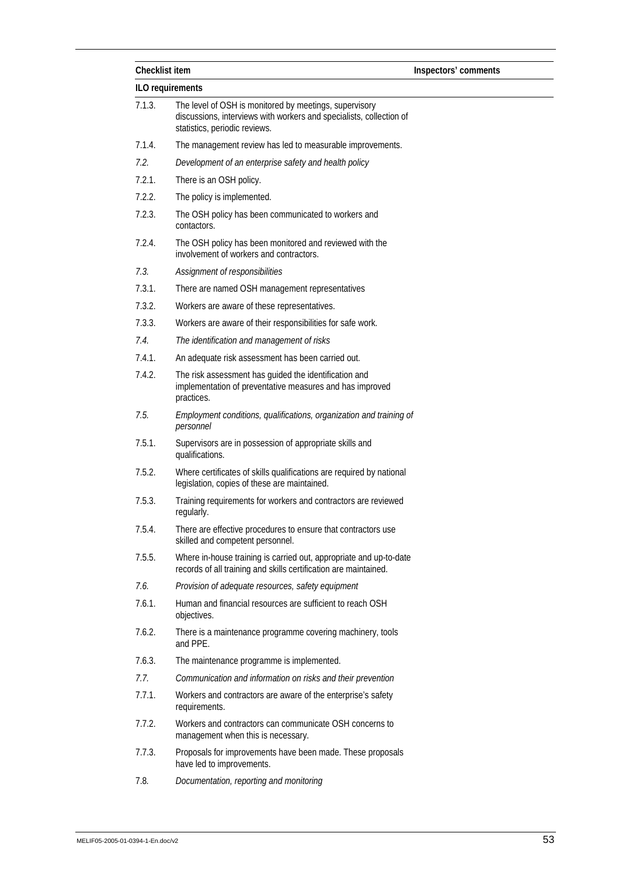| Checklist item |                                                                                                                                                                | Inspectors' comments |  |  |  |  |
|----------------|----------------------------------------------------------------------------------------------------------------------------------------------------------------|----------------------|--|--|--|--|
|                | ILO requirements                                                                                                                                               |                      |  |  |  |  |
| 7.1.3.         | The level of OSH is monitored by meetings, supervisory<br>discussions, interviews with workers and specialists, collection of<br>statistics, periodic reviews. |                      |  |  |  |  |
| 7.1.4.         | The management review has led to measurable improvements.                                                                                                      |                      |  |  |  |  |
| 7.2.           | Development of an enterprise safety and health policy                                                                                                          |                      |  |  |  |  |
| 7.2.1.         | There is an OSH policy.                                                                                                                                        |                      |  |  |  |  |
| 7.2.2.         | The policy is implemented.                                                                                                                                     |                      |  |  |  |  |
| 7.2.3.         | The OSH policy has been communicated to workers and<br>contactors.                                                                                             |                      |  |  |  |  |
| 7.2.4.         | The OSH policy has been monitored and reviewed with the<br>involvement of workers and contractors.                                                             |                      |  |  |  |  |
| 7.3.           | Assignment of responsibilities                                                                                                                                 |                      |  |  |  |  |
| 7.3.1.         | There are named OSH management representatives                                                                                                                 |                      |  |  |  |  |
| 7.3.2.         | Workers are aware of these representatives.                                                                                                                    |                      |  |  |  |  |
| 7.3.3.         | Workers are aware of their responsibilities for safe work.                                                                                                     |                      |  |  |  |  |
| 7.4.           | The identification and management of risks                                                                                                                     |                      |  |  |  |  |
| 7.4.1.         | An adequate risk assessment has been carried out.                                                                                                              |                      |  |  |  |  |
| 7.4.2.         | The risk assessment has guided the identification and<br>implementation of preventative measures and has improved<br>practices.                                |                      |  |  |  |  |
| 7.5.           | Employment conditions, qualifications, organization and training of<br>personnel                                                                               |                      |  |  |  |  |
| 7.5.1.         | Supervisors are in possession of appropriate skills and<br>qualifications.                                                                                     |                      |  |  |  |  |
| 7.5.2.         | Where certificates of skills qualifications are required by national<br>legislation, copies of these are maintained.                                           |                      |  |  |  |  |
| 7.5.3.         | Training requirements for workers and contractors are reviewed<br>regularly.                                                                                   |                      |  |  |  |  |
| 7.5.4.         | There are effective procedures to ensure that contractors use<br>skilled and competent personnel.                                                              |                      |  |  |  |  |
| 7.5.5.         | Where in-house training is carried out, appropriate and up-to-date<br>records of all training and skills certification are maintained.                         |                      |  |  |  |  |
| 7.6.           | Provision of adequate resources, safety equipment                                                                                                              |                      |  |  |  |  |
| 7.6.1.         | Human and financial resources are sufficient to reach OSH<br>objectives.                                                                                       |                      |  |  |  |  |
| 7.6.2.         | There is a maintenance programme covering machinery, tools<br>and PPE.                                                                                         |                      |  |  |  |  |
| 7.6.3.         | The maintenance programme is implemented.                                                                                                                      |                      |  |  |  |  |
| 7.7.           | Communication and information on risks and their prevention                                                                                                    |                      |  |  |  |  |
| 7.7.1.         | Workers and contractors are aware of the enterprise's safety<br>requirements.                                                                                  |                      |  |  |  |  |
| 7.7.2.         | Workers and contractors can communicate OSH concerns to<br>management when this is necessary.                                                                  |                      |  |  |  |  |
| 7.7.3.         | Proposals for improvements have been made. These proposals<br>have led to improvements.                                                                        |                      |  |  |  |  |
| 7.8.           | Documentation, reporting and monitoring                                                                                                                        |                      |  |  |  |  |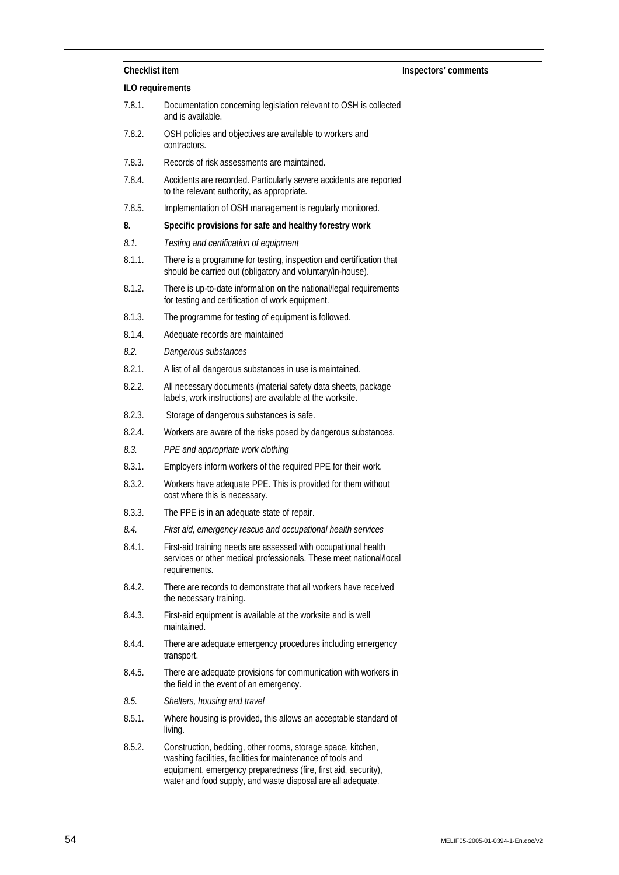| Checklist item   |                                                                                                                                                                                                                                                             | Inspectors' comments |  |  |
|------------------|-------------------------------------------------------------------------------------------------------------------------------------------------------------------------------------------------------------------------------------------------------------|----------------------|--|--|
| ILO requirements |                                                                                                                                                                                                                                                             |                      |  |  |
| 7.8.1.           | Documentation concerning legislation relevant to OSH is collected<br>and is available.                                                                                                                                                                      |                      |  |  |
| 7.8.2.           | OSH policies and objectives are available to workers and<br>contractors.                                                                                                                                                                                    |                      |  |  |
| 7.8.3.           | Records of risk assessments are maintained.                                                                                                                                                                                                                 |                      |  |  |
| 7.8.4.           | Accidents are recorded. Particularly severe accidents are reported<br>to the relevant authority, as appropriate.                                                                                                                                            |                      |  |  |
| 7.8.5.           | Implementation of OSH management is regularly monitored.                                                                                                                                                                                                    |                      |  |  |
| 8.               | Specific provisions for safe and healthy forestry work                                                                                                                                                                                                      |                      |  |  |
| 8.1.             | Testing and certification of equipment                                                                                                                                                                                                                      |                      |  |  |
| 8.1.1.           | There is a programme for testing, inspection and certification that<br>should be carried out (obligatory and voluntary/in-house).                                                                                                                           |                      |  |  |
| 8.1.2.           | There is up-to-date information on the national/legal requirements<br>for testing and certification of work equipment.                                                                                                                                      |                      |  |  |
| 8.1.3.           | The programme for testing of equipment is followed.                                                                                                                                                                                                         |                      |  |  |
| 8.1.4.           | Adequate records are maintained                                                                                                                                                                                                                             |                      |  |  |
| 8.2.             | Dangerous substances                                                                                                                                                                                                                                        |                      |  |  |
| 8.2.1.           | A list of all dangerous substances in use is maintained.                                                                                                                                                                                                    |                      |  |  |
| 8.2.2.           | All necessary documents (material safety data sheets, package<br>labels, work instructions) are available at the worksite.                                                                                                                                  |                      |  |  |
| 8.2.3.           | Storage of dangerous substances is safe.                                                                                                                                                                                                                    |                      |  |  |
| 8.2.4.           | Workers are aware of the risks posed by dangerous substances.                                                                                                                                                                                               |                      |  |  |
| 8.3.             | PPE and appropriate work clothing                                                                                                                                                                                                                           |                      |  |  |
| 8.3.1.           | Employers inform workers of the required PPE for their work.                                                                                                                                                                                                |                      |  |  |
| 8.3.2.           | Workers have adequate PPE. This is provided for them without<br>cost where this is necessary.                                                                                                                                                               |                      |  |  |
| 8.3.3.           | The PPE is in an adequate state of repair.                                                                                                                                                                                                                  |                      |  |  |
| 8.4.             | First aid, emergency rescue and occupational health services                                                                                                                                                                                                |                      |  |  |
| 8.4.1.           | First-aid training needs are assessed with occupational health<br>services or other medical professionals. These meet national/local<br>requirements.                                                                                                       |                      |  |  |
| 8.4.2.           | There are records to demonstrate that all workers have received<br>the necessary training.                                                                                                                                                                  |                      |  |  |
| 8.4.3.           | First-aid equipment is available at the worksite and is well<br>maintained.                                                                                                                                                                                 |                      |  |  |
| 8.4.4.           | There are adequate emergency procedures including emergency<br>transport.                                                                                                                                                                                   |                      |  |  |
| 8.4.5.           | There are adequate provisions for communication with workers in<br>the field in the event of an emergency.                                                                                                                                                  |                      |  |  |
| 8.5.             | Shelters, housing and travel                                                                                                                                                                                                                                |                      |  |  |
| 8.5.1.           | Where housing is provided, this allows an acceptable standard of<br>living.                                                                                                                                                                                 |                      |  |  |
| 8.5.2.           | Construction, bedding, other rooms, storage space, kitchen,<br>washing facilities, facilities for maintenance of tools and<br>equipment, emergency preparedness (fire, first aid, security),<br>water and food supply, and waste disposal are all adequate. |                      |  |  |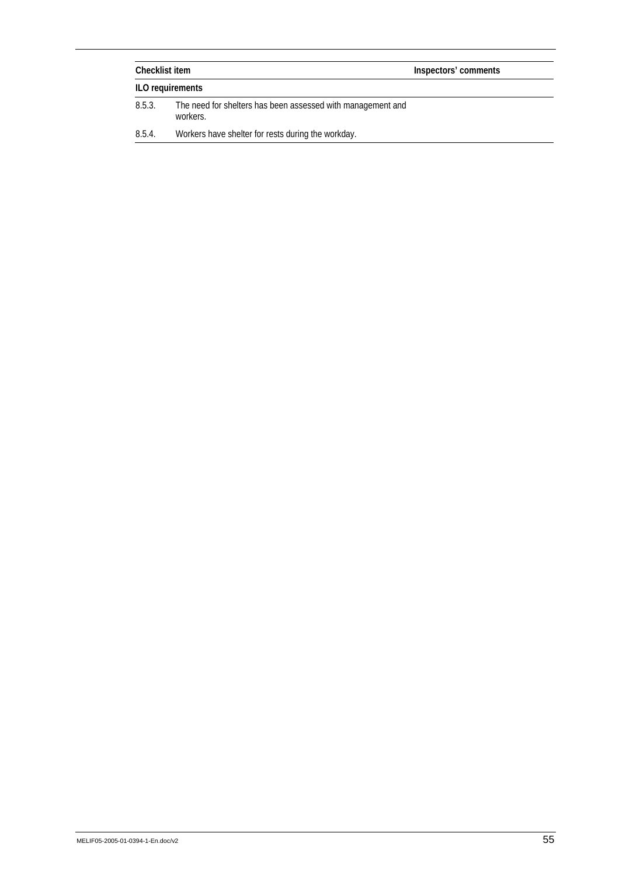| Checklist item |                                                                         | Inspectors' comments |  |
|----------------|-------------------------------------------------------------------------|----------------------|--|
|                | ILO requirements                                                        |                      |  |
| 8.5.3.         | The need for shelters has been assessed with management and<br>workers. |                      |  |
| 8.5.4.         | Workers have shelter for rests during the workday.                      |                      |  |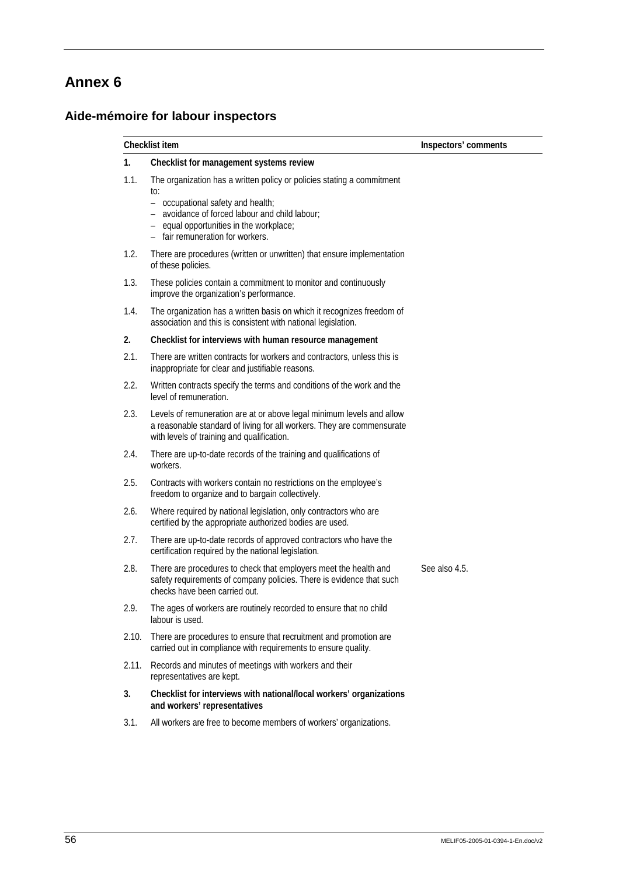## **Aide-mémoire for labour inspectors**

|       | Checklist item                                                                                                                                                                                                                                      | Inspectors' comments |
|-------|-----------------------------------------------------------------------------------------------------------------------------------------------------------------------------------------------------------------------------------------------------|----------------------|
| 1.    | Checklist for management systems review                                                                                                                                                                                                             |                      |
| 1.1.  | The organization has a written policy or policies stating a commitment<br>to:<br>- occupational safety and health;<br>- avoidance of forced labour and child labour;<br>- equal opportunities in the workplace;<br>- fair remuneration for workers. |                      |
| 1.2.  | There are procedures (written or unwritten) that ensure implementation<br>of these policies.                                                                                                                                                        |                      |
| 1.3.  | These policies contain a commitment to monitor and continuously<br>improve the organization's performance.                                                                                                                                          |                      |
| 1.4.  | The organization has a written basis on which it recognizes freedom of<br>association and this is consistent with national legislation.                                                                                                             |                      |
| 2.    | Checklist for interviews with human resource management                                                                                                                                                                                             |                      |
| 2.1.  | There are written contracts for workers and contractors, unless this is<br>inappropriate for clear and justifiable reasons.                                                                                                                         |                      |
| 2.2.  | Written contracts specify the terms and conditions of the work and the<br>level of remuneration.                                                                                                                                                    |                      |
| 2.3.  | Levels of remuneration are at or above legal minimum levels and allow<br>a reasonable standard of living for all workers. They are commensurate<br>with levels of training and qualification.                                                       |                      |
| 2.4.  | There are up-to-date records of the training and qualifications of<br>workers.                                                                                                                                                                      |                      |
| 2.5.  | Contracts with workers contain no restrictions on the employee's<br>freedom to organize and to bargain collectively.                                                                                                                                |                      |
| 2.6.  | Where required by national legislation, only contractors who are<br>certified by the appropriate authorized bodies are used.                                                                                                                        |                      |
| 2.7.  | There are up-to-date records of approved contractors who have the<br>certification required by the national legislation.                                                                                                                            |                      |
| 2.8.  | There are procedures to check that employers meet the health and<br>safety requirements of company policies. There is evidence that such<br>checks have been carried out.                                                                           | See also 4.5.        |
| 2.9.  | The ages of workers are routinely recorded to ensure that no child<br>labour is used.                                                                                                                                                               |                      |
| 2.10. | There are procedures to ensure that recruitment and promotion are<br>carried out in compliance with requirements to ensure quality.                                                                                                                 |                      |
| 2.11. | Records and minutes of meetings with workers and their<br>representatives are kept.                                                                                                                                                                 |                      |
| 3.    | Checklist for interviews with national/local workers' organizations<br>and workers' representatives                                                                                                                                                 |                      |
| 3.1.  | All workers are free to become members of workers' organizations.                                                                                                                                                                                   |                      |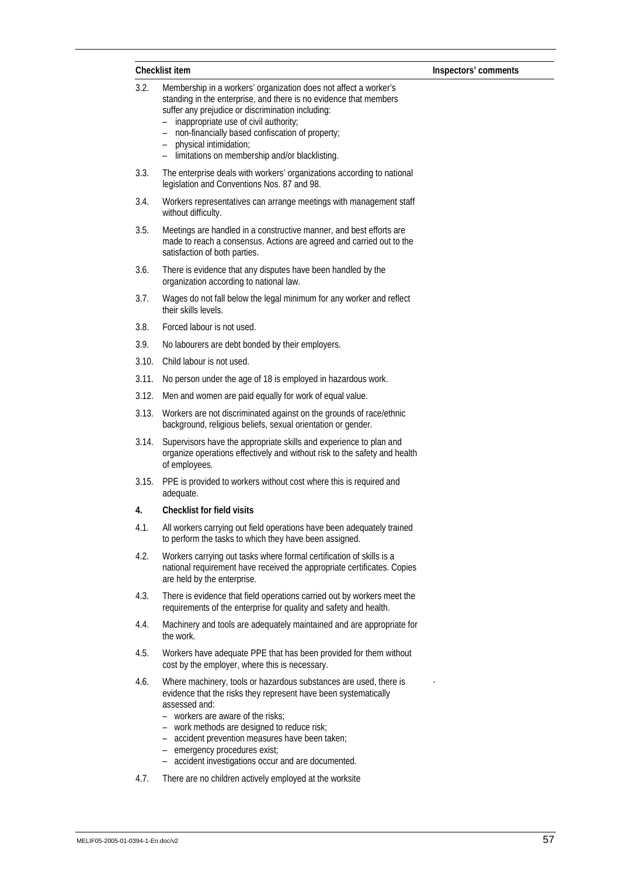|       | Checklist item                                                                                                                                                                                                                                                                                                                                                               | Inspectors' comments |
|-------|------------------------------------------------------------------------------------------------------------------------------------------------------------------------------------------------------------------------------------------------------------------------------------------------------------------------------------------------------------------------------|----------------------|
| 3.2.  | Membership in a workers' organization does not affect a worker's<br>standing in the enterprise, and there is no evidence that members<br>suffer any prejudice or discrimination including:<br>inappropriate use of civil authority;<br>non-financially based confiscation of property;<br>physical intimidation;<br>limitations on membership and/or blacklisting.           |                      |
| 3.3.  | The enterprise deals with workers' organizations according to national<br>legislation and Conventions Nos. 87 and 98.                                                                                                                                                                                                                                                        |                      |
| 3.4.  | Workers representatives can arrange meetings with management staff<br>without difficulty.                                                                                                                                                                                                                                                                                    |                      |
| 3.5.  | Meetings are handled in a constructive manner, and best efforts are<br>made to reach a consensus. Actions are agreed and carried out to the<br>satisfaction of both parties.                                                                                                                                                                                                 |                      |
| 3.6.  | There is evidence that any disputes have been handled by the<br>organization according to national law.                                                                                                                                                                                                                                                                      |                      |
| 3.7.  | Wages do not fall below the legal minimum for any worker and reflect<br>their skills levels.                                                                                                                                                                                                                                                                                 |                      |
| 3.8.  | Forced labour is not used.                                                                                                                                                                                                                                                                                                                                                   |                      |
| 3.9.  | No labourers are debt bonded by their employers.                                                                                                                                                                                                                                                                                                                             |                      |
| 3.10. | Child labour is not used.                                                                                                                                                                                                                                                                                                                                                    |                      |
| 3.11. | No person under the age of 18 is employed in hazardous work.                                                                                                                                                                                                                                                                                                                 |                      |
| 3.12. | Men and women are paid equally for work of equal value.                                                                                                                                                                                                                                                                                                                      |                      |
| 3.13. | Workers are not discriminated against on the grounds of race/ethnic<br>background, religious beliefs, sexual orientation or gender.                                                                                                                                                                                                                                          |                      |
| 3.14. | Supervisors have the appropriate skills and experience to plan and<br>organize operations effectively and without risk to the safety and health<br>of employees.                                                                                                                                                                                                             |                      |
| 3.15. | PPE is provided to workers without cost where this is required and<br>adequate.                                                                                                                                                                                                                                                                                              |                      |
| 4.    | <b>Checklist for field visits</b>                                                                                                                                                                                                                                                                                                                                            |                      |
| 4.1.  | All workers carrying out field operations have been adequately trained<br>to perform the tasks to which they have been assigned.                                                                                                                                                                                                                                             |                      |
| 4.2.  | Workers carrying out tasks where formal certification of skills is a<br>national requirement have received the appropriate certificates. Copies<br>are held by the enterprise.                                                                                                                                                                                               |                      |
| 4.3.  | There is evidence that field operations carried out by workers meet the<br>requirements of the enterprise for quality and safety and health.                                                                                                                                                                                                                                 |                      |
| 4.4.  | Machinery and tools are adequately maintained and are appropriate for<br>the work.                                                                                                                                                                                                                                                                                           |                      |
| 4.5.  | Workers have adequate PPE that has been provided for them without<br>cost by the employer, where this is necessary.                                                                                                                                                                                                                                                          |                      |
| 4.6.  | Where machinery, tools or hazardous substances are used, there is<br>evidence that the risks they represent have been systematically<br>assessed and:<br>workers are aware of the risks;<br>- work methods are designed to reduce risk;<br>accident prevention measures have been taken;<br>emergency procedures exist;<br>accident investigations occur and are documented. |                      |
|       |                                                                                                                                                                                                                                                                                                                                                                              |                      |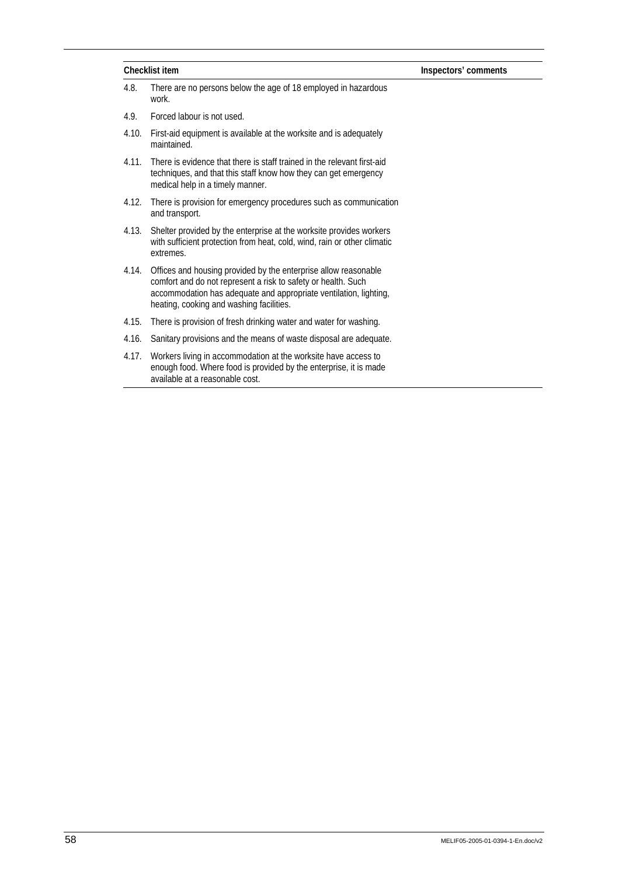| Checklist item |                                                                                                                                                                                                                                                   | Inspectors' comments |  |
|----------------|---------------------------------------------------------------------------------------------------------------------------------------------------------------------------------------------------------------------------------------------------|----------------------|--|
| 4.8.           | There are no persons below the age of 18 employed in hazardous<br>work.                                                                                                                                                                           |                      |  |
| 4.9.           | Forced labour is not used.                                                                                                                                                                                                                        |                      |  |
| 4.10.          | First-aid equipment is available at the worksite and is adequately<br>maintained.                                                                                                                                                                 |                      |  |
| 4.11.          | There is evidence that there is staff trained in the relevant first-aid<br>techniques, and that this staff know how they can get emergency<br>medical help in a timely manner.                                                                    |                      |  |
| 4.12.          | There is provision for emergency procedures such as communication<br>and transport.                                                                                                                                                               |                      |  |
| 4.13.          | Shelter provided by the enterprise at the worksite provides workers<br>with sufficient protection from heat, cold, wind, rain or other climatic<br>extremes.                                                                                      |                      |  |
| 4.14.          | Offices and housing provided by the enterprise allow reasonable<br>comfort and do not represent a risk to safety or health. Such<br>accommodation has adequate and appropriate ventilation, lighting,<br>heating, cooking and washing facilities. |                      |  |
| 4.15.          | There is provision of fresh drinking water and water for washing.                                                                                                                                                                                 |                      |  |
| 4.16.          | Sanitary provisions and the means of waste disposal are adequate.                                                                                                                                                                                 |                      |  |
| 4.17.          | Workers living in accommodation at the worksite have access to<br>enough food. Where food is provided by the enterprise, it is made<br>available at a reasonable cost.                                                                            |                      |  |